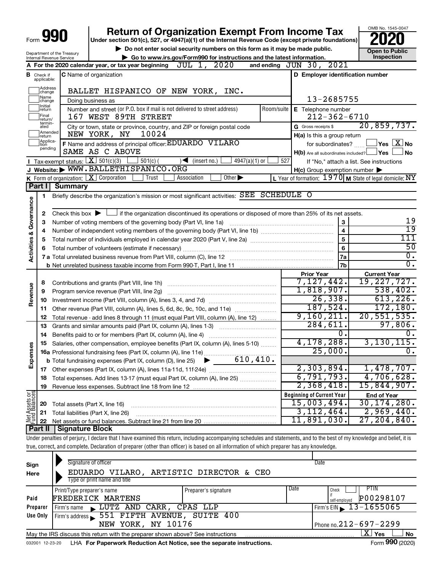|                                    | Form <b>YYU</b>                       |                                        | <b>Return of Organization Exempt From Income Tax</b><br>Under section 501(c), 527, or 4947(a)(1) of the Internal Revenue Code (except private foundations)                 |                                                     | OMB No. 1545-0047                                                 |  |  |  |  |
|------------------------------------|---------------------------------------|----------------------------------------|----------------------------------------------------------------------------------------------------------------------------------------------------------------------------|-----------------------------------------------------|-------------------------------------------------------------------|--|--|--|--|
|                                    |                                       |                                        | Do not enter social security numbers on this form as it may be made public.                                                                                                |                                                     |                                                                   |  |  |  |  |
|                                    | Internal Revenue Service              | Department of the Treasury             | Go to www.irs.gov/Form990 for instructions and the latest information.                                                                                                     |                                                     | <b>Open to Public</b><br>Inspection                               |  |  |  |  |
|                                    |                                       |                                        | 2020<br>JUL 1,<br>A For the 2020 calendar year, or tax year beginning                                                                                                      | and ending JUN 30, 2021                             |                                                                   |  |  |  |  |
|                                    | <b>B</b> Check if applicable:         |                                        | <b>C</b> Name of organization                                                                                                                                              | D Employer identification number                    |                                                                   |  |  |  |  |
|                                    | Address<br>change                     |                                        | BALLET HISPANICO OF NEW YORK, INC.                                                                                                                                         |                                                     |                                                                   |  |  |  |  |
|                                    | Name<br>change                        |                                        | Doing business as                                                                                                                                                          | 13-2685755                                          |                                                                   |  |  |  |  |
|                                    | Initial<br>return<br>Final<br>return/ |                                        | Number and street (or P.O. box if mail is not delivered to street address)<br>Room/suite<br>167 WEST 89TH STREET                                                           | E Telephone number<br>$212 - 362 - 6710$            |                                                                   |  |  |  |  |
|                                    | termin-<br>ated                       |                                        | City or town, state or province, country, and ZIP or foreign postal code                                                                                                   | G Gross receipts \$                                 | 20,859,737.                                                       |  |  |  |  |
|                                    | Amended<br>return                     |                                        | 10024<br>NEW YORK, NY                                                                                                                                                      | H(a) Is this a group return                         |                                                                   |  |  |  |  |
|                                    | Applica-<br>tion<br>pending           |                                        | F Name and address of principal officer: EDUARDO VILARO                                                                                                                    | for subordinates?                                   | $ {\mathsf Y}\mathsf{es}\ [{\overline{\mathsf X}}]$ No            |  |  |  |  |
|                                    |                                       |                                        | SAME AS C ABOVE                                                                                                                                                            | $H(b)$ Are all subordinates included? $\Box$ Yes    | No                                                                |  |  |  |  |
|                                    |                                       |                                        | <b>I</b> Tax-exempt status: $X \mid 501(c)(3)$<br>$501(c)$ (<br>$4947(a)(1)$ or<br>$\sqrt{\bullet}$ (insert no.)                                                           | 527                                                 | If "No," attach a list. See instructions                          |  |  |  |  |
|                                    |                                       |                                        | J Website: WWW.BALLETHISPANICO.ORG                                                                                                                                         | $H(c)$ Group exemption number $\blacktriangleright$ |                                                                   |  |  |  |  |
|                                    |                                       |                                        | Other $\blacktriangleright$<br>K Form of organization: X Corporation<br>Trust<br>Association                                                                               |                                                     | L Year of formation: $1970 \text{ m}$ State of legal domicile: NY |  |  |  |  |
|                                    | Part I                                | <b>Summary</b>                         |                                                                                                                                                                            |                                                     |                                                                   |  |  |  |  |
|                                    | 1                                     |                                        | Briefly describe the organization's mission or most significant activities: SEE SCHEDULE O                                                                                 |                                                     |                                                                   |  |  |  |  |
|                                    |                                       |                                        |                                                                                                                                                                            |                                                     |                                                                   |  |  |  |  |
| <b>Activities &amp; Governance</b> | 2                                     | Check this box $\blacktriangleright$ L | If the organization discontinued its operations or disposed of more than 25% of its net assets.                                                                            |                                                     | 19                                                                |  |  |  |  |
|                                    | 3                                     |                                        | Number of voting members of the governing body (Part VI, line 1a)                                                                                                          | 3<br>$\overline{4}$                                 | 19                                                                |  |  |  |  |
|                                    | 4                                     |                                        |                                                                                                                                                                            | 5                                                   | 111                                                               |  |  |  |  |
|                                    | 5                                     |                                        |                                                                                                                                                                            | $\bf 6$                                             | $\overline{50}$                                                   |  |  |  |  |
|                                    | 6                                     |                                        |                                                                                                                                                                            | 7a                                                  | $\overline{0}$ .                                                  |  |  |  |  |
|                                    |                                       |                                        |                                                                                                                                                                            | 7b                                                  | $\overline{0}$ .                                                  |  |  |  |  |
|                                    |                                       |                                        |                                                                                                                                                                            | <b>Prior Year</b>                                   | <b>Current Year</b>                                               |  |  |  |  |
|                                    | 8                                     |                                        |                                                                                                                                                                            | 7,127,442.                                          | 19,227,727.                                                       |  |  |  |  |
| Revenue                            | 9                                     |                                        | Program service revenue (Part VIII, line 2g)                                                                                                                               | 1,818,907.                                          | 538,402.                                                          |  |  |  |  |
|                                    | 10                                    |                                        |                                                                                                                                                                            | 26, 338.                                            | 613, 226.                                                         |  |  |  |  |
|                                    | 11                                    |                                        | Other revenue (Part VIII, column (A), lines 5, 6d, 8c, 9c, 10c, and 11e)                                                                                                   | 187,524.                                            | 172, 180.                                                         |  |  |  |  |
|                                    | 12                                    |                                        | Total revenue - add lines 8 through 11 (must equal Part VIII, column (A), line 12)                                                                                         | 9,160,211.                                          | 20, 551, 535.                                                     |  |  |  |  |
|                                    | 13                                    |                                        | Grants and similar amounts paid (Part IX, column (A), lines 1-3)                                                                                                           | 284,611.                                            | 97,806.                                                           |  |  |  |  |
|                                    | 14                                    |                                        |                                                                                                                                                                            | $\overline{0}$ .                                    | 0.                                                                |  |  |  |  |
| n,                                 |                                       |                                        | 15 Salaries, other compensation, employee benefits (Part IX, column (A), lines 5-10)                                                                                       | ,178,288.<br>4                                      | 3, 130, 115.                                                      |  |  |  |  |
| Expense                            |                                       |                                        | 16a Professional fundraising fees (Part IX, column (A), line 11e)                                                                                                          | 25,000.                                             | $\overline{0}$ .                                                  |  |  |  |  |
|                                    |                                       |                                        | 610, 410.<br><b>b</b> Total fundraising expenses (Part IX, column (D), line 25)                                                                                            |                                                     |                                                                   |  |  |  |  |
|                                    | 17                                    |                                        |                                                                                                                                                                            | 2,303,894.                                          | 1,478,707.                                                        |  |  |  |  |
|                                    | 18                                    |                                        | Total expenses. Add lines 13-17 (must equal Part IX, column (A), line 25)                                                                                                  | 6,791,793.                                          | 4,706,628.                                                        |  |  |  |  |
|                                    | 19                                    |                                        |                                                                                                                                                                            | 2,368,418.                                          | 15,844,907.                                                       |  |  |  |  |
| t Assets or                        |                                       |                                        |                                                                                                                                                                            | <b>Beginning of Current Year</b>                    | <b>End of Year</b>                                                |  |  |  |  |
|                                    | 20                                    |                                        | Total assets (Part X, line 16)                                                                                                                                             | 15,003,494.                                         | 30, 174, 280.                                                     |  |  |  |  |
|                                    | 21                                    |                                        | Total liabilities (Part X, line 26)                                                                                                                                        | 3, 112, 464.                                        | 2,969,440.                                                        |  |  |  |  |
| 뽏                                  | 22                                    |                                        |                                                                                                                                                                            | 11,891,030.                                         | 27, 204, 840.                                                     |  |  |  |  |
|                                    | Part II                               | <b>Signature Block</b>                 |                                                                                                                                                                            |                                                     |                                                                   |  |  |  |  |
|                                    |                                       |                                        | Under penalties of perjury, I declare that I have examined this return, including accompanying schedules and statements, and to the best of my knowledge and belief, it is |                                                     |                                                                   |  |  |  |  |
|                                    |                                       |                                        | true, correct, and complete. Declaration of preparer (other than officer) is based on all information of which preparer has any knowledge.                                 |                                                     |                                                                   |  |  |  |  |
|                                    |                                       |                                        |                                                                                                                                                                            |                                                     |                                                                   |  |  |  |  |

| Sign<br>Here | Signature of officer<br>EDUARDO VILARO, ARTISTIC DIRECTOR & CEO                                    |                              | Date                       |  |  |  |  |  |
|--------------|----------------------------------------------------------------------------------------------------|------------------------------|----------------------------|--|--|--|--|--|
|              | Type or print name and title                                                                       |                              |                            |  |  |  |  |  |
|              | Print/Type preparer's name                                                                         | Date<br>Preparer's signature | PTIN<br>Check              |  |  |  |  |  |
| Paid         | FREDERICK MARTENS                                                                                  |                              | P00298107<br>self-employed |  |  |  |  |  |
| Preparer     | LUTZ AND CARR, CPAS LLP<br>Firm's name<br>$\mathbf{K}$                                             |                              | Firm's EIN 13-1655065      |  |  |  |  |  |
| Use Only     | Firm's address 551 FIFTH AVENUE, SUITE 400                                                         |                              |                            |  |  |  |  |  |
|              | NEW YORK, NY 10176                                                                                 | Phone no.212-697-2299        |                            |  |  |  |  |  |
|              | x.<br>Yes<br>No<br>May the IRS discuss this return with the preparer shown above? See instructions |                              |                            |  |  |  |  |  |
|              |                                                                                                    |                              |                            |  |  |  |  |  |

032001 12-23-20 LHA **For Paperwork Reduction Act Notice, see the separate instructions.** Form 990 (2020)

Form 990 (2020)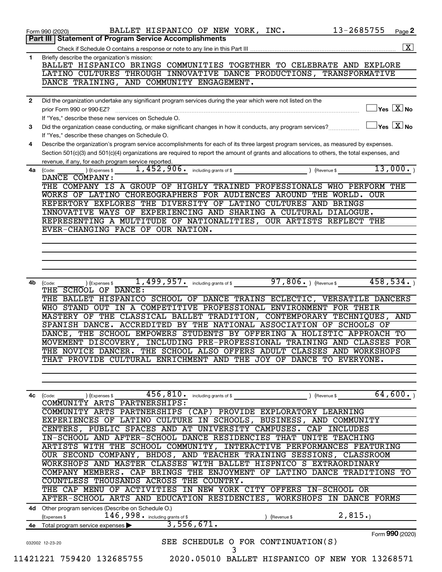|              | 13-2685755<br>BALLET HISPANICO OF NEW YORK, INC.<br>Form 990 (2020)                                                                                             | Page 2             |
|--------------|-----------------------------------------------------------------------------------------------------------------------------------------------------------------|--------------------|
|              | Part III   Statement of Program Service Accomplishments                                                                                                         | $\boxed{\text{X}}$ |
| $\mathbf{1}$ | Briefly describe the organization's mission:                                                                                                                    |                    |
|              | BALLET HISPANICO BRINGS COMMUNITIES TOGETHER TO CELEBRATE AND EXPLORE                                                                                           |                    |
|              | LATINO CULTURES THROUGH INNOVATIVE DANCE PRODUCTIONS, TRANSFORMATIVE                                                                                            |                    |
|              | DANCE TRAINING, AND COMMUNITY ENGAGEMENT.                                                                                                                       |                    |
| $\mathbf{2}$ | Did the organization undertake any significant program services during the year which were not listed on the                                                    |                    |
|              | $\Box$ Yes $[\overline{\mathrm{X}}]$ No<br>prior Form 990 or 990-EZ?                                                                                            |                    |
|              | If "Yes," describe these new services on Schedule O.<br>$\sqrt{\mathsf{Yes}\mathord{\;\mathbb{X}}\mathord{\;\mathsf{No}}}$                                      |                    |
| 3            | Did the organization cease conducting, or make significant changes in how it conducts, any program services?<br>If "Yes," describe these changes on Schedule O. |                    |
| 4            | Describe the organization's program service accomplishments for each of its three largest program services, as measured by expenses.                            |                    |
|              | Section 501(c)(3) and 501(c)(4) organizations are required to report the amount of grants and allocations to others, the total expenses, and                    |                    |
|              | revenue, if any, for each program service reported.<br>13,000.<br>) (Expenses \$                                                                                |                    |
| 4a           | (Code:<br>DANCE COMPANY:                                                                                                                                        |                    |
|              | THE COMPANY IS A GROUP OF HIGHLY TRAINED PROFESSIONALS WHO PERFORM THE                                                                                          |                    |
|              | WORKS OF LATINO CHOREOGRAPHERS FOR AUDIENCES AROUND THE WORLD.<br><b>OUR</b>                                                                                    |                    |
|              | REPERTORY EXPLORES THE DIVERSITY OF LATINO CULTURES AND BRINGS<br>INNOVATIVE WAYS OF EXPERIENCING AND SHARING A CULTURAL DIALOGUE.                              |                    |
|              | REPRESENTING A MULTITUDE OF NATIONALITIES, OUR ARTISTS REFLECT THE                                                                                              |                    |
|              | EVER-CHANGING FACE OF OUR NATION.                                                                                                                               |                    |
|              |                                                                                                                                                                 |                    |
|              |                                                                                                                                                                 |                    |
|              |                                                                                                                                                                 |                    |
|              |                                                                                                                                                                 |                    |
| 4b           | $1,499,957$ and $\frac{1}{2}$ including grants of \$ 97,806 a $\frac{1}{2}$ (Revenue \$<br>458,534.<br>(Expenses \$<br>(Code:                                   |                    |
|              | THE SCHOOL OF DANCE:                                                                                                                                            |                    |
|              | THE BALLET HISPANICO SCHOOL OF DANCE TRAINS ECLECTIC, VERSATILE DANCERS                                                                                         |                    |
|              | WHO STAND OUT IN A COMPETITIVE PROFESSIONAL ENVIRONMENT FOR THEIR<br>MASTERY OF THE CLASSICAL BALLET TRADITION, CONTEMPORARY TECHNIQUES,                        | AND                |
|              | SPANISH DANCE. ACCREDITED BY THE NATIONAL ASSOCIATION OF SCHOOLS OF                                                                                             |                    |
|              | DANCE, THE SCHOOL EMPOWERS STUDENTS BY OFFERING A HOLISTIC APPROACH                                                                                             | TО                 |
|              | MOVEMENT DISCOVERY, INCLUDING PRE-PROFESSIONAL TRAINING AND CLASSES FOR                                                                                         |                    |
|              | THE NOVICE DANCER. THE SCHOOL ALSO OFFERS ADULT CLASSES AND WORKSHOPS<br>THAT PROVIDE CULTURAL ENRICHMENT AND THE JOY OF DANCE TO EVERYONE.                     |                    |
|              |                                                                                                                                                                 |                    |
|              |                                                                                                                                                                 |                    |
| 4c           | 64,600.<br>$456$ , $810$ • including grants of \$ $\qquad \qquad$ ) (Revenue \$ $\qquad \qquad$<br>) (Expenses \$<br>(Code:                                     |                    |
|              | COMMUNITY ARTS PARTNERSHIPS:                                                                                                                                    |                    |
|              | COMMUNITY ARTS PARTNERSHIPS (CAP) PROVIDE EXPLORATORY LEARNING                                                                                                  |                    |
|              | EXPERIENCES OF LATINO CULTURE IN SCHOOLS, BUSINESS, AND COMMUNITY                                                                                               |                    |
|              | CENTERS, PUBLIC SPACES AND AT UNIVERSITY CAMPUSES. CAP INCLUDES<br>IN-SCHOOL AND AFTER-SCHOOL DANCE RESIDENCIES THAT UNITE TEACHING                             |                    |
|              | ARTISTS WITH THE SCHOOL COMMUNITY, INTERACTIVE PERFORMANCES FEATURING                                                                                           |                    |
|              | OUR SECOND COMPANY, BHDOS, AND TEACHER TRAINING SESSIONS, CLASSROOM                                                                                             |                    |
|              | WORKSHOPS AND MASTER CLASSES WITH BALLET HISPNICO S EXTRAORDINARY                                                                                               |                    |
|              | COMPANY MEMBERS. CAP BRINGS THE ENJOYMENT OF LATINO DANCE TRADITIONS TO                                                                                         |                    |
|              | COUNTLESS THOUSANDS ACROSS THE COUNTRY.                                                                                                                         |                    |
|              | THE CAP MENU OF ACTIVITIES IN NEW YORK CITY OFFERS IN-SCHOOL OR<br>AFTER-SCHOOL ARTS AND EDUCATION RESIDENCIES, WORKSHOPS IN DANCE FORMS                        |                    |
|              | 4d Other program services (Describe on Schedule O.)                                                                                                             |                    |
|              | 146, 998 • including grants of \$<br>2,815.<br>(Expenses \$<br>) (Revenue \$                                                                                    |                    |
|              | 3,556,671.<br>4e Total program service expenses >                                                                                                               |                    |
|              | Form 990 (2020)<br>SEE SCHEDULE O FOR CONTINUATION(S)<br>032002 12-23-20                                                                                        |                    |
|              | 3                                                                                                                                                               |                    |
|              | 11421221 759420 132685755<br>2020.05010 BALLET HISPANICO OF NEW YOR 13268571                                                                                    |                    |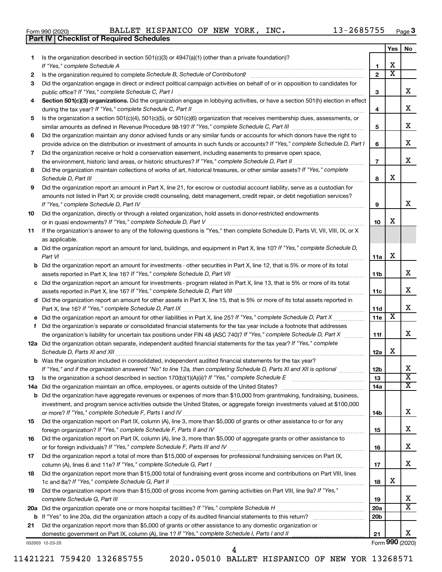|  | Form 990 (2020) |
|--|-----------------|
|  |                 |

**Part IV Checklist of Required Schedules**

|    |                                                                                                                                                                                                                                                                |                 | Yes | No                           |
|----|----------------------------------------------------------------------------------------------------------------------------------------------------------------------------------------------------------------------------------------------------------------|-----------------|-----|------------------------------|
| 1  | Is the organization described in section $501(c)(3)$ or $4947(a)(1)$ (other than a private foundation)?                                                                                                                                                        |                 |     |                              |
|    | If "Yes," complete Schedule A                                                                                                                                                                                                                                  | 1               | x   |                              |
| 2  | Is the organization required to complete Schedule B, Schedule of Contributors? [11] The organization required to complete Schedule B, Schedule of Contributors?                                                                                                | $\mathbf{2}$    | х   |                              |
| 3  | Did the organization engage in direct or indirect political campaign activities on behalf of or in opposition to candidates for                                                                                                                                |                 |     |                              |
|    | public office? If "Yes," complete Schedule C, Part I                                                                                                                                                                                                           | з               |     | x                            |
| 4  | Section 501(c)(3) organizations. Did the organization engage in lobbying activities, or have a section 501(h) election in effect                                                                                                                               |                 |     | x                            |
|    | Is the organization a section 501(c)(4), 501(c)(5), or 501(c)(6) organization that receives membership dues, assessments, or                                                                                                                                   | 4               |     |                              |
| 5  |                                                                                                                                                                                                                                                                | 5               |     | x                            |
| 6  | Did the organization maintain any donor advised funds or any similar funds or accounts for which donors have the right to                                                                                                                                      |                 |     |                              |
|    | provide advice on the distribution or investment of amounts in such funds or accounts? If "Yes," complete Schedule D, Part I                                                                                                                                   | 6               |     | x                            |
| 7  | Did the organization receive or hold a conservation easement, including easements to preserve open space,                                                                                                                                                      |                 |     |                              |
|    | .                                                                                                                                                                                                                                                              | $\overline{7}$  |     | х                            |
| 8  | Did the organization maintain collections of works of art, historical treasures, or other similar assets? If "Yes," complete                                                                                                                                   |                 |     |                              |
|    | Schedule D, Part III <b>Marting Commission Commission Commission</b> Commission Commission Commission Commission Commission                                                                                                                                    | 8               | x.  |                              |
| 9  | Did the organization report an amount in Part X, line 21, for escrow or custodial account liability, serve as a custodian for                                                                                                                                  |                 |     |                              |
|    | amounts not listed in Part X; or provide credit counseling, debt management, credit repair, or debt negotiation services?                                                                                                                                      |                 |     |                              |
|    |                                                                                                                                                                                                                                                                | 9               |     | х                            |
| 10 | Did the organization, directly or through a related organization, hold assets in donor-restricted endowments                                                                                                                                                   |                 |     |                              |
|    |                                                                                                                                                                                                                                                                | 10              | x   |                              |
| 11 | If the organization's answer to any of the following questions is "Yes," then complete Schedule D, Parts VI, VII, VIII, IX, or X                                                                                                                               |                 |     |                              |
|    | as applicable.                                                                                                                                                                                                                                                 |                 |     |                              |
|    | a Did the organization report an amount for land, buildings, and equipment in Part X, line 10? If "Yes," complete Schedule D,                                                                                                                                  |                 |     |                              |
|    | Part VI                                                                                                                                                                                                                                                        | 11a             | х   |                              |
|    | <b>b</b> Did the organization report an amount for investments - other securities in Part X, line 12, that is 5% or more of its total                                                                                                                          |                 |     | x                            |
|    | c Did the organization report an amount for investments - program related in Part X, line 13, that is 5% or more of its total                                                                                                                                  | 11b             |     |                              |
|    |                                                                                                                                                                                                                                                                | 11c             |     | x                            |
|    | d Did the organization report an amount for other assets in Part X, line 15, that is 5% or more of its total assets reported in                                                                                                                                |                 |     |                              |
|    |                                                                                                                                                                                                                                                                | 11d             |     | x                            |
|    |                                                                                                                                                                                                                                                                | 11e             | х   |                              |
| f  | Did the organization's separate or consolidated financial statements for the tax year include a footnote that addresses                                                                                                                                        |                 |     |                              |
|    | the organization's liability for uncertain tax positions under FIN 48 (ASC 740)? If "Yes," complete Schedule D, Part X                                                                                                                                         | 11f             |     | x                            |
|    | 12a Did the organization obtain separate, independent audited financial statements for the tax year? If "Yes," complete                                                                                                                                        |                 |     |                              |
|    | Schedule D, Parts XI and XII                                                                                                                                                                                                                                   | 12a             | x   |                              |
|    | <b>b</b> Was the organization included in consolidated, independent audited financial statements for the tax year?                                                                                                                                             |                 |     |                              |
|    | If "Yes," and if the organization answered "No" to line 12a, then completing Schedule D, Parts XI and XII is optional www.                                                                                                                                     | 12 <sub>b</sub> |     | Χ                            |
| 13 | Is the organization a school described in section $170(b)(1)(A)(ii)?$ If "Yes," complete Schedule E                                                                                                                                                            | 13              |     | $\overline{\texttt{x}}$<br>x |
|    | 14a Did the organization maintain an office, employees, or agents outside of the United States?                                                                                                                                                                | 14a             |     |                              |
|    | <b>b</b> Did the organization have aggregate revenues or expenses of more than \$10,000 from grantmaking, fundraising, business,<br>investment, and program service activities outside the United States, or aggregate foreign investments valued at \$100,000 |                 |     |                              |
|    |                                                                                                                                                                                                                                                                | 14b             |     | x                            |
| 15 | Did the organization report on Part IX, column (A), line 3, more than \$5,000 of grants or other assistance to or for any                                                                                                                                      |                 |     |                              |
|    |                                                                                                                                                                                                                                                                | 15              |     | x                            |
| 16 | Did the organization report on Part IX, column (A), line 3, more than \$5,000 of aggregate grants or other assistance to                                                                                                                                       |                 |     |                              |
|    |                                                                                                                                                                                                                                                                | 16              |     | X.                           |
| 17 | Did the organization report a total of more than \$15,000 of expenses for professional fundraising services on Part IX,                                                                                                                                        |                 |     |                              |
|    |                                                                                                                                                                                                                                                                | 17              |     | X.                           |
| 18 | Did the organization report more than \$15,000 total of fundraising event gross income and contributions on Part VIII, lines                                                                                                                                   |                 |     |                              |
|    |                                                                                                                                                                                                                                                                | 18              | x   |                              |
| 19 | Did the organization report more than \$15,000 of gross income from gaming activities on Part VIII, line 9a? If "Yes,"                                                                                                                                         |                 |     |                              |
|    |                                                                                                                                                                                                                                                                | 19              |     | x                            |
|    |                                                                                                                                                                                                                                                                | 20a             |     | x                            |
|    |                                                                                                                                                                                                                                                                | 20 <sub>b</sub> |     |                              |
| 21 | Did the organization report more than \$5,000 of grants or other assistance to any domestic organization or                                                                                                                                                    | 21              |     | x                            |
|    |                                                                                                                                                                                                                                                                |                 |     |                              |

032003 12-23-20

Form (2020) **990**

| 1421221 759420 132685755 |  |
|--------------------------|--|
|--------------------------|--|

4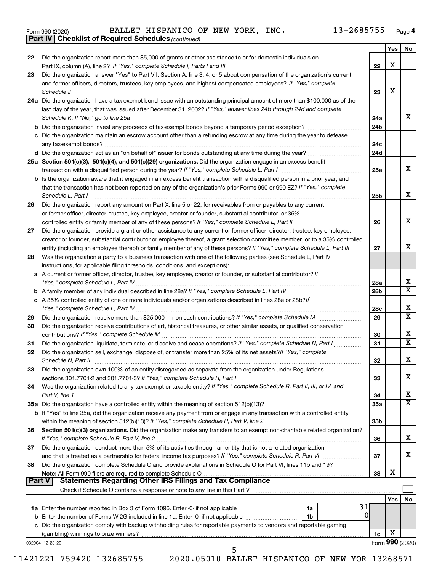| Form 990 (2020) |  |
|-----------------|--|
|-----------------|--|

*(continued)* **Part IV Checklist of Required Schedules**

|               |                                                                                                                                                                                                   |                 | Yes | No                      |
|---------------|---------------------------------------------------------------------------------------------------------------------------------------------------------------------------------------------------|-----------------|-----|-------------------------|
| 22            | Did the organization report more than \$5,000 of grants or other assistance to or for domestic individuals on                                                                                     |                 |     |                         |
|               |                                                                                                                                                                                                   | 22              | X   |                         |
| 23            | Did the organization answer "Yes" to Part VII, Section A, line 3, 4, or 5 about compensation of the organization's current                                                                        |                 |     |                         |
|               | and former officers, directors, trustees, key employees, and highest compensated employees? If "Yes," complete                                                                                    |                 | х   |                         |
|               | Schedule J<br>24a Did the organization have a tax-exempt bond issue with an outstanding principal amount of more than \$100,000 as of the                                                         | 23              |     |                         |
|               | last day of the year, that was issued after December 31, 2002? If "Yes," answer lines 24b through 24d and complete                                                                                |                 |     |                         |
|               | Schedule K. If "No," go to line 25a                                                                                                                                                               | 24a             |     | x                       |
|               |                                                                                                                                                                                                   | 24 <sub>b</sub> |     |                         |
|               | c Did the organization maintain an escrow account other than a refunding escrow at any time during the year to defease                                                                            |                 |     |                         |
|               |                                                                                                                                                                                                   | 24c             |     |                         |
|               | d Did the organization act as an "on behalf of" issuer for bonds outstanding at any time during the year?                                                                                         | 24d             |     |                         |
|               | 25a Section 501(c)(3), 501(c)(4), and 501(c)(29) organizations. Did the organization engage in an excess benefit                                                                                  |                 |     |                         |
|               |                                                                                                                                                                                                   | 25a             |     | x                       |
|               | <b>b</b> Is the organization aware that it engaged in an excess benefit transaction with a disqualified person in a prior year, and                                                               |                 |     |                         |
|               | that the transaction has not been reported on any of the organization's prior Forms 990 or 990-EZ? If "Yes," complete                                                                             |                 |     |                         |
|               | Schedule L, Part I                                                                                                                                                                                | 25b             |     | х                       |
| 26            | Did the organization report any amount on Part X, line 5 or 22, for receivables from or payables to any current                                                                                   |                 |     |                         |
|               | or former officer, director, trustee, key employee, creator or founder, substantial contributor, or 35%                                                                                           |                 |     |                         |
|               | controlled entity or family member of any of these persons? If "Yes," complete Schedule L, Part II [ [ [ [ ] ]                                                                                    | 26              |     | x                       |
| 27            | Did the organization provide a grant or other assistance to any current or former officer, director, trustee, key employee,                                                                       |                 |     |                         |
|               | creator or founder, substantial contributor or employee thereof, a grant selection committee member, or to a 35% controlled                                                                       |                 |     | х                       |
|               | entity (including an employee thereof) or family member of any of these persons? If "Yes," complete Schedule L, Part III                                                                          | 27              |     |                         |
| 28            | Was the organization a party to a business transaction with one of the following parties (see Schedule L, Part IV<br>instructions, for applicable filing thresholds, conditions, and exceptions): |                 |     |                         |
|               | a A current or former officer, director, trustee, key employee, creator or founder, or substantial contributor? If                                                                                |                 |     |                         |
|               |                                                                                                                                                                                                   | 28a             |     | х                       |
|               |                                                                                                                                                                                                   | 28 <sub>b</sub> |     | $\overline{\texttt{x}}$ |
|               | c A 35% controlled entity of one or more individuals and/or organizations described in lines 28a or 28b?If                                                                                        |                 |     |                         |
|               |                                                                                                                                                                                                   | 28c             |     | х                       |
| 29            |                                                                                                                                                                                                   | 29              |     | $\overline{\text{x}}$   |
| 30            | Did the organization receive contributions of art, historical treasures, or other similar assets, or qualified conservation                                                                       |                 |     |                         |
|               |                                                                                                                                                                                                   | 30              |     | х                       |
| 31            | Did the organization liquidate, terminate, or dissolve and cease operations? If "Yes," complete Schedule N, Part I                                                                                | 31              |     | $\overline{\texttt{x}}$ |
| 32            | Did the organization sell, exchange, dispose of, or transfer more than 25% of its net assets? If "Yes," complete                                                                                  |                 |     |                         |
|               | Schedule N, Part II                                                                                                                                                                               | 32              |     | х                       |
| 33            | Did the organization own 100% of an entity disregarded as separate from the organization under Regulations                                                                                        |                 |     |                         |
|               |                                                                                                                                                                                                   | 33              |     | х                       |
| 34            | Was the organization related to any tax-exempt or taxable entity? If "Yes," complete Schedule R, Part II, III, or IV, and                                                                         |                 |     | х                       |
|               | Part V, line 1                                                                                                                                                                                    | 34              |     | $\overline{\text{X}}$   |
|               | b If "Yes" to line 35a, did the organization receive any payment from or engage in any transaction with a controlled entity                                                                       | 35a             |     |                         |
|               |                                                                                                                                                                                                   | 35 <sub>b</sub> |     |                         |
| 36            | Section 501(c)(3) organizations. Did the organization make any transfers to an exempt non-charitable related organization?                                                                        |                 |     |                         |
|               |                                                                                                                                                                                                   | 36              |     | х                       |
| 37            | Did the organization conduct more than 5% of its activities through an entity that is not a related organization                                                                                  |                 |     |                         |
|               | and that is treated as a partnership for federal income tax purposes? If "Yes," complete Schedule R, Part VI                                                                                      | 37              |     | x                       |
| 38            | Did the organization complete Schedule O and provide explanations in Schedule O for Part VI, lines 11b and 19?                                                                                    |                 |     |                         |
|               |                                                                                                                                                                                                   | 38              | х   |                         |
| <b>Part V</b> | <b>Statements Regarding Other IRS Filings and Tax Compliance</b>                                                                                                                                  |                 |     |                         |
|               |                                                                                                                                                                                                   |                 |     |                         |
|               | 31                                                                                                                                                                                                |                 | Yes | No                      |
|               | 1a<br>0                                                                                                                                                                                           |                 |     |                         |
|               | 1b<br>c Did the organization comply with backup withholding rules for reportable payments to vendors and reportable gaming                                                                        |                 |     |                         |
|               |                                                                                                                                                                                                   | 1c              | х   |                         |
|               | 032004 12-23-20                                                                                                                                                                                   |                 |     | Form 990 (2020)         |
|               | 5                                                                                                                                                                                                 |                 |     |                         |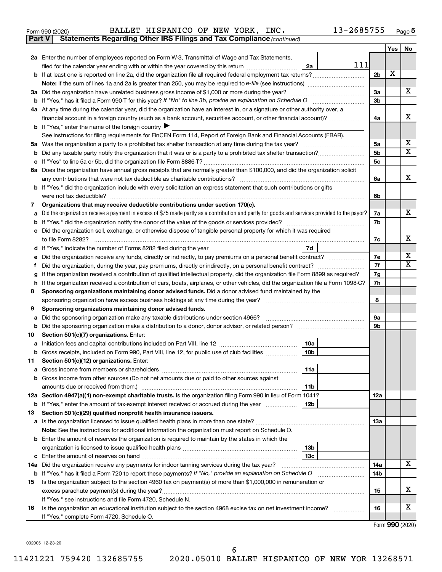| Form 990 (2020) |
|-----------------|
|-----------------|

| Form 990 (2020) |  |  | BALLET HISPANICO OF NEW YORK, |  |  |  | INC. | 13-2685755 | Page |  |
|-----------------|--|--|-------------------------------|--|--|--|------|------------|------|--|
|-----------------|--|--|-------------------------------|--|--|--|------|------------|------|--|

**Part V Statements Regarding Other IRS Filings and Tax Compliance**

*(continued)*

|    |                                                                                                                                                                                                       |                | Yes | No     |  |  |  |  |
|----|-------------------------------------------------------------------------------------------------------------------------------------------------------------------------------------------------------|----------------|-----|--------|--|--|--|--|
|    | 2a Enter the number of employees reported on Form W-3, Transmittal of Wage and Tax Statements,                                                                                                        |                |     |        |  |  |  |  |
|    | 111<br>2a<br>filed for the calendar year ending with or within the year covered by this return                                                                                                        |                |     |        |  |  |  |  |
|    |                                                                                                                                                                                                       |                |     |        |  |  |  |  |
|    |                                                                                                                                                                                                       |                |     |        |  |  |  |  |
|    | 3a Did the organization have unrelated business gross income of \$1,000 or more during the year?                                                                                                      |                |     |        |  |  |  |  |
|    | <b>b</b> If "Yes," has it filed a Form 990-T for this year? If "No" to line 3b, provide an explanation on Schedule O                                                                                  | 3b             |     |        |  |  |  |  |
|    | 4a At any time during the calendar year, did the organization have an interest in, or a signature or other authority over, a                                                                          |                |     |        |  |  |  |  |
|    | financial account in a foreign country (such as a bank account, securities account, or other financial account)?                                                                                      | 4a             |     | x      |  |  |  |  |
|    | <b>b</b> If "Yes," enter the name of the foreign country                                                                                                                                              |                |     |        |  |  |  |  |
|    | See instructions for filing requirements for FinCEN Form 114, Report of Foreign Bank and Financial Accounts (FBAR).                                                                                   |                |     |        |  |  |  |  |
|    |                                                                                                                                                                                                       | 5a             |     | х<br>X |  |  |  |  |
|    |                                                                                                                                                                                                       | 5 <sub>b</sub> |     |        |  |  |  |  |
|    |                                                                                                                                                                                                       | 5 <sub>c</sub> |     |        |  |  |  |  |
|    | 6a Does the organization have annual gross receipts that are normally greater than \$100,000, and did the organization solicit                                                                        |                |     | x      |  |  |  |  |
|    | any contributions that were not tax deductible as charitable contributions?<br>b If "Yes," did the organization include with every solicitation an express statement that such contributions or gifts | 6а             |     |        |  |  |  |  |
|    | were not tax deductible?                                                                                                                                                                              | 6b             |     |        |  |  |  |  |
| 7  | Organizations that may receive deductible contributions under section 170(c).                                                                                                                         |                |     |        |  |  |  |  |
| a  | Did the organization receive a payment in excess of \$75 made partly as a contribution and partly for goods and services provided to the payor?                                                       | 7а             |     | X.     |  |  |  |  |
|    | If "Yes," did the organization notify the donor of the value of the goods or services provided?                                                                                                       | 7b             |     |        |  |  |  |  |
| c  | Did the organization sell, exchange, or otherwise dispose of tangible personal property for which it was required                                                                                     |                |     |        |  |  |  |  |
|    | to file Form 8282?                                                                                                                                                                                    |                |     |        |  |  |  |  |
|    | 7d                                                                                                                                                                                                    |                |     |        |  |  |  |  |
| е  | Did the organization receive any funds, directly or indirectly, to pay premiums on a personal benefit contract?<br>7е                                                                                 |                |     |        |  |  |  |  |
|    |                                                                                                                                                                                                       |                |     |        |  |  |  |  |
|    | If the organization received a contribution of qualified intellectual property, did the organization file Form 8899 as required?                                                                      |                |     |        |  |  |  |  |
| h. | If the organization received a contribution of cars, boats, airplanes, or other vehicles, did the organization file a Form 1098-C?                                                                    |                |     |        |  |  |  |  |
| 8  | Sponsoring organizations maintaining donor advised funds. Did a donor advised fund maintained by the                                                                                                  |                |     |        |  |  |  |  |
|    | sponsoring organization have excess business holdings at any time during the year?                                                                                                                    |                |     |        |  |  |  |  |
| 9  | Sponsoring organizations maintaining donor advised funds.                                                                                                                                             |                |     |        |  |  |  |  |
| а  | Did the sponsoring organization make any taxable distributions under section 4966?                                                                                                                    | 9а             |     |        |  |  |  |  |
| b  | Did the sponsoring organization make a distribution to a donor, donor advisor, or related person?                                                                                                     | 9b             |     |        |  |  |  |  |
| 10 | Section 501(c)(7) organizations. Enter:                                                                                                                                                               |                |     |        |  |  |  |  |
| а  | 10a                                                                                                                                                                                                   |                |     |        |  |  |  |  |
| b  | 10 <sub>b</sub><br>Gross receipts, included on Form 990, Part VIII, line 12, for public use of club facilities<br>Section 501(c)(12) organizations. Enter:                                            |                |     |        |  |  |  |  |
| 11 | 11a                                                                                                                                                                                                   |                |     |        |  |  |  |  |
|    | b Gross income from other sources (Do not net amounts due or paid to other sources against                                                                                                            |                |     |        |  |  |  |  |
|    | amounts due or received from them.)<br>11b                                                                                                                                                            |                |     |        |  |  |  |  |
|    | 12a Section 4947(a)(1) non-exempt charitable trusts. Is the organization filing Form 990 in lieu of Form 1041?                                                                                        | 12a            |     |        |  |  |  |  |
|    | <b>b</b> If "Yes," enter the amount of tax-exempt interest received or accrued during the year<br>12b                                                                                                 |                |     |        |  |  |  |  |
| 13 | Section 501(c)(29) qualified nonprofit health insurance issuers.                                                                                                                                      |                |     |        |  |  |  |  |
|    | a Is the organization licensed to issue qualified health plans in more than one state?                                                                                                                | 13a            |     |        |  |  |  |  |
|    | Note: See the instructions for additional information the organization must report on Schedule O.                                                                                                     |                |     |        |  |  |  |  |
|    | <b>b</b> Enter the amount of reserves the organization is required to maintain by the states in which the                                                                                             |                |     |        |  |  |  |  |
|    | 13 <sub>b</sub>                                                                                                                                                                                       |                |     |        |  |  |  |  |
|    | 13с                                                                                                                                                                                                   |                |     |        |  |  |  |  |
|    | 14a Did the organization receive any payments for indoor tanning services during the tax year?                                                                                                        | 14a            |     | х      |  |  |  |  |
|    | <b>b</b> If "Yes," has it filed a Form 720 to report these payments? If "No," provide an explanation on Schedule O                                                                                    | 14b            |     |        |  |  |  |  |
| 15 | Is the organization subject to the section 4960 tax on payment(s) of more than \$1,000,000 in remuneration or                                                                                         |                |     |        |  |  |  |  |
|    |                                                                                                                                                                                                       | 15             |     | x.     |  |  |  |  |
|    | If "Yes," see instructions and file Form 4720, Schedule N.                                                                                                                                            |                |     |        |  |  |  |  |
| 16 | Is the organization an educational institution subject to the section 4968 excise tax on net investment income?                                                                                       | 16             |     | х      |  |  |  |  |
|    | If "Yes," complete Form 4720, Schedule O.                                                                                                                                                             |                |     |        |  |  |  |  |

Form (2020) **990**

032005 12-23-20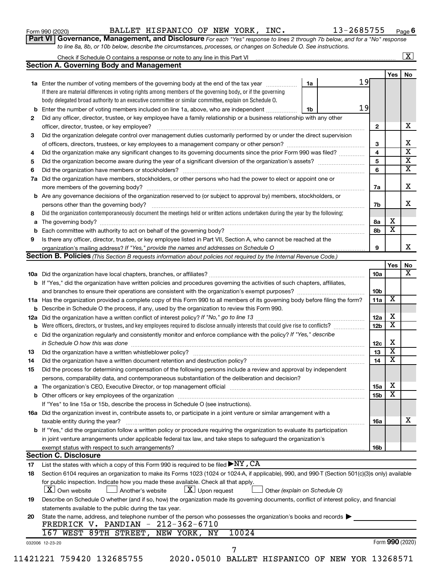| Form 990 (2020) |  |
|-----------------|--|
|-----------------|--|

#### Form 990 (2020) BALLET HISPANICO OF NEW YORK, INC. 13-2685755 <sub>Page</sub>

**Part VI** Governance, Management, and Disclosure For each "Yes" response to lines 2 through 7b below, and for a "No" response *to line 8a, 8b, or 10b below, describe the circumstances, processes, or changes on Schedule O. See instructions.*

|     | Check if Schedule O contains a response or note to any line in this Part VI [11] [12] [12] [13] [13] Check if Schedule O contains a response or note to any line in this Part VI                 |    |                 |                 | $\mathbf{X}$            |
|-----|--------------------------------------------------------------------------------------------------------------------------------------------------------------------------------------------------|----|-----------------|-----------------|-------------------------|
|     | <b>Section A. Governing Body and Management</b>                                                                                                                                                  |    |                 |                 |                         |
|     |                                                                                                                                                                                                  |    |                 | Yes             | No                      |
|     | <b>1a</b> Enter the number of voting members of the governing body at the end of the tax year                                                                                                    | 1a | 19              |                 |                         |
|     | If there are material differences in voting rights among members of the governing body, or if the governing                                                                                      |    |                 |                 |                         |
|     | body delegated broad authority to an executive committee or similar committee, explain on Schedule O.                                                                                            |    |                 |                 |                         |
| b   | Enter the number of voting members included on line 1a, above, who are independent                                                                                                               | 1b | 19              |                 |                         |
| 2   | Did any officer, director, trustee, or key employee have a family relationship or a business relationship with any other                                                                         |    |                 |                 |                         |
|     | officer, director, trustee, or key employee?                                                                                                                                                     |    | $\mathbf{2}$    |                 | х                       |
| 3   | Did the organization delegate control over management duties customarily performed by or under the direct supervision                                                                            |    |                 |                 |                         |
|     |                                                                                                                                                                                                  |    | 3               |                 | х                       |
| 4   | Did the organization make any significant changes to its governing documents since the prior Form 990 was filed?                                                                                 |    | 4               |                 | $\overline{\mathbf{x}}$ |
| 5   |                                                                                                                                                                                                  |    | 5               |                 | $\overline{\mathbf{x}}$ |
| 6   |                                                                                                                                                                                                  |    | 6               |                 | $\overline{\mathbf{X}}$ |
| 7a  | Did the organization have members, stockholders, or other persons who had the power to elect or appoint one or                                                                                   |    |                 |                 |                         |
|     |                                                                                                                                                                                                  |    |                 |                 | X                       |
|     |                                                                                                                                                                                                  |    | 7a              |                 |                         |
| b   | Are any governance decisions of the organization reserved to (or subject to approval by) members, stockholders, or                                                                               |    |                 |                 | x                       |
|     |                                                                                                                                                                                                  |    | 7b              |                 |                         |
| 8   | Did the organization contemporaneously document the meetings held or written actions undertaken during the year by the following:                                                                |    |                 |                 |                         |
| a   |                                                                                                                                                                                                  |    | 8а              | X               |                         |
| b   |                                                                                                                                                                                                  |    | 8b              | х               |                         |
| 9   | Is there any officer, director, trustee, or key employee listed in Part VII, Section A, who cannot be reached at the                                                                             |    |                 |                 |                         |
|     |                                                                                                                                                                                                  |    | 9               |                 | х                       |
|     | <b>Section B. Policies</b> (This Section B requests information about policies not required by the Internal Revenue Code.)                                                                       |    |                 |                 |                         |
|     |                                                                                                                                                                                                  |    |                 | Yes             | No                      |
|     |                                                                                                                                                                                                  |    | 10a             |                 | х                       |
|     | <b>b</b> If "Yes," did the organization have written policies and procedures governing the activities of such chapters, affiliates,                                                              |    |                 |                 |                         |
|     |                                                                                                                                                                                                  |    | 10b             |                 |                         |
|     | 11a Has the organization provided a complete copy of this Form 990 to all members of its governing body before filing the form?                                                                  |    | 11a             | X               |                         |
|     | <b>b</b> Describe in Schedule O the process, if any, used by the organization to review this Form 990.                                                                                           |    |                 |                 |                         |
| 12a |                                                                                                                                                                                                  |    | 12a             | х               |                         |
| b   | Were officers, directors, or trustees, and key employees required to disclose annually interests that could give rise to conflicts?                                                              |    | 12 <sub>b</sub> | X               |                         |
| с   | Did the organization regularly and consistently monitor and enforce compliance with the policy? If "Yes," describe                                                                               |    |                 |                 |                         |
|     | in Schedule O how this was done manufactured and continuum and contact the state of the state of the state of                                                                                    |    | 12c             | X               |                         |
| 13  |                                                                                                                                                                                                  |    | 13              | X               |                         |
| 14  | Did the organization have a written document retention and destruction policy? [11] manufaction model of the organization have a written document retention and destruction policy?              |    | 14              | X               |                         |
| 15  | Did the process for determining compensation of the following persons include a review and approval by independent                                                                               |    |                 |                 |                         |
|     | persons, comparability data, and contemporaneous substantiation of the deliberation and decision?                                                                                                |    |                 |                 |                         |
|     |                                                                                                                                                                                                  |    |                 | х               |                         |
| а   | The organization's CEO, Executive Director, or top management official [111] [11] manument contains an analyzi                                                                                   |    | <b>15a</b>      | х               |                         |
|     |                                                                                                                                                                                                  |    | 15 <sub>b</sub> |                 |                         |
|     | If "Yes" to line 15a or 15b, describe the process in Schedule O (see instructions).                                                                                                              |    |                 |                 |                         |
|     | 16a Did the organization invest in, contribute assets to, or participate in a joint venture or similar arrangement with a                                                                        |    |                 |                 |                         |
|     | taxable entity during the year?                                                                                                                                                                  |    | 16a             |                 | x                       |
|     | b If "Yes," did the organization follow a written policy or procedure requiring the organization to evaluate its participation                                                                   |    |                 |                 |                         |
|     | in joint venture arrangements under applicable federal tax law, and take steps to safeguard the organization's                                                                                   |    |                 |                 |                         |
|     | exempt status with respect to such arrangements?                                                                                                                                                 |    | 16b             |                 |                         |
|     | <b>Section C. Disclosure</b>                                                                                                                                                                     |    |                 |                 |                         |
| 17  | List the states with which a copy of this Form 990 is required to be filed $\blacktriangleright$ NY, CA                                                                                          |    |                 |                 |                         |
| 18  | Section 6104 requires an organization to make its Forms 1023 (1024 or 1024-A, if applicable), 990, and 990-T (Section 501(c)(3)s only) available                                                 |    |                 |                 |                         |
|     | for public inspection. Indicate how you made these available. Check all that apply.<br>$X$ Own website<br>$\lfloor x \rfloor$ Upon request<br>Another's website<br>Other (explain on Schedule O) |    |                 |                 |                         |
| 19  | Describe on Schedule O whether (and if so, how) the organization made its governing documents, conflict of interest policy, and financial                                                        |    |                 |                 |                         |
|     | statements available to the public during the tax year.                                                                                                                                          |    |                 |                 |                         |
|     |                                                                                                                                                                                                  |    |                 |                 |                         |
| 20  | State the name, address, and telephone number of the person who possesses the organization's books and records<br>FREDRICK V. PANDIAN - 212-362-6710                                             |    |                 |                 |                         |
|     | 167 WEST 89TH STREET, NEW YORK, NY<br>10024                                                                                                                                                      |    |                 |                 |                         |
|     | 032006 12-23-20                                                                                                                                                                                  |    |                 | Form 990 (2020) |                         |
|     | 7                                                                                                                                                                                                |    |                 |                 |                         |
|     | 11421221 759420 132685755<br>2020.05010 BALLET HISPANICO OF NEW YOR 13268571                                                                                                                     |    |                 |                 |                         |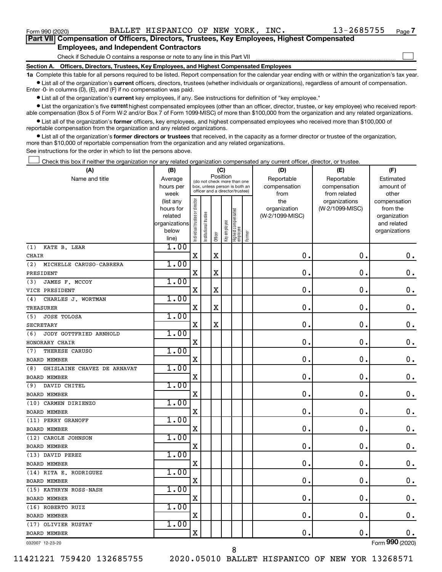$\Box$ 

| Part VII Compensation of Officers, Directors, Trustees, Key Employees, Highest Compensated |
|--------------------------------------------------------------------------------------------|
| <b>Employees, and Independent Contractors</b>                                              |

Check if Schedule O contains a response or note to any line in this Part VII

**Section A. Officers, Directors, Trustees, Key Employees, and Highest Compensated Employees**

**1a**  Complete this table for all persons required to be listed. Report compensation for the calendar year ending with or within the organization's tax year.  $\bullet$  List all of the organization's current officers, directors, trustees (whether individuals or organizations), regardless of amount of compensation.

Enter -0- in columns (D), (E), and (F) if no compensation was paid.

**•** List all of the organization's current key employees, if any. See instructions for definition of "key employee."

• List the organization's five *current* highest compensated employees (other than an officer, director, trustee, or key employee) who received reportable compensation (Box 5 of Form W-2 and/or Box 7 of Form 1099-MISC) of more than \$100,000 from the organization and any related organizations.

 $\bullet$  List all of the organization's former officers, key employees, and highest compensated employees who received more than \$100,000 of reportable compensation from the organization and any related organizations.

**•** List all of the organization's former directors or trustees that received, in the capacity as a former director or trustee of the organization, more than \$10,000 of reportable compensation from the organization and any related organizations.

See instructions for the order in which to list the persons above.

Check this box if neither the organization nor any related organization compensated any current officer, director, or trustee.  $\Box$ 

| (A)                                | (B)                    |                                |                                 | (C)         |              |                                 |        | (D)             | (E)             | (F)             |
|------------------------------------|------------------------|--------------------------------|---------------------------------|-------------|--------------|---------------------------------|--------|-----------------|-----------------|-----------------|
| Name and title                     | Average                |                                | (do not check more than one     |             | Position     |                                 |        | Reportable      | Reportable      | Estimated       |
|                                    | hours per              |                                | box, unless person is both an   |             |              |                                 |        | compensation    | compensation    | amount of       |
|                                    | week                   |                                | officer and a director/trustee) |             |              |                                 |        | from            | from related    | other           |
|                                    | (list any              |                                |                                 |             |              |                                 |        | the             | organizations   | compensation    |
|                                    | hours for              |                                |                                 |             |              |                                 |        | organization    | (W-2/1099-MISC) | from the        |
|                                    | related                |                                |                                 |             |              |                                 |        | (W-2/1099-MISC) |                 | organization    |
|                                    | organizations<br>below |                                |                                 |             |              |                                 |        |                 |                 | and related     |
|                                    | line)                  | Individual trustee or director | Institutional trustee           | Officer     | Key employee | Highest compensated<br>employee | Former |                 |                 | organizations   |
| KATE B. LEAR<br>(1)                | 1.00                   |                                |                                 |             |              |                                 |        |                 |                 |                 |
| <b>CHAIR</b>                       |                        | $\mathbf X$                    |                                 | $\mathbf X$ |              |                                 |        | 0.              | $\mathbf 0$ .   | $\mathbf 0$ .   |
| (2)<br>MICHELLE CARUSO-CABRERA     | 1.00                   |                                |                                 |             |              |                                 |        |                 |                 |                 |
| PRESIDENT                          |                        | $\mathbf X$                    |                                 | $\mathbf X$ |              |                                 |        | $\mathbf{0}$ .  | $\mathbf 0$ .   | 0.              |
| JAMES F. MCCOY<br>(3)              | 1.00                   |                                |                                 |             |              |                                 |        |                 |                 |                 |
| VICE PRESIDENT                     |                        | X                              |                                 | X           |              |                                 |        | 0.              | $\mathbf 0$ .   | $\mathbf 0$ .   |
| CHARLES J. WORTMAN<br>(4)          | 1.00                   |                                |                                 |             |              |                                 |        |                 |                 |                 |
| TREASURER                          |                        | X                              |                                 | X           |              |                                 |        | $\mathbf 0$     | $\mathbf 0$     | $\mathbf 0$ .   |
| (5)<br><b>JOSE TOLOSA</b>          | 1.00                   |                                |                                 |             |              |                                 |        |                 |                 |                 |
| <b>SECRETARY</b>                   |                        | $\mathbf X$                    |                                 | X           |              |                                 |        | $\mathbf 0$ .   | $\mathbf 0$ .   | $\mathbf 0$ .   |
| JODY GOTTFRIED ARNHOLD<br>(6)      | 1.00                   |                                |                                 |             |              |                                 |        |                 |                 |                 |
| HONORARY CHAIR                     |                        | X                              |                                 |             |              |                                 |        | $\mathbf 0$ .   | 0.              | $\mathbf 0$ .   |
| THERESE CARUSO<br>(7)              | 1.00                   |                                |                                 |             |              |                                 |        |                 |                 |                 |
| <b>BOARD MEMBER</b>                |                        | $\mathbf X$                    |                                 |             |              |                                 |        | $\mathbf 0$ .   | $\mathbf 0$ .   | $\mathbf 0$ .   |
| GHISLAINE CHAVEZ DE ARNAVAT<br>(8) | 1.00                   |                                |                                 |             |              |                                 |        |                 |                 |                 |
| <b>BOARD MEMBER</b>                |                        | $\mathbf X$                    |                                 |             |              |                                 |        | $\mathbf 0$ .   | 0.              | $\mathbf 0$ .   |
| DAVID CHITEL<br>(9)                | 1.00                   |                                |                                 |             |              |                                 |        |                 |                 |                 |
| <b>BOARD MEMBER</b>                |                        | X                              |                                 |             |              |                                 |        | $\mathbf 0$ .   | $\mathbf 0$ .   | $\mathbf 0$ .   |
| (10) CARMEN DIRIENZO               | 1.00                   |                                |                                 |             |              |                                 |        |                 |                 |                 |
| <b>BOARD MEMBER</b>                |                        | X                              |                                 |             |              |                                 |        | $\mathbf 0$ .   | $\mathbf 0$ .   | $\mathbf 0$ .   |
| (11) PERRY GRANOFF                 | 1.00                   |                                |                                 |             |              |                                 |        |                 |                 |                 |
| <b>BOARD MEMBER</b>                |                        | $\mathbf X$                    |                                 |             |              |                                 |        | 0.              | $\mathbf 0$ .   | $\mathbf 0$ .   |
| (12) CAROLE JOHNSON                | 1.00                   |                                |                                 |             |              |                                 |        |                 |                 |                 |
| BOARD MEMBER                       |                        | X                              |                                 |             |              |                                 |        | $\mathbf 0$ .   | $\mathbf 0$ .   | $\mathbf 0$ .   |
| (13) DAVID PEREZ                   | 1.00                   |                                |                                 |             |              |                                 |        |                 |                 |                 |
| BOARD MEMBER                       |                        | $\mathbf X$                    |                                 |             |              |                                 |        | $\mathbf 0$     | $\mathbf 0$     | $\mathbf 0$ .   |
| (14) RITA E. RODRIGUEZ             | 1.00                   |                                |                                 |             |              |                                 |        |                 |                 |                 |
| <b>BOARD MEMBER</b>                |                        | $\mathbf X$                    |                                 |             |              |                                 |        | $\mathbf 0$ .   | $\mathbf 0$ .   | $\mathbf 0$ .   |
| (15) KATHRYN ROSS-NASH             | 1.00                   |                                |                                 |             |              |                                 |        |                 |                 |                 |
| <b>BOARD MEMBER</b>                |                        | X                              |                                 |             |              |                                 |        | $\mathbf 0$ .   | $\mathbf 0$ .   | 0.              |
| (16) ROBERTO RUIZ                  | 1.00                   |                                |                                 |             |              |                                 |        |                 |                 |                 |
| BOARD MEMBER                       |                        | $\mathbf X$                    |                                 |             |              |                                 |        | $\mathbf 0$ .   | $\mathbf 0$ .   | $\mathbf 0$ .   |
| (17) OLIVIER RUSTAT                | 1.00                   |                                |                                 |             |              |                                 |        |                 |                 |                 |
| <b>BOARD MEMBER</b>                |                        | X                              |                                 |             |              |                                 |        | $\mathbf 0$ .   | $\mathbf 0$     | 0.              |
| 032007 12-23-20                    |                        |                                |                                 |             |              |                                 |        |                 |                 | Form 990 (2020) |

8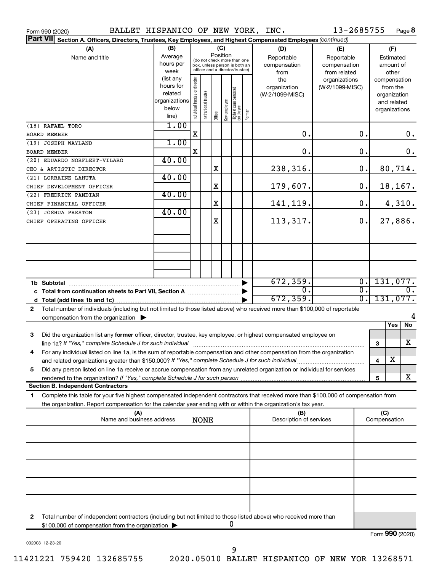| BALLET HISPANICO OF NEW YORK, INC.<br>Form 990 (2020)                                                                                        |                                |                                |                       |         |                 |                                                                  |        |                                 | 13-2685755                                    |                         |                                    | Page 8 |
|----------------------------------------------------------------------------------------------------------------------------------------------|--------------------------------|--------------------------------|-----------------------|---------|-----------------|------------------------------------------------------------------|--------|---------------------------------|-----------------------------------------------|-------------------------|------------------------------------|--------|
| <b>Part VII</b><br>Section A. Officers, Directors, Trustees, Key Employees, and Highest Compensated Employees (continued)                    |                                |                                |                       |         |                 |                                                                  |        |                                 |                                               |                         |                                    |        |
| (A)<br>Name and title                                                                                                                        | (B)<br>Average                 |                                |                       |         | (C)<br>Position | (do not check more than one                                      |        | (D)<br>Reportable               | (E)<br>Reportable                             |                         | (F)<br>Estimated                   |        |
|                                                                                                                                              | hours per<br>week<br>(list any |                                |                       |         |                 | box, unless person is both an<br>officer and a director/trustee) |        | compensation<br>from<br>the     | compensation<br>from related<br>organizations |                         | amount of<br>other<br>compensation |        |
|                                                                                                                                              | hours for<br>related           |                                |                       |         |                 |                                                                  |        | organization<br>(W-2/1099-MISC) | (W-2/1099-MISC)                               |                         | from the<br>organization           |        |
|                                                                                                                                              | organizations<br>below         | Individual trustee or director | Institutional trustee |         | Key employee    | Highest compensated<br>employee                                  | Former |                                 |                                               |                         | and related<br>organizations       |        |
| (18) RAFAEL TORO                                                                                                                             | line)<br>1.00                  |                                |                       | Officer |                 |                                                                  |        |                                 |                                               |                         |                                    |        |
| <b>BOARD MEMBER</b>                                                                                                                          |                                | $\mathbf X$                    |                       |         |                 |                                                                  |        | 0.                              | 0.                                            |                         |                                    | 0.     |
| (19) JOSEPH WAYLAND                                                                                                                          | 1.00                           |                                |                       |         |                 |                                                                  |        |                                 |                                               |                         |                                    |        |
| <b>BOARD MEMBER</b>                                                                                                                          |                                | X                              |                       |         |                 |                                                                  |        | 0.                              | 0.                                            |                         |                                    | 0.     |
| (20) EDUARDO NORFLEET-VILARO<br>CEO & ARTISTIC DIRECTOR                                                                                      | 40.00                          |                                |                       | X       |                 |                                                                  |        | 238,316.                        | 0.                                            |                         | 80,714.                            |        |
| (21) LORRAINE LAHUTA                                                                                                                         | 40.00                          |                                |                       |         |                 |                                                                  |        |                                 |                                               |                         |                                    |        |
| CHIEF DEVELOPMENT OFFICER                                                                                                                    |                                |                                |                       | X       |                 |                                                                  |        | 179,607.                        | 0.                                            |                         | 18,167.                            |        |
| (22) FREDRICK PANDIAN                                                                                                                        | 40.00                          |                                |                       |         |                 |                                                                  |        |                                 |                                               |                         |                                    |        |
| CHIEF FINANCIAL OFFICER                                                                                                                      | 40.00                          |                                |                       | X       |                 |                                                                  |        | 141,119.                        | 0.                                            |                         |                                    | 4,310. |
| (23) JOSHUA PRESTON<br>CHIEF OPERATING OFFICER                                                                                               |                                |                                |                       | X       |                 |                                                                  |        | 113,317.                        | 0.                                            |                         | 27,886.                            |        |
|                                                                                                                                              |                                |                                |                       |         |                 |                                                                  |        |                                 |                                               |                         |                                    |        |
|                                                                                                                                              |                                |                                |                       |         |                 |                                                                  |        |                                 |                                               |                         |                                    |        |
|                                                                                                                                              |                                |                                |                       |         |                 |                                                                  |        |                                 |                                               |                         |                                    |        |
|                                                                                                                                              |                                |                                |                       |         |                 |                                                                  |        |                                 |                                               |                         |                                    |        |
|                                                                                                                                              |                                |                                |                       |         |                 |                                                                  |        | 672, 359.                       | $\overline{0}$ .                              |                         | 131,077.                           |        |
|                                                                                                                                              |                                |                                |                       |         |                 |                                                                  |        | σ.<br>672, 359.                 | $\overline{0}$ .<br>$\overline{0}$ .          |                         | 131,077.                           | 0.     |
| Total number of individuals (including but not limited to those listed above) who received more than \$100,000 of reportable<br>$\mathbf{2}$ |                                |                                |                       |         |                 |                                                                  |        |                                 |                                               |                         |                                    |        |
| compensation from the organization $\blacktriangleright$                                                                                     |                                |                                |                       |         |                 |                                                                  |        |                                 |                                               |                         | Yes                                | No     |
| Did the organization list any former officer, director, trustee, key employee, or highest compensated employee on<br>З                       |                                |                                |                       |         |                 |                                                                  |        |                                 |                                               |                         |                                    |        |
| For any individual listed on line 1a, is the sum of reportable compensation and other compensation from the organization<br>4                |                                |                                |                       |         |                 |                                                                  |        |                                 |                                               | 3                       |                                    | x      |
|                                                                                                                                              |                                |                                |                       |         |                 |                                                                  |        |                                 |                                               | $\overline{\mathbf{4}}$ | X                                  |        |
| Did any person listed on line 1a receive or accrue compensation from any unrelated organization or individual for services<br>5              |                                |                                |                       |         |                 |                                                                  |        |                                 |                                               |                         |                                    | X      |
| <b>Section B. Independent Contractors</b>                                                                                                    |                                |                                |                       |         |                 |                                                                  |        |                                 |                                               | 5                       |                                    |        |
| Complete this table for your five highest compensated independent contractors that received more than \$100,000 of compensation from<br>1    |                                |                                |                       |         |                 |                                                                  |        |                                 |                                               |                         |                                    |        |
| the organization. Report compensation for the calendar year ending with or within the organization's tax year.                               |                                |                                |                       |         |                 |                                                                  |        |                                 |                                               |                         |                                    |        |
| (A)<br>Name and business address                                                                                                             |                                |                                | <b>NONE</b>           |         |                 |                                                                  |        | (B)<br>Description of services  |                                               |                         | (C)<br>Compensation                |        |
|                                                                                                                                              |                                |                                |                       |         |                 |                                                                  |        |                                 |                                               |                         |                                    |        |
|                                                                                                                                              |                                |                                |                       |         |                 |                                                                  |        |                                 |                                               |                         |                                    |        |
|                                                                                                                                              |                                |                                |                       |         |                 |                                                                  |        |                                 |                                               |                         |                                    |        |
|                                                                                                                                              |                                |                                |                       |         |                 |                                                                  |        |                                 |                                               |                         |                                    |        |
|                                                                                                                                              |                                |                                |                       |         |                 |                                                                  |        |                                 |                                               |                         |                                    |        |
|                                                                                                                                              |                                |                                |                       |         |                 |                                                                  |        |                                 |                                               |                         |                                    |        |
| Total number of independent contractors (including but not limited to those listed above) who received more than<br>2                        |                                |                                |                       |         |                 |                                                                  |        |                                 |                                               |                         |                                    |        |
| \$100,000 of compensation from the organization >                                                                                            |                                |                                |                       |         |                 | U                                                                |        |                                 |                                               |                         | $T_{\text{c}}$ 000 (2020)          |        |

032008 12-23-20

9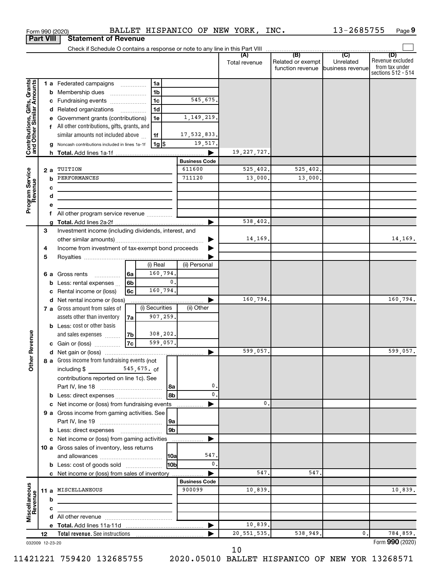|                                                           |    |     | Form 990 (2020)                                                 |                |                |                      |                      | BALLET HISPANICO OF NEW YORK, INC. |                                                               | 13-2685755       | Page 9                                                          |
|-----------------------------------------------------------|----|-----|-----------------------------------------------------------------|----------------|----------------|----------------------|----------------------|------------------------------------|---------------------------------------------------------------|------------------|-----------------------------------------------------------------|
| <b>Part VIII</b>                                          |    |     | <b>Statement of Revenue</b>                                     |                |                |                      |                      |                                    |                                                               |                  |                                                                 |
|                                                           |    |     |                                                                 |                |                |                      |                      |                                    |                                                               |                  |                                                                 |
|                                                           |    |     |                                                                 |                |                |                      |                      | (A)<br>Total revenue               | (B)<br>Related or exempt<br>function revenue business revenue | (C)<br>Unrelated | (D)<br>Revenue excluded<br>from tax under<br>sections 512 - 514 |
|                                                           |    |     | <b>1 a</b> Federated campaigns                                  |                | 1a             |                      |                      |                                    |                                                               |                  |                                                                 |
| Contributions, Gifts, Grants<br>and Other Similar Amounts |    | b   | Membership dues                                                 |                | 1 <sub>b</sub> |                      |                      |                                    |                                                               |                  |                                                                 |
|                                                           |    |     | c Fundraising events                                            |                | 1 <sub>c</sub> |                      | 545,675.             |                                    |                                                               |                  |                                                                 |
|                                                           |    |     | d Related organizations                                         | .              | 1 <sub>d</sub> |                      |                      |                                    |                                                               |                  |                                                                 |
|                                                           |    |     | e Government grants (contributions)                             |                | 1e             |                      | 1, 149, 219.         |                                    |                                                               |                  |                                                                 |
|                                                           |    |     | All other contributions, gifts, grants, and                     |                |                |                      |                      |                                    |                                                               |                  |                                                                 |
|                                                           |    |     | similar amounts not included above                              |                | 1f             |                      | 17,532,833.          |                                    |                                                               |                  |                                                                 |
|                                                           |    |     | g Noncash contributions included in lines 1a-1f                 |                | 1g $ \$$       |                      | 19,517.              |                                    |                                                               |                  |                                                                 |
|                                                           |    |     |                                                                 |                |                |                      | <b>Business Code</b> | 19, 227, 727.                      |                                                               |                  |                                                                 |
|                                                           |    | 2 a | TUITION                                                         |                |                |                      | 611600               | 525,402.                           | 525,402.                                                      |                  |                                                                 |
| Program Service<br>Revenue                                |    |     | PERFORMANCES                                                    |                |                |                      | 711120               | 13,000.                            | 13,000.                                                       |                  |                                                                 |
|                                                           |    | с   |                                                                 |                |                |                      |                      |                                    |                                                               |                  |                                                                 |
|                                                           |    | d   |                                                                 |                |                |                      |                      |                                    |                                                               |                  |                                                                 |
|                                                           |    | е   |                                                                 |                |                |                      |                      |                                    |                                                               |                  |                                                                 |
|                                                           |    | f   | All other program service revenue                               |                |                |                      |                      |                                    |                                                               |                  |                                                                 |
|                                                           |    |     |                                                                 |                |                |                      |                      | 538,402.                           |                                                               |                  |                                                                 |
|                                                           | 3  |     | Investment income (including dividends, interest, and           |                |                |                      |                      |                                    |                                                               |                  |                                                                 |
|                                                           |    |     |                                                                 |                |                |                      |                      | 14,169.                            |                                                               |                  | 14,169.                                                         |
|                                                           | 4  |     | Income from investment of tax-exempt bond proceeds              |                |                |                      |                      |                                    |                                                               |                  |                                                                 |
|                                                           | 5  |     |                                                                 |                |                |                      |                      |                                    |                                                               |                  |                                                                 |
|                                                           |    |     |                                                                 |                | (i) Real       |                      | (ii) Personal        |                                    |                                                               |                  |                                                                 |
|                                                           |    | 6а  | Gross rents                                                     | l 6a           | 160,794.       |                      |                      |                                    |                                                               |                  |                                                                 |
|                                                           |    | b   | Less: rental expenses                                           | 6 <sub>b</sub> |                | $\mathbf{0}$ .       |                      |                                    |                                                               |                  |                                                                 |
|                                                           |    | с   | Rental income or (loss)                                         | 6с             | 160,794.       |                      |                      | 160,794.                           |                                                               |                  | 160,794.                                                        |
|                                                           |    |     | d Net rental income or (loss)<br>7 a Gross amount from sales of |                | (i) Securities |                      | (ii) Other           |                                    |                                                               |                  |                                                                 |
|                                                           |    |     | assets other than inventory                                     | 7a             | 907,259.       |                      |                      |                                    |                                                               |                  |                                                                 |
|                                                           |    |     | <b>b</b> Less: cost or other basis                              |                |                |                      |                      |                                    |                                                               |                  |                                                                 |
|                                                           |    |     | and sales expenses                                              | 7b             | 308,202.       |                      |                      |                                    |                                                               |                  |                                                                 |
| evenue                                                    |    |     | c Gain or (loss)                                                | 7c             | 599,057.       |                      |                      |                                    |                                                               |                  |                                                                 |
|                                                           |    |     |                                                                 |                |                |                      |                      | 599,057.                           |                                                               |                  | 599,057.                                                        |
| Other R                                                   |    |     | 8 a Gross income from fundraising events (not                   |                |                |                      |                      |                                    |                                                               |                  |                                                                 |
|                                                           |    |     | including \$<br>$545,675.$ of                                   |                |                |                      |                      |                                    |                                                               |                  |                                                                 |
|                                                           |    |     | contributions reported on line 1c). See                         |                |                |                      |                      |                                    |                                                               |                  |                                                                 |
|                                                           |    |     |                                                                 |                |                | l 8a                 | 0.                   |                                    |                                                               |                  |                                                                 |
|                                                           |    |     | <b>b</b> Less: direct expenses <b>constants b</b>               |                |                | 8 <sub>b</sub>       | 0.                   |                                    |                                                               |                  |                                                                 |
|                                                           |    | c   | Net income or (loss) from fundraising events                    |                |                |                      |                      | 0.                                 |                                                               |                  |                                                                 |
|                                                           |    |     | 9 a Gross income from gaming activities. See                    |                |                |                      |                      |                                    |                                                               |                  |                                                                 |
|                                                           |    |     |                                                                 |                |                | 9a<br>9 <sub>b</sub> |                      |                                    |                                                               |                  |                                                                 |
|                                                           |    |     | c Net income or (loss) from gaming activities                   |                |                |                      |                      |                                    |                                                               |                  |                                                                 |
|                                                           |    |     | 10 a Gross sales of inventory, less returns                     |                |                |                      |                      |                                    |                                                               |                  |                                                                 |
|                                                           |    |     |                                                                 |                |                | 10a                  | 547.                 |                                    |                                                               |                  |                                                                 |
|                                                           |    |     | <b>b</b> Less: cost of goods sold                               |                |                | H <sub>0</sub> p     | $\mathbf{0}$ .       |                                    |                                                               |                  |                                                                 |
|                                                           |    |     | c Net income or (loss) from sales of inventory                  |                |                |                      |                      | 547                                | 547.                                                          |                  |                                                                 |
|                                                           |    |     |                                                                 |                |                |                      | <b>Business Code</b> |                                    |                                                               |                  |                                                                 |
|                                                           |    |     | 11 a MISCELLANEOUS                                              |                |                |                      | 900099               | 10,839.                            |                                                               |                  | 10,839.                                                         |
| Miscellaneous<br>Revenue                                  |    | b   |                                                                 |                |                |                      |                      |                                    |                                                               |                  |                                                                 |
|                                                           |    | c   |                                                                 |                |                |                      |                      |                                    |                                                               |                  |                                                                 |
|                                                           |    |     |                                                                 |                |                |                      |                      |                                    |                                                               |                  |                                                                 |
|                                                           |    |     |                                                                 |                |                |                      |                      | 10,839.                            |                                                               |                  |                                                                 |
|                                                           | 12 |     |                                                                 |                |                |                      |                      | 20, 551, 535.                      | 538,949.                                                      | 0.               | 784,859.                                                        |
| 032009 12-23-20                                           |    |     |                                                                 |                |                |                      |                      |                                    |                                                               |                  | Form 990 (2020)                                                 |

10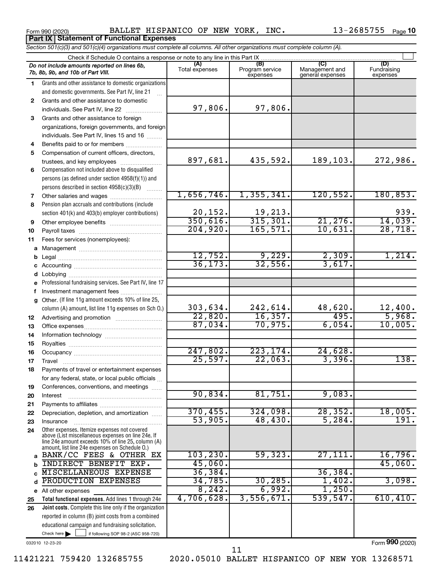**Part IX Statement of Functional Expenses**

Form 990 (2020) BALLET HISPANICO OF NEW YORK, INC. 13-2685755 <sub>Page</sub>

|              | Section 501(c)(3) and 501(c)(4) organizations must complete all columns. All other organizations must complete column (A).                                                                                 |                          |                                    |                                           |                                |
|--------------|------------------------------------------------------------------------------------------------------------------------------------------------------------------------------------------------------------|--------------------------|------------------------------------|-------------------------------------------|--------------------------------|
|              | Check if Schedule O contains a response or note to any line in this Part IX.                                                                                                                               |                          |                                    |                                           |                                |
|              | Do not include amounts reported on lines 6b,<br>7b, 8b, 9b, and 10b of Part VIII.                                                                                                                          | (A)<br>Total expenses    | (B)<br>Program service<br>expenses | (C)<br>Management and<br>general expenses | (D)<br>Fundraising<br>expenses |
| 1            | Grants and other assistance to domestic organizations                                                                                                                                                      |                          |                                    |                                           |                                |
|              | and domestic governments. See Part IV, line 21                                                                                                                                                             |                          |                                    |                                           |                                |
| $\mathbf{2}$ | Grants and other assistance to domestic                                                                                                                                                                    |                          |                                    |                                           |                                |
|              | individuals. See Part IV, line 22                                                                                                                                                                          | 97,806.                  | 97,806.                            |                                           |                                |
| 3            | Grants and other assistance to foreign                                                                                                                                                                     |                          |                                    |                                           |                                |
|              | organizations, foreign governments, and foreign                                                                                                                                                            |                          |                                    |                                           |                                |
|              | individuals. See Part IV, lines 15 and 16                                                                                                                                                                  |                          |                                    |                                           |                                |
| 4            | Benefits paid to or for members                                                                                                                                                                            |                          |                                    |                                           |                                |
| 5            | Compensation of current officers, directors,                                                                                                                                                               |                          |                                    |                                           |                                |
|              | trustees, and key employees                                                                                                                                                                                | 897,681.                 | 435,592.                           | 189,103.                                  | 272,986.                       |
| 6            | Compensation not included above to disqualified                                                                                                                                                            |                          |                                    |                                           |                                |
|              | persons (as defined under section 4958(f)(1)) and                                                                                                                                                          |                          |                                    |                                           |                                |
|              | persons described in section 4958(c)(3)(B)                                                                                                                                                                 |                          |                                    |                                           |                                |
| 7            | Other salaries and wages                                                                                                                                                                                   | 1,656,746.               | 1,355,341.                         | 120,552.                                  | 180, 853.                      |
| 8            | Pension plan accruals and contributions (include                                                                                                                                                           |                          |                                    |                                           |                                |
|              | section 401(k) and 403(b) employer contributions)                                                                                                                                                          |                          |                                    |                                           | 939.                           |
| 9            |                                                                                                                                                                                                            | $\frac{20,152}{350,616}$ | $\frac{19,213}{315,301}$           | 21,276.                                   | 14,039.                        |
| 10           |                                                                                                                                                                                                            | 204,920.                 | 165,571.                           | 10,631.                                   | 28,718.                        |
| 11           | Fees for services (nonemployees):                                                                                                                                                                          |                          |                                    |                                           |                                |
|              |                                                                                                                                                                                                            |                          |                                    |                                           |                                |
| b            |                                                                                                                                                                                                            | 12,752.                  | 9,229.                             | 2,309.                                    | 1,214.                         |
|              |                                                                                                                                                                                                            | 36, 173.                 | 32,556.                            | 3,617.                                    |                                |
|              |                                                                                                                                                                                                            |                          |                                    |                                           |                                |
|              | e Professional fundraising services. See Part IV, line 17                                                                                                                                                  |                          |                                    |                                           |                                |
|              | Investment management fees                                                                                                                                                                                 |                          |                                    |                                           |                                |
| g            | Other. (If line 11g amount exceeds 10% of line 25,                                                                                                                                                         |                          |                                    |                                           |                                |
|              | column (A) amount, list line 11g expenses on Sch O.)                                                                                                                                                       | 303,634.                 | 242,614.                           |                                           | 12,400.                        |
| 12           |                                                                                                                                                                                                            | 22,820.                  | 16, 357.                           | $\frac{48,620}{495}$                      | 5,968.                         |
| 13           |                                                                                                                                                                                                            | 87,034.                  | 70,975.                            | 6,054.                                    | 10,005.                        |
| 14           |                                                                                                                                                                                                            |                          |                                    |                                           |                                |
| 15           |                                                                                                                                                                                                            |                          |                                    |                                           |                                |
| 16           |                                                                                                                                                                                                            | 247,802.                 | 223, 174.                          | 24,628.                                   |                                |
| 17           |                                                                                                                                                                                                            | 25,597.                  | 22,063.                            | 3,396.                                    | 138.                           |
| 18           | Payments of travel or entertainment expenses                                                                                                                                                               |                          |                                    |                                           |                                |
|              | for any federal, state, or local public officials                                                                                                                                                          |                          |                                    |                                           |                                |
| 19           | Conferences, conventions, and meetings                                                                                                                                                                     |                          |                                    |                                           |                                |
| 20           | Interest                                                                                                                                                                                                   | 90,834.                  | 81,751.                            | 9,083.                                    |                                |
| 21           |                                                                                                                                                                                                            |                          |                                    |                                           |                                |
| 22           | Depreciation, depletion, and amortization                                                                                                                                                                  | 370, 455.                | 324,098.                           | 28, 352.                                  | 18,005.                        |
| 23           | Insurance                                                                                                                                                                                                  | 53,905.                  | 48,430.                            | 5,284.                                    | 191.                           |
| 24           | Other expenses. Itemize expenses not covered<br>above (List miscellaneous expenses on line 24e. If<br>line 24e amount exceeds 10% of line 25, column (A)<br>amount, list line 24e expenses on Schedule O.) |                          |                                    |                                           |                                |
| a            | BANK/CC FEES & OTHER EX                                                                                                                                                                                    | 103, 230.                | 59,323.                            | 27,111.                                   | 16,796.                        |
|              | INDIRECT BENEFIT EXP.                                                                                                                                                                                      | 45,060.                  |                                    |                                           | 45,060.                        |
|              | MISCELLANEOUS EXPENSE                                                                                                                                                                                      | 36,384.                  |                                    | 36,384.                                   |                                |
| d            | PRODUCTION EXPENSES                                                                                                                                                                                        | 34,785.                  | 30, 285.                           | 1,402.                                    | 3,098.                         |
|              | e All other expenses                                                                                                                                                                                       | 8, 242.                  | 6,992.                             | 1,250.                                    |                                |
| 25           | Total functional expenses. Add lines 1 through 24e                                                                                                                                                         | 4,706,628.               | 3,556,671.                         | 539,547.                                  | 610, 410.                      |
| 26           | Joint costs. Complete this line only if the organization                                                                                                                                                   |                          |                                    |                                           |                                |
|              | reported in column (B) joint costs from a combined                                                                                                                                                         |                          |                                    |                                           |                                |
|              | educational campaign and fundraising solicitation.                                                                                                                                                         |                          |                                    |                                           |                                |

032010 12-23-20

Check here

11421221 759420 132685755 2020.05010 BALLET HISPANICO OF NEW YOR 13268571

Check here  $\begin{array}{c} \begin{array}{|c} \hline \end{array} \end{array}$  if following SOP 98-2 (ASC 958-720)

11

Form (2020) **990**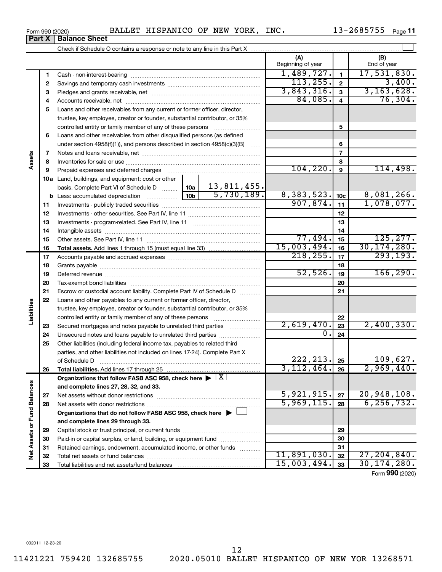11421221 759420 132685755 2020.05010 BALLET HISPANICO OF NEW YOR 13268571 12

| Form 990 (2020) | BALLET HISPANICO OF NEW YORK, |  | INC. | 13-2685755 | Page 11 |
|-----------------|-------------------------------|--|------|------------|---------|
|                 |                               |  |      |            |         |

L

|                             | Part X | <b>Balance Sheet</b>                                                                                                 |                               |                         |                             |
|-----------------------------|--------|----------------------------------------------------------------------------------------------------------------------|-------------------------------|-------------------------|-----------------------------|
|                             |        |                                                                                                                      |                               |                         |                             |
|                             |        |                                                                                                                      | (A)<br>Beginning of year      |                         | (B)<br>End of year          |
|                             | 1      |                                                                                                                      | $\frac{1,489,727.}{113,255.}$ | 1                       | 17,531,830.                 |
|                             | 2      |                                                                                                                      |                               | $\mathbf{2}$            | 3,400.                      |
|                             | 3      |                                                                                                                      | 3,843,316.                    | 3                       | 3, 163, 628.                |
|                             | 4      |                                                                                                                      | 84,085.                       | $\overline{\mathbf{4}}$ | 76, 304.                    |
|                             | 5      | Loans and other receivables from any current or former officer, director,                                            |                               |                         |                             |
|                             |        | trustee, key employee, creator or founder, substantial contributor, or 35%                                           |                               |                         |                             |
|                             |        | controlled entity or family member of any of these persons                                                           |                               | 5                       |                             |
|                             | 6      | Loans and other receivables from other disqualified persons (as defined                                              |                               |                         |                             |
|                             |        | under section $4958(f)(1)$ , and persons described in section $4958(c)(3)(B)$                                        |                               | 6                       |                             |
|                             | 7      |                                                                                                                      |                               | $\overline{7}$          |                             |
| Assets                      | 8      |                                                                                                                      |                               | 8                       |                             |
|                             | 9      | Prepaid expenses and deferred charges [11] matter continuum matter and referred charges [11] matter continuum matter | 104, 220.                     | 9                       | 114,498.                    |
|                             |        | <b>10a</b> Land, buildings, and equipment: cost or other                                                             |                               |                         |                             |
|                             |        |                                                                                                                      |                               |                         |                             |
|                             |        |                                                                                                                      | 8,383,523.                    | 10 <sub>c</sub>         | 8,081,266.                  |
|                             | 11     |                                                                                                                      | 907,874.                      | 11                      | 1,078,077.                  |
|                             | 12     |                                                                                                                      |                               | 12                      |                             |
|                             | 13     |                                                                                                                      |                               | 13                      |                             |
|                             | 14     |                                                                                                                      |                               | 14                      |                             |
|                             | 15     |                                                                                                                      | 77,494.                       | 15                      | 125, 277.                   |
|                             | 16     |                                                                                                                      | 15,003,494.                   | 16                      | 30, 174, 280.               |
|                             | 17     |                                                                                                                      | 218, 255.                     | 17                      | 293, 193.                   |
|                             | 18     |                                                                                                                      |                               | 18                      |                             |
|                             | 19     |                                                                                                                      | 52,526.                       | 19                      | 166, 290.                   |
|                             | 20     |                                                                                                                      |                               | 20                      |                             |
|                             | 21     | Escrow or custodial account liability. Complete Part IV of Schedule D                                                |                               | 21                      |                             |
|                             | 22     | Loans and other payables to any current or former officer, director,                                                 |                               |                         |                             |
|                             |        | trustee, key employee, creator or founder, substantial contributor, or 35%                                           |                               |                         |                             |
| Liabilities                 |        |                                                                                                                      |                               | 22                      |                             |
|                             | 23     | Secured mortgages and notes payable to unrelated third parties                                                       | 2,619,470.                    | 23                      | 2,400,330.                  |
|                             | 24     | Unsecured notes and loans payable to unrelated third parties                                                         | $\mathbf{0}$ .                | 24                      |                             |
|                             | 25     | Other liabilities (including federal income tax, payables to related third                                           |                               |                         |                             |
|                             |        | parties, and other liabilities not included on lines 17-24). Complete Part X                                         |                               |                         |                             |
|                             |        | of Schedule D                                                                                                        | 222, 213.                     | 25                      | 109,627.                    |
|                             | 26     | <b>Total liabilities.</b> Add lines 17 through 25                                                                    | 3,112,464.                    | 26                      | 2,969,440.                  |
|                             |        | Organizations that follow FASB ASC 958, check here $\blacktriangleright \lfloor \underline{X} \rfloor$               |                               |                         |                             |
|                             |        | and complete lines 27, 28, 32, and 33.                                                                               | 5,921,915.                    |                         |                             |
|                             | 27     |                                                                                                                      | 5,969,115.                    | 27                      | 20,948,108.<br>6, 256, 732. |
|                             | 28     |                                                                                                                      |                               | 28                      |                             |
|                             |        | Organizations that do not follow FASB ASC 958, check here $\blacktriangleright$                                      |                               |                         |                             |
|                             |        | and complete lines 29 through 33.                                                                                    |                               |                         |                             |
|                             | 29     |                                                                                                                      |                               | 29                      |                             |
| Net Assets or Fund Balances | 30     | Paid-in or capital surplus, or land, building, or equipment fund                                                     |                               | 30                      |                             |
|                             | 31     | Retained earnings, endowment, accumulated income, or other funds                                                     | 11,891,030.                   | 31                      | 27, 204, 840.               |
|                             | 32     |                                                                                                                      | 15,003,494.                   | 32                      | 30, 174, 280.               |
|                             | 33     |                                                                                                                      |                               | 33                      |                             |

Form (2020) **990**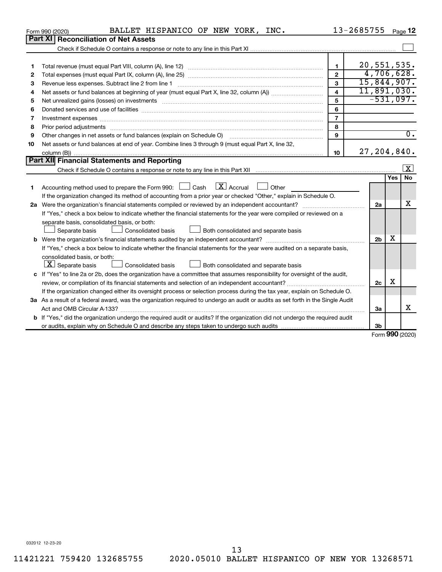|    | BALLET HISPANICO OF NEW YORK, INC.<br>Form 990 (2020)                                                                                                       |                         | 13-2685755    |                | Page 12                 |                  |
|----|-------------------------------------------------------------------------------------------------------------------------------------------------------------|-------------------------|---------------|----------------|-------------------------|------------------|
|    | Part XI   Reconciliation of Net Assets                                                                                                                      |                         |               |                |                         |                  |
|    |                                                                                                                                                             |                         |               |                |                         |                  |
|    |                                                                                                                                                             |                         |               |                |                         |                  |
| 1  |                                                                                                                                                             | 1                       | 20,551,535.   |                |                         |                  |
| 2  |                                                                                                                                                             | $\overline{2}$          |               |                | 4,706,628.              |                  |
| З  | Revenue less expenses. Subtract line 2 from line 1                                                                                                          | 3                       | 15,844,907.   |                |                         |                  |
| 4  |                                                                                                                                                             | $\overline{\mathbf{4}}$ | 11,891,030.   |                |                         |                  |
| 5  |                                                                                                                                                             | 5                       |               |                | $-531,097.$             |                  |
| 6  |                                                                                                                                                             | 6                       |               |                |                         |                  |
| 7  |                                                                                                                                                             | $\overline{7}$          |               |                |                         |                  |
| 8  |                                                                                                                                                             | 8                       |               |                |                         |                  |
| 9  | Other changes in net assets or fund balances (explain on Schedule O) manufactured controller changes in net assets or fund balances (explain on Schedule O) | 9                       |               |                |                         | $\overline{0}$ . |
| 10 | Net assets or fund balances at end of year. Combine lines 3 through 9 (must equal Part X, line 32,                                                          |                         |               |                |                         |                  |
|    |                                                                                                                                                             | 10                      | 27, 204, 840. |                |                         |                  |
|    | Part XII Financial Statements and Reporting                                                                                                                 |                         |               |                |                         |                  |
|    |                                                                                                                                                             |                         |               |                | $\overline{\mathbf{X}}$ |                  |
|    |                                                                                                                                                             |                         |               |                | No<br>Yes               |                  |
| 1  | $\lfloor$ X $\rfloor$ Accrual<br>Accounting method used to prepare the Form 990: [130] Cash<br>Other<br>$\sim$                                              |                         |               |                |                         |                  |
|    | If the organization changed its method of accounting from a prior year or checked "Other," explain in Schedule O.                                           |                         |               |                |                         |                  |
|    |                                                                                                                                                             |                         |               | 2a             | x                       |                  |
|    | If "Yes," check a box below to indicate whether the financial statements for the year were compiled or reviewed on a                                        |                         |               |                |                         |                  |
|    | separate basis, consolidated basis, or both:                                                                                                                |                         |               |                |                         |                  |
|    | Both consolidated and separate basis<br>Separate basis<br>Consolidated basis                                                                                |                         |               |                |                         |                  |
|    |                                                                                                                                                             |                         |               | 2 <sub>b</sub> | x                       |                  |
|    | If "Yes," check a box below to indicate whether the financial statements for the year were audited on a separate basis,                                     |                         |               |                |                         |                  |
|    | consolidated basis, or both:                                                                                                                                |                         |               |                |                         |                  |
|    | $ \mathbf{X} $ Separate basis<br>Consolidated basis<br>Both consolidated and separate basis                                                                 |                         |               |                |                         |                  |
|    | c If "Yes" to line 2a or 2b, does the organization have a committee that assumes responsibility for oversight of the audit,                                 |                         |               |                |                         |                  |
|    |                                                                                                                                                             |                         |               | 2c             | х                       |                  |
|    | If the organization changed either its oversight process or selection process during the tax year, explain on Schedule O.                                   |                         |               |                |                         |                  |
|    | 3a As a result of a federal award, was the organization required to undergo an audit or audits as set forth in the Single Audit                             |                         |               |                |                         |                  |
|    |                                                                                                                                                             |                         |               | 3a             | X                       |                  |
|    | <b>b</b> If "Yes," did the organization undergo the required audit or audits? If the organization did not undergo the required audit                        |                         |               |                |                         |                  |
|    |                                                                                                                                                             |                         |               | 3b             | $000 \times 200$        |                  |
|    |                                                                                                                                                             |                         |               |                |                         |                  |

Form (2020) **990**

032012 12-23-20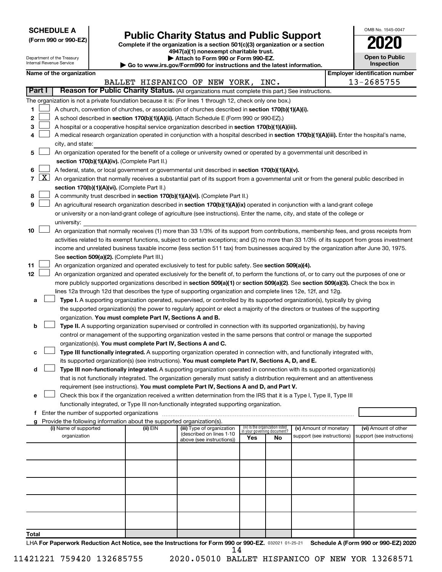| <b>SCHEDULE A</b> |  |
|-------------------|--|
|-------------------|--|

|  |  |  |  |  | (Form 990 or 990-EZ) |  |
|--|--|--|--|--|----------------------|--|
|--|--|--|--|--|----------------------|--|

# **Public Charity Status and Public Support**

Complete if the organization is a section 501(c)(3) organization or a section

**4947(a)(1) nonexempt charitable trust.**

| OMB No 1545-0047                    |
|-------------------------------------|
| 2020                                |
| <b>Open to Public</b><br>Inspection |

| Department of the Treasury<br>Internal Revenue Service |                    |                          |                                                      | Attach to Form 990 or Form 990-EZ.                                     | Go to www.irs.gov/Form990 for instructions and the latest information.                                                                       |                                 |                             |                            | <b>Open to Public</b><br><b>Inspection</b> |                                       |
|--------------------------------------------------------|--------------------|--------------------------|------------------------------------------------------|------------------------------------------------------------------------|----------------------------------------------------------------------------------------------------------------------------------------------|---------------------------------|-----------------------------|----------------------------|--------------------------------------------|---------------------------------------|
|                                                        |                    | Name of the organization |                                                      |                                                                        |                                                                                                                                              |                                 |                             |                            |                                            | <b>Employer identification number</b> |
|                                                        |                    |                          |                                                      |                                                                        | BALLET HISPANICO OF NEW YORK, INC.                                                                                                           |                                 |                             |                            |                                            | 13-2685755                            |
| Part I                                                 |                    |                          |                                                      |                                                                        | Reason for Public Charity Status. (All organizations must complete this part.) See instructions.                                             |                                 |                             |                            |                                            |                                       |
|                                                        |                    |                          |                                                      |                                                                        | The organization is not a private foundation because it is: (For lines 1 through 12, check only one box.)                                    |                                 |                             |                            |                                            |                                       |
| 1                                                      |                    |                          |                                                      |                                                                        | A church, convention of churches, or association of churches described in section 170(b)(1)(A)(i).                                           |                                 |                             |                            |                                            |                                       |
| 2                                                      |                    |                          |                                                      |                                                                        | A school described in section 170(b)(1)(A)(ii). (Attach Schedule E (Form 990 or 990-EZ).)                                                    |                                 |                             |                            |                                            |                                       |
| 3                                                      |                    |                          |                                                      |                                                                        | A hospital or a cooperative hospital service organization described in section 170(b)(1)(A)(iii).                                            |                                 |                             |                            |                                            |                                       |
| 4                                                      |                    |                          |                                                      |                                                                        | A medical research organization operated in conjunction with a hospital described in section 170(b)(1)(A)(iii). Enter the hospital's name,   |                                 |                             |                            |                                            |                                       |
|                                                        |                    | city, and state:         |                                                      |                                                                        |                                                                                                                                              |                                 |                             |                            |                                            |                                       |
| 5                                                      |                    |                          |                                                      |                                                                        | An organization operated for the benefit of a college or university owned or operated by a governmental unit described in                    |                                 |                             |                            |                                            |                                       |
|                                                        |                    |                          |                                                      | section 170(b)(1)(A)(iv). (Complete Part II.)                          |                                                                                                                                              |                                 |                             |                            |                                            |                                       |
| 6                                                      |                    |                          |                                                      |                                                                        | A federal, state, or local government or governmental unit described in section 170(b)(1)(A)(v).                                             |                                 |                             |                            |                                            |                                       |
| $\overline{7}$                                         | $\boxed{\text{X}}$ |                          |                                                      |                                                                        | An organization that normally receives a substantial part of its support from a governmental unit or from the general public described in    |                                 |                             |                            |                                            |                                       |
|                                                        |                    |                          |                                                      | section 170(b)(1)(A)(vi). (Complete Part II.)                          |                                                                                                                                              |                                 |                             |                            |                                            |                                       |
| 8                                                      |                    |                          |                                                      |                                                                        | A community trust described in section 170(b)(1)(A)(vi). (Complete Part II.)                                                                 |                                 |                             |                            |                                            |                                       |
| 9                                                      |                    |                          |                                                      |                                                                        | An agricultural research organization described in section 170(b)(1)(A)(ix) operated in conjunction with a land-grant college                |                                 |                             |                            |                                            |                                       |
|                                                        |                    |                          |                                                      |                                                                        | or university or a non-land-grant college of agriculture (see instructions). Enter the name, city, and state of the college or               |                                 |                             |                            |                                            |                                       |
|                                                        |                    | university:              |                                                      |                                                                        |                                                                                                                                              |                                 |                             |                            |                                            |                                       |
| 10                                                     |                    |                          |                                                      |                                                                        | An organization that normally receives (1) more than 33 1/3% of its support from contributions, membership fees, and gross receipts from     |                                 |                             |                            |                                            |                                       |
|                                                        |                    |                          |                                                      |                                                                        | activities related to its exempt functions, subject to certain exceptions; and (2) no more than 33 1/3% of its support from gross investment |                                 |                             |                            |                                            |                                       |
|                                                        |                    |                          |                                                      |                                                                        | income and unrelated business taxable income (less section 511 tax) from businesses acquired by the organization after June 30, 1975.        |                                 |                             |                            |                                            |                                       |
|                                                        |                    |                          |                                                      | See section 509(a)(2). (Complete Part III.)                            |                                                                                                                                              |                                 |                             |                            |                                            |                                       |
| 11                                                     |                    |                          |                                                      |                                                                        | An organization organized and operated exclusively to test for public safety. See section 509(a)(4).                                         |                                 |                             |                            |                                            |                                       |
| 12                                                     |                    |                          |                                                      |                                                                        | An organization organized and operated exclusively for the benefit of, to perform the functions of, or to carry out the purposes of one or   |                                 |                             |                            |                                            |                                       |
|                                                        |                    |                          |                                                      |                                                                        | more publicly supported organizations described in section 509(a)(1) or section 509(a)(2). See section 509(a)(3). Check the box in           |                                 |                             |                            |                                            |                                       |
|                                                        |                    |                          |                                                      |                                                                        | lines 12a through 12d that describes the type of supporting organization and complete lines 12e, 12f, and 12g.                               |                                 |                             |                            |                                            |                                       |
| а                                                      |                    |                          |                                                      |                                                                        | Type I. A supporting organization operated, supervised, or controlled by its supported organization(s), typically by giving                  |                                 |                             |                            |                                            |                                       |
|                                                        |                    |                          |                                                      |                                                                        | the supported organization(s) the power to regularly appoint or elect a majority of the directors or trustees of the supporting              |                                 |                             |                            |                                            |                                       |
|                                                        |                    |                          |                                                      | organization. You must complete Part IV, Sections A and B.             |                                                                                                                                              |                                 |                             |                            |                                            |                                       |
| b                                                      |                    |                          |                                                      |                                                                        | Type II. A supporting organization supervised or controlled in connection with its supported organization(s), by having                      |                                 |                             |                            |                                            |                                       |
|                                                        |                    |                          |                                                      |                                                                        | control or management of the supporting organization vested in the same persons that control or manage the supported                         |                                 |                             |                            |                                            |                                       |
| с                                                      |                    |                          |                                                      | organization(s). You must complete Part IV, Sections A and C.          | Type III functionally integrated. A supporting organization operated in connection with, and functionally integrated with,                   |                                 |                             |                            |                                            |                                       |
|                                                        |                    |                          |                                                      |                                                                        | its supported organization(s) (see instructions). You must complete Part IV, Sections A, D, and E.                                           |                                 |                             |                            |                                            |                                       |
| d                                                      |                    |                          |                                                      |                                                                        | Type III non-functionally integrated. A supporting organization operated in connection with its supported organization(s)                    |                                 |                             |                            |                                            |                                       |
|                                                        |                    |                          |                                                      |                                                                        | that is not functionally integrated. The organization generally must satisfy a distribution requirement and an attentiveness                 |                                 |                             |                            |                                            |                                       |
|                                                        |                    |                          |                                                      |                                                                        | requirement (see instructions). You must complete Part IV, Sections A and D, and Part V.                                                     |                                 |                             |                            |                                            |                                       |
|                                                        |                    |                          |                                                      |                                                                        | Check this box if the organization received a written determination from the IRS that it is a Type I, Type II, Type III                      |                                 |                             |                            |                                            |                                       |
|                                                        |                    |                          |                                                      |                                                                        | functionally integrated, or Type III non-functionally integrated supporting organization.                                                    |                                 |                             |                            |                                            |                                       |
|                                                        |                    |                          | <b>f</b> Enter the number of supported organizations |                                                                        |                                                                                                                                              |                                 |                             |                            |                                            |                                       |
|                                                        |                    |                          |                                                      | Provide the following information about the supported organization(s). |                                                                                                                                              |                                 |                             |                            |                                            |                                       |
|                                                        |                    | (i) Name of supported    |                                                      | (ii) EIN                                                               | (iii) Type of organization<br>(described on lines 1-10)                                                                                      | (iv) Is the organization listed | in vour aovernina document? | (v) Amount of monetary     |                                            | (vi) Amount of other                  |
|                                                        |                    | organization             |                                                      |                                                                        | above (see instructions))                                                                                                                    | Yes                             | No                          | support (see instructions) |                                            | support (see instructions)            |
|                                                        |                    |                          |                                                      |                                                                        |                                                                                                                                              |                                 |                             |                            |                                            |                                       |
|                                                        |                    |                          |                                                      |                                                                        |                                                                                                                                              |                                 |                             |                            |                                            |                                       |
|                                                        |                    |                          |                                                      |                                                                        |                                                                                                                                              |                                 |                             |                            |                                            |                                       |
|                                                        |                    |                          |                                                      |                                                                        |                                                                                                                                              |                                 |                             |                            |                                            |                                       |
|                                                        |                    |                          |                                                      |                                                                        |                                                                                                                                              |                                 |                             |                            |                                            |                                       |
|                                                        |                    |                          |                                                      |                                                                        |                                                                                                                                              |                                 |                             |                            |                                            |                                       |
|                                                        |                    |                          |                                                      |                                                                        |                                                                                                                                              |                                 |                             |                            |                                            |                                       |
|                                                        |                    |                          |                                                      |                                                                        |                                                                                                                                              |                                 |                             |                            |                                            |                                       |
|                                                        |                    |                          |                                                      |                                                                        |                                                                                                                                              |                                 |                             |                            |                                            |                                       |
|                                                        |                    |                          |                                                      |                                                                        |                                                                                                                                              |                                 |                             |                            |                                            |                                       |

LHA For Paperwork Reduction Act Notice, see the Instructions for Form 990 or 990-EZ. 032021 01-25-21 Schedule A (Form 990 or 990-EZ) 2020 14

**Total**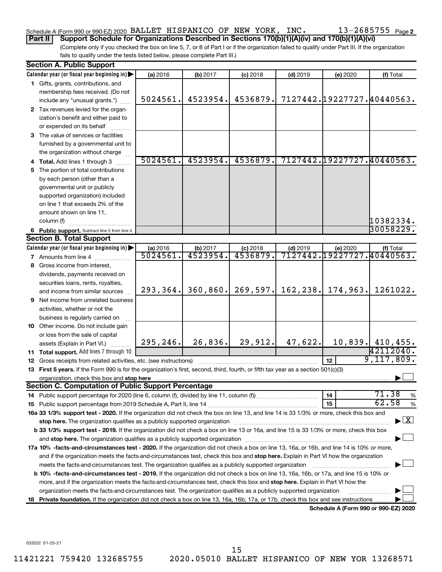# Schedule A (Form 990 or 990-EZ) 2020 BALLET HISPANICO OF NEW YORK, INC.  $13$  –  $2685755\,$  Page

13-2685755 Page 2

**Part II Support Schedule for Organizations Described in Sections 170(b)(1)(A)(iv) and 170(b)(1)(A)(vi)**

(Complete only if you checked the box on line 5, 7, or 8 of Part I or if the organization failed to qualify under Part III. If the organization fails to qualify under the tests listed below, please complete Part III.)

|    | <b>Section A. Public Support</b>                                                                                                                                                                                                                                                                  |           |          |            |            |                                      |                                          |
|----|---------------------------------------------------------------------------------------------------------------------------------------------------------------------------------------------------------------------------------------------------------------------------------------------------|-----------|----------|------------|------------|--------------------------------------|------------------------------------------|
|    | Calendar year (or fiscal year beginning in)                                                                                                                                                                                                                                                       | (a) 2016  | (b) 2017 | $(c)$ 2018 | $(d)$ 2019 | (e) 2020                             | (f) Total                                |
|    | 1 Gifts, grants, contributions, and                                                                                                                                                                                                                                                               |           |          |            |            |                                      |                                          |
|    | membership fees received. (Do not                                                                                                                                                                                                                                                                 |           |          |            |            |                                      |                                          |
|    | include any "unusual grants.")                                                                                                                                                                                                                                                                    | 5024561.  | 4523954. | 4536879.   |            |                                      | 7127442.19227727.40440563.               |
|    | 2 Tax revenues levied for the organ-                                                                                                                                                                                                                                                              |           |          |            |            |                                      |                                          |
|    | ization's benefit and either paid to                                                                                                                                                                                                                                                              |           |          |            |            |                                      |                                          |
|    | or expended on its behalf                                                                                                                                                                                                                                                                         |           |          |            |            |                                      |                                          |
|    | 3 The value of services or facilities                                                                                                                                                                                                                                                             |           |          |            |            |                                      |                                          |
|    | furnished by a governmental unit to                                                                                                                                                                                                                                                               |           |          |            |            |                                      |                                          |
|    | the organization without charge                                                                                                                                                                                                                                                                   |           |          |            |            |                                      |                                          |
|    | 4 Total. Add lines 1 through 3                                                                                                                                                                                                                                                                    | 5024561.  | 4523954. | 4536879.   |            |                                      | 7127442.19227727.40440563.               |
|    | 5 The portion of total contributions                                                                                                                                                                                                                                                              |           |          |            |            |                                      |                                          |
|    | by each person (other than a                                                                                                                                                                                                                                                                      |           |          |            |            |                                      |                                          |
|    | governmental unit or publicly                                                                                                                                                                                                                                                                     |           |          |            |            |                                      |                                          |
|    | supported organization) included                                                                                                                                                                                                                                                                  |           |          |            |            |                                      |                                          |
|    | on line 1 that exceeds 2% of the                                                                                                                                                                                                                                                                  |           |          |            |            |                                      |                                          |
|    | amount shown on line 11,                                                                                                                                                                                                                                                                          |           |          |            |            |                                      |                                          |
|    | column (f)                                                                                                                                                                                                                                                                                        |           |          |            |            |                                      | 10382334.                                |
|    | 6 Public support. Subtract line 5 from line 4.                                                                                                                                                                                                                                                    |           |          |            |            |                                      | 30058229.                                |
|    | <b>Section B. Total Support</b>                                                                                                                                                                                                                                                                   |           |          |            |            |                                      |                                          |
|    | Calendar year (or fiscal year beginning in)                                                                                                                                                                                                                                                       | (a) 2016  | (b) 2017 | $(c)$ 2018 | $(d)$ 2019 | (e) 2020                             | (f) Total                                |
|    | <b>7</b> Amounts from line 4                                                                                                                                                                                                                                                                      | 5024561   | 4523954  | 4536879.   |            |                                      | 7127442.19227727.40440563.               |
|    | 8 Gross income from interest,                                                                                                                                                                                                                                                                     |           |          |            |            |                                      |                                          |
|    | dividends, payments received on                                                                                                                                                                                                                                                                   |           |          |            |            |                                      |                                          |
|    | securities loans, rents, royalties,                                                                                                                                                                                                                                                               |           |          |            |            |                                      |                                          |
|    | and income from similar sources                                                                                                                                                                                                                                                                   | 293, 364. | 360,860. | 269,597.   | 162, 238.  | 174,963.                             | 1261022.                                 |
|    | <b>9</b> Net income from unrelated business                                                                                                                                                                                                                                                       |           |          |            |            |                                      |                                          |
|    | activities, whether or not the                                                                                                                                                                                                                                                                    |           |          |            |            |                                      |                                          |
|    | business is regularly carried on                                                                                                                                                                                                                                                                  |           |          |            |            |                                      |                                          |
|    | 10 Other income. Do not include gain                                                                                                                                                                                                                                                              |           |          |            |            |                                      |                                          |
|    | or loss from the sale of capital                                                                                                                                                                                                                                                                  |           |          |            |            |                                      |                                          |
|    | assets (Explain in Part VI.)                                                                                                                                                                                                                                                                      | 295, 246. | 26,836.  | 29,912.    | 47,622.    |                                      | 10,839. 410,455.                         |
|    | 11 Total support. Add lines 7 through 10                                                                                                                                                                                                                                                          |           |          |            |            |                                      | 42112040.                                |
|    | <b>12</b> Gross receipts from related activities, etc. (see instructions)                                                                                                                                                                                                                         |           |          |            |            | 12 <sub>2</sub>                      | 9,117,809.                               |
|    | 13 First 5 years. If the Form 990 is for the organization's first, second, third, fourth, or fifth tax year as a section 501(c)(3)                                                                                                                                                                |           |          |            |            |                                      |                                          |
|    | organization, check this box and stop here <b>construction and construction</b> construction and stop here constructed and stop here construction and stop here constructed and stop here constructed and stop here and stop here a<br><b>Section C. Computation of Public Support Percentage</b> |           |          |            |            |                                      |                                          |
|    |                                                                                                                                                                                                                                                                                                   |           |          |            |            |                                      | 71.38                                    |
|    |                                                                                                                                                                                                                                                                                                   |           |          |            |            | 14<br>15                             | %<br>62.58<br>$\%$                       |
|    | 16a 33 1/3% support test - 2020. If the organization did not check the box on line 13, and line 14 is 33 1/3% or more, check this box and                                                                                                                                                         |           |          |            |            |                                      |                                          |
|    | stop here. The organization qualifies as a publicly supported organization manufaction manufacture or manufacture or the organization manufacture or the organization of the state of the state of the state of the state of t                                                                    |           |          |            |            |                                      | $\blacktriangleright$ $\boxed{\text{X}}$ |
|    | b 33 1/3% support test - 2019. If the organization did not check a box on line 13 or 16a, and line 15 is 33 1/3% or more, check this box                                                                                                                                                          |           |          |            |            |                                      |                                          |
|    |                                                                                                                                                                                                                                                                                                   |           |          |            |            |                                      |                                          |
|    |                                                                                                                                                                                                                                                                                                   |           |          |            |            |                                      |                                          |
|    | 17a 10% -facts-and-circumstances test - 2020. If the organization did not check a box on line 13, 16a, or 16b, and line 14 is 10% or more,<br>and if the organization meets the facts-and-circumstances test, check this box and stop here. Explain in Part VI how the organization               |           |          |            |            |                                      |                                          |
|    | meets the facts-and-circumstances test. The organization qualifies as a publicly supported organization                                                                                                                                                                                           |           |          |            |            |                                      |                                          |
|    | b 10% -facts-and-circumstances test - 2019. If the organization did not check a box on line 13, 16a, 16b, or 17a, and line 15 is 10% or                                                                                                                                                           |           |          |            |            |                                      |                                          |
|    | more, and if the organization meets the facts-and-circumstances test, check this box and <b>stop here.</b> Explain in Part VI how the                                                                                                                                                             |           |          |            |            |                                      |                                          |
|    | organization meets the facts-and-circumstances test. The organization qualifies as a publicly supported organization                                                                                                                                                                              |           |          |            |            |                                      |                                          |
| 18 | Private foundation. If the organization did not check a box on line 13, 16a, 16b, 17a, or 17b, check this box and see instructions.                                                                                                                                                               |           |          |            |            |                                      |                                          |
|    |                                                                                                                                                                                                                                                                                                   |           |          |            |            | Schedule A (Form 990 or 990-EZ) 2020 |                                          |

032022 01-25-21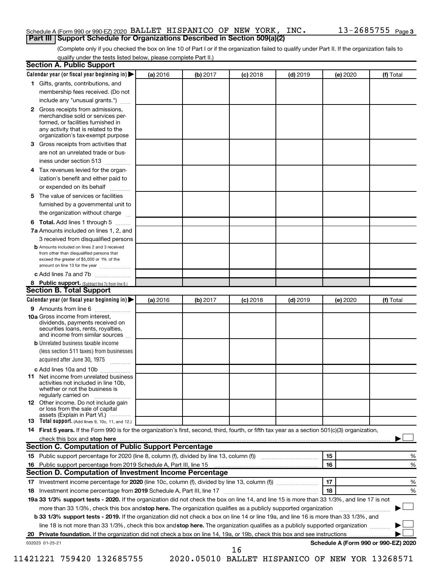#### Schedule A (Form 990 or 990-EZ) 2020 BALLET HISPANICO OF NEW YORK, INC.  $13$  –  $2685755\,$  Page **Part III Support Schedule for Organizations Described in Section 509(a)(2)**

(Complete only if you checked the box on line 10 of Part I or if the organization failed to qualify under Part II. If the organization fails to qualify under the tests listed below, please complete Part II.)

| <b>Section A. Public Support</b>                                                                                                                                                                |          |          |            |            |          |                                      |
|-------------------------------------------------------------------------------------------------------------------------------------------------------------------------------------------------|----------|----------|------------|------------|----------|--------------------------------------|
| Calendar year (or fiscal year beginning in)                                                                                                                                                     | (a) 2016 | (b) 2017 | (c) 2018   | $(d)$ 2019 | (e) 2020 | (f) Total                            |
| 1 Gifts, grants, contributions, and                                                                                                                                                             |          |          |            |            |          |                                      |
| membership fees received. (Do not                                                                                                                                                               |          |          |            |            |          |                                      |
| include any "unusual grants.")                                                                                                                                                                  |          |          |            |            |          |                                      |
| <b>2</b> Gross receipts from admissions,<br>merchandise sold or services per-<br>formed, or facilities furnished in<br>any activity that is related to the<br>organization's tax-exempt purpose |          |          |            |            |          |                                      |
| 3 Gross receipts from activities that                                                                                                                                                           |          |          |            |            |          |                                      |
| are not an unrelated trade or bus-<br>iness under section 513                                                                                                                                   |          |          |            |            |          |                                      |
| 4 Tax revenues levied for the organ-                                                                                                                                                            |          |          |            |            |          |                                      |
| ization's benefit and either paid to<br>or expended on its behalf                                                                                                                               |          |          |            |            |          |                                      |
| 5 The value of services or facilities                                                                                                                                                           |          |          |            |            |          |                                      |
| furnished by a governmental unit to                                                                                                                                                             |          |          |            |            |          |                                      |
| the organization without charge                                                                                                                                                                 |          |          |            |            |          |                                      |
|                                                                                                                                                                                                 |          |          |            |            |          |                                      |
| <b>6 Total.</b> Add lines 1 through 5<br>7a Amounts included on lines 1, 2, and                                                                                                                 |          |          |            |            |          |                                      |
| 3 received from disqualified persons                                                                                                                                                            |          |          |            |            |          |                                      |
| <b>b</b> Amounts included on lines 2 and 3 received<br>from other than disqualified persons that<br>exceed the greater of \$5,000 or 1% of the<br>amount on line 13 for the year                |          |          |            |            |          |                                      |
| c Add lines 7a and 7b                                                                                                                                                                           |          |          |            |            |          |                                      |
| 8 Public support. (Subtract line 7c from line 6.)                                                                                                                                               |          |          |            |            |          |                                      |
| <b>Section B. Total Support</b>                                                                                                                                                                 |          |          |            |            |          |                                      |
| Calendar year (or fiscal year beginning in)                                                                                                                                                     | (a) 2016 | (b) 2017 | $(c)$ 2018 | $(d)$ 2019 | (e) 2020 | (f) Total                            |
| 9 Amounts from line 6                                                                                                                                                                           |          |          |            |            |          |                                      |
| <b>10a</b> Gross income from interest,<br>dividends, payments received on<br>securities loans, rents, royalties,<br>and income from similar sources                                             |          |          |            |            |          |                                      |
| <b>b</b> Unrelated business taxable income<br>(less section 511 taxes) from businesses                                                                                                          |          |          |            |            |          |                                      |
| acquired after June 30, 1975                                                                                                                                                                    |          |          |            |            |          |                                      |
| c Add lines 10a and 10b                                                                                                                                                                         |          |          |            |            |          |                                      |
| <b>11</b> Net income from unrelated business<br>activities not included in line 10b.<br>whether or not the business is<br>regularly carried on                                                  |          |          |            |            |          |                                      |
| 12 Other income. Do not include gain<br>or loss from the sale of capital<br>assets (Explain in Part VI.)                                                                                        |          |          |            |            |          |                                      |
| <b>13</b> Total support. (Add lines 9, 10c, 11, and 12.)                                                                                                                                        |          |          |            |            |          |                                      |
| 14 First 5 years. If the Form 990 is for the organization's first, second, third, fourth, or fifth tax year as a section 501(c)(3) organization,                                                |          |          |            |            |          |                                      |
|                                                                                                                                                                                                 |          |          |            |            |          |                                      |
| Section C. Computation of Public Support Percentage                                                                                                                                             |          |          |            |            |          |                                      |
| 15 Public support percentage for 2020 (line 8, column (f), divided by line 13, column (f) <i></i>                                                                                               |          |          |            |            | 15       | %                                    |
|                                                                                                                                                                                                 |          |          |            |            | 16       | %                                    |
| Section D. Computation of Investment Income Percentage                                                                                                                                          |          |          |            |            |          |                                      |
| 17 Investment income percentage for 2020 (line 10c, column (f), divided by line 13, column (f))                                                                                                 |          |          |            |            | 17       | %                                    |
| 18 Investment income percentage from 2019 Schedule A, Part III, line 17                                                                                                                         |          |          |            |            | 18       | %                                    |
| 19a 33 1/3% support tests - 2020. If the organization did not check the box on line 14, and line 15 is more than 33 1/3%, and line 17 is not                                                    |          |          |            |            |          |                                      |
| more than 33 1/3%, check this box and stop here. The organization qualifies as a publicly supported organization                                                                                |          |          |            |            |          |                                      |
| b 33 1/3% support tests - 2019. If the organization did not check a box on line 14 or line 19a, and line 16 is more than 33 1/3%, and                                                           |          |          |            |            |          |                                      |
| line 18 is not more than 33 1/3%, check this box and stop here. The organization qualifies as a publicly supported organization                                                                 |          |          |            |            |          |                                      |
|                                                                                                                                                                                                 |          |          |            |            |          |                                      |
| 032023 01-25-21                                                                                                                                                                                 |          |          | 16         |            |          | Schedule A (Form 990 or 990-EZ) 2020 |
|                                                                                                                                                                                                 |          |          |            |            |          |                                      |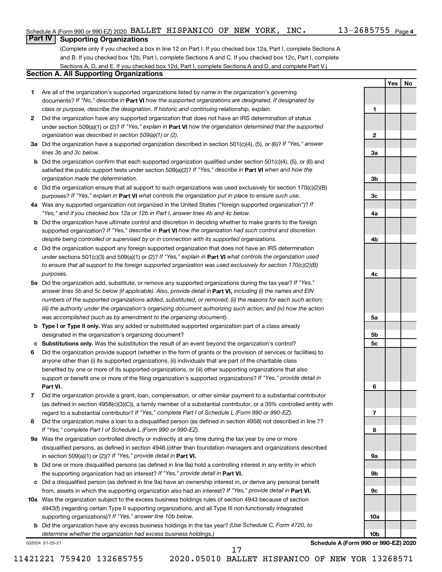**1**

**2**

**3a**

**3b**

**3c**

**4a**

**4b**

**4c**

**5a**

**5b 5c**

**6**

**7**

**8**

**9a**

**9b**

**9c**

**10a**

**10b**

**Yes No**

# **Part IV Supporting Organizations**

(Complete only if you checked a box in line 12 on Part I. If you checked box 12a, Part I, complete Sections A and B. If you checked box 12b, Part I, complete Sections A and C. If you checked box 12c, Part I, complete Sections A, D, and E. If you checked box 12d, Part I, complete Sections A and D, and complete Part V.)

## **Section A. All Supporting Organizations**

- **1** Are all of the organization's supported organizations listed by name in the organization's governing documents? If "No," describe in Part VI how the supported organizations are designated. If designated by *class or purpose, describe the designation. If historic and continuing relationship, explain.*
- **2** Did the organization have any supported organization that does not have an IRS determination of status under section 509(a)(1) or (2)? If "Yes," explain in Part **VI** how the organization determined that the supported *organization was described in section 509(a)(1) or (2).*
- **3a** Did the organization have a supported organization described in section 501(c)(4), (5), or (6)? If "Yes," answer *lines 3b and 3c below.*
- **b** Did the organization confirm that each supported organization qualified under section 501(c)(4), (5), or (6) and satisfied the public support tests under section 509(a)(2)? If "Yes," describe in Part VI when and how the *organization made the determination.*
- **c** Did the organization ensure that all support to such organizations was used exclusively for section 170(c)(2)(B) purposes? If "Yes," explain in Part VI what controls the organization put in place to ensure such use.
- **4 a** *If* Was any supported organization not organized in the United States ("foreign supported organization")? *"Yes," and if you checked box 12a or 12b in Part I, answer lines 4b and 4c below.*
- **b** Did the organization have ultimate control and discretion in deciding whether to make grants to the foreign supported organization? If "Yes," describe in Part VI how the organization had such control and discretion *despite being controlled or supervised by or in connection with its supported organizations.*
- **c** Did the organization support any foreign supported organization that does not have an IRS determination under sections 501(c)(3) and 509(a)(1) or (2)? If "Yes," explain in Part VI what controls the organization used *to ensure that all support to the foreign supported organization was used exclusively for section 170(c)(2)(B) purposes.*
- **5a** Did the organization add, substitute, or remove any supported organizations during the tax year? If "Yes," answer lines 5b and 5c below (if applicable). Also, provide detail in **Part VI,** including (i) the names and EIN *numbers of the supported organizations added, substituted, or removed; (ii) the reasons for each such action; (iii) the authority under the organization's organizing document authorizing such action; and (iv) how the action was accomplished (such as by amendment to the organizing document).*
- **b** Type I or Type II only. Was any added or substituted supported organization part of a class already designated in the organization's organizing document?
- **c Substitutions only.**  Was the substitution the result of an event beyond the organization's control?
- **6** Did the organization provide support (whether in the form of grants or the provision of services or facilities) to **Part VI.** support or benefit one or more of the filing organization's supported organizations? If "Yes," provide detail in anyone other than (i) its supported organizations, (ii) individuals that are part of the charitable class benefited by one or more of its supported organizations, or (iii) other supporting organizations that also
- **7** Did the organization provide a grant, loan, compensation, or other similar payment to a substantial contributor regard to a substantial contributor? If "Yes," complete Part I of Schedule L (Form 990 or 990-EZ). (as defined in section 4958(c)(3)(C)), a family member of a substantial contributor, or a 35% controlled entity with
- **8** Did the organization make a loan to a disqualified person (as defined in section 4958) not described in line 7? *If "Yes," complete Part I of Schedule L (Form 990 or 990-EZ).*
- **9 a** Was the organization controlled directly or indirectly at any time during the tax year by one or more in section 509(a)(1) or (2))? If "Yes," provide detail in **Part VI.** disqualified persons, as defined in section 4946 (other than foundation managers and organizations described
- **b** Did one or more disqualified persons (as defined in line 9a) hold a controlling interest in any entity in which the supporting organization had an interest? If "Yes," provide detail in Part VI.
- **c** Did a disqualified person (as defined in line 9a) have an ownership interest in, or derive any personal benefit from, assets in which the supporting organization also had an interest? If "Yes," provide detail in Part VI.
- **10 a** Was the organization subject to the excess business holdings rules of section 4943 because of section supporting organizations)? If "Yes," answer line 10b below. 4943(f) (regarding certain Type II supporting organizations, and all Type III non-functionally integrated
	- **b** Did the organization have any excess business holdings in the tax year? (Use Schedule C, Form 4720, to *determine whether the organization had excess business holdings.)*

032024 01-25-21

**Schedule A (Form 990 or 990-EZ) 2020**

17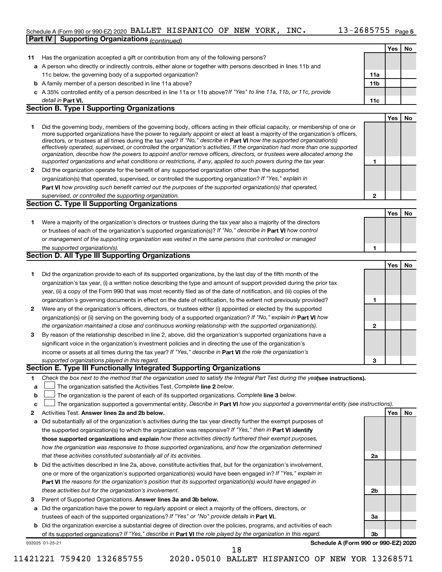#### Schedule A (Form 990 or 990-EZ) 2020 BALLET HISPANICO OF NEW YORK, INC.  $13$  –  $2685755$  p<sub>age 5</sub> **Part IV Supporting Organizations** *(continued)*

|    |                                                                                                                                                                                                                                                                                                                                                                                                                                                                                                                                                                                                                                                      |              | Yes | No |
|----|------------------------------------------------------------------------------------------------------------------------------------------------------------------------------------------------------------------------------------------------------------------------------------------------------------------------------------------------------------------------------------------------------------------------------------------------------------------------------------------------------------------------------------------------------------------------------------------------------------------------------------------------------|--------------|-----|----|
| 11 | Has the organization accepted a gift or contribution from any of the following persons?                                                                                                                                                                                                                                                                                                                                                                                                                                                                                                                                                              |              |     |    |
|    | a A person who directly or indirectly controls, either alone or together with persons described in lines 11b and                                                                                                                                                                                                                                                                                                                                                                                                                                                                                                                                     |              |     |    |
|    | 11c below, the governing body of a supported organization?                                                                                                                                                                                                                                                                                                                                                                                                                                                                                                                                                                                           | <b>11a</b>   |     |    |
|    | <b>b</b> A family member of a person described in line 11a above?                                                                                                                                                                                                                                                                                                                                                                                                                                                                                                                                                                                    | 11b          |     |    |
|    | c A 35% controlled entity of a person described in line 11a or 11b above? If "Yes" to line 11a, 11b, or 11c, provide                                                                                                                                                                                                                                                                                                                                                                                                                                                                                                                                 |              |     |    |
|    | detail in Part VI.                                                                                                                                                                                                                                                                                                                                                                                                                                                                                                                                                                                                                                   | 11c          |     |    |
|    | <b>Section B. Type I Supporting Organizations</b>                                                                                                                                                                                                                                                                                                                                                                                                                                                                                                                                                                                                    |              |     |    |
|    |                                                                                                                                                                                                                                                                                                                                                                                                                                                                                                                                                                                                                                                      |              | Yes | No |
| 1  | Did the governing body, members of the governing body, officers acting in their official capacity, or membership of one or<br>more supported organizations have the power to regularly appoint or elect at least a majority of the organization's officers,<br>directors, or trustees at all times during the tax year? If "No," describe in Part VI how the supported organization(s)<br>effectively operated, supervised, or controlled the organization's activities. If the organization had more than one supported<br>organization, describe how the powers to appoint and/or remove officers, directors, or trustees were allocated among the |              |     |    |
|    | supported organizations and what conditions or restrictions, if any, applied to such powers during the tax year.                                                                                                                                                                                                                                                                                                                                                                                                                                                                                                                                     | 1            |     |    |
| 2  | Did the organization operate for the benefit of any supported organization other than the supported                                                                                                                                                                                                                                                                                                                                                                                                                                                                                                                                                  |              |     |    |
|    | organization(s) that operated, supervised, or controlled the supporting organization? If "Yes," explain in                                                                                                                                                                                                                                                                                                                                                                                                                                                                                                                                           |              |     |    |
|    | Part VI how providing such benefit carried out the purposes of the supported organization(s) that operated,                                                                                                                                                                                                                                                                                                                                                                                                                                                                                                                                          |              |     |    |
|    | supervised, or controlled the supporting organization.                                                                                                                                                                                                                                                                                                                                                                                                                                                                                                                                                                                               | $\mathbf{2}$ |     |    |
|    | <b>Section C. Type II Supporting Organizations</b>                                                                                                                                                                                                                                                                                                                                                                                                                                                                                                                                                                                                   |              |     |    |
|    |                                                                                                                                                                                                                                                                                                                                                                                                                                                                                                                                                                                                                                                      |              | Yes | No |
| 1  | Were a majority of the organization's directors or trustees during the tax year also a majority of the directors                                                                                                                                                                                                                                                                                                                                                                                                                                                                                                                                     |              |     |    |
|    | or trustees of each of the organization's supported organization(s)? If "No," describe in Part VI how control                                                                                                                                                                                                                                                                                                                                                                                                                                                                                                                                        |              |     |    |
|    | or management of the supporting organization was vested in the same persons that controlled or managed                                                                                                                                                                                                                                                                                                                                                                                                                                                                                                                                               |              |     |    |
|    | the supported organization(s).                                                                                                                                                                                                                                                                                                                                                                                                                                                                                                                                                                                                                       | 1            |     |    |
|    | Section D. All Type III Supporting Organizations                                                                                                                                                                                                                                                                                                                                                                                                                                                                                                                                                                                                     |              |     |    |
|    |                                                                                                                                                                                                                                                                                                                                                                                                                                                                                                                                                                                                                                                      |              | Yes | No |
| 1  | Did the organization provide to each of its supported organizations, by the last day of the fifth month of the                                                                                                                                                                                                                                                                                                                                                                                                                                                                                                                                       |              |     |    |
|    | organization's tax year, (i) a written notice describing the type and amount of support provided during the prior tax                                                                                                                                                                                                                                                                                                                                                                                                                                                                                                                                |              |     |    |
|    | year, (ii) a copy of the Form 990 that was most recently filed as of the date of notification, and (iii) copies of the                                                                                                                                                                                                                                                                                                                                                                                                                                                                                                                               |              |     |    |
|    | organization's governing documents in effect on the date of notification, to the extent not previously provided?                                                                                                                                                                                                                                                                                                                                                                                                                                                                                                                                     | 1            |     |    |
| 2  | Were any of the organization's officers, directors, or trustees either (i) appointed or elected by the supported                                                                                                                                                                                                                                                                                                                                                                                                                                                                                                                                     |              |     |    |
|    | organization(s) or (ii) serving on the governing body of a supported organization? If "No," explain in Part VI how                                                                                                                                                                                                                                                                                                                                                                                                                                                                                                                                   |              |     |    |
|    | the organization maintained a close and continuous working relationship with the supported organization(s).                                                                                                                                                                                                                                                                                                                                                                                                                                                                                                                                          | 2            |     |    |
| 3  | By reason of the relationship described in line 2, above, did the organization's supported organizations have a                                                                                                                                                                                                                                                                                                                                                                                                                                                                                                                                      |              |     |    |
|    | significant voice in the organization's investment policies and in directing the use of the organization's                                                                                                                                                                                                                                                                                                                                                                                                                                                                                                                                           |              |     |    |
|    | income or assets at all times during the tax year? If "Yes," describe in Part VI the role the organization's                                                                                                                                                                                                                                                                                                                                                                                                                                                                                                                                         |              |     |    |
|    | supported organizations played in this regard.                                                                                                                                                                                                                                                                                                                                                                                                                                                                                                                                                                                                       | 3            |     |    |
|    | Section E. Type III Functionally Integrated Supporting Organizations                                                                                                                                                                                                                                                                                                                                                                                                                                                                                                                                                                                 |              |     |    |
| 1  | Check the box next to the method that the organization used to satisfy the Integral Part Test during the yealsee instructions).                                                                                                                                                                                                                                                                                                                                                                                                                                                                                                                      |              |     |    |
| а  | The organization satisfied the Activities Test. Complete line 2 below.                                                                                                                                                                                                                                                                                                                                                                                                                                                                                                                                                                               |              |     |    |
| b  | The organization is the parent of each of its supported organizations. Complete line 3 below.                                                                                                                                                                                                                                                                                                                                                                                                                                                                                                                                                        |              |     |    |
| c  | The organization supported a governmental entity. Describe in Part VI how you supported a governmental entity (see instructions).                                                                                                                                                                                                                                                                                                                                                                                                                                                                                                                    |              |     |    |
| 2  | Activities Test. Answer lines 2a and 2b below.                                                                                                                                                                                                                                                                                                                                                                                                                                                                                                                                                                                                       |              | Yes | No |
|    | Did substantially all of the organization's activities during the tax year directly further the exempt purposes of                                                                                                                                                                                                                                                                                                                                                                                                                                                                                                                                   |              |     |    |
| а  | the supported organization(s) to which the organization was responsive? If "Yes," then in Part VI identify                                                                                                                                                                                                                                                                                                                                                                                                                                                                                                                                           |              |     |    |
|    | those supported organizations and explain how these activities directly furthered their exempt purposes,                                                                                                                                                                                                                                                                                                                                                                                                                                                                                                                                             |              |     |    |
|    | how the organization was responsive to those supported organizations, and how the organization determined                                                                                                                                                                                                                                                                                                                                                                                                                                                                                                                                            |              |     |    |
|    |                                                                                                                                                                                                                                                                                                                                                                                                                                                                                                                                                                                                                                                      |              |     |    |
|    | that these activities constituted substantially all of its activities.                                                                                                                                                                                                                                                                                                                                                                                                                                                                                                                                                                               | 2a           |     |    |
| b  | Did the activities described in line 2a, above, constitute activities that, but for the organization's involvement,                                                                                                                                                                                                                                                                                                                                                                                                                                                                                                                                  |              |     |    |
|    | one or more of the organization's supported organization(s) would have been engaged in? If "Yes," explain in                                                                                                                                                                                                                                                                                                                                                                                                                                                                                                                                         |              |     |    |
|    | <b>Part VI</b> the reasons for the organization's position that its supported organization(s) would have engaged in                                                                                                                                                                                                                                                                                                                                                                                                                                                                                                                                  |              |     |    |
|    | these activities but for the organization's involvement.                                                                                                                                                                                                                                                                                                                                                                                                                                                                                                                                                                                             | 2b           |     |    |
| З  | Parent of Supported Organizations. Answer lines 3a and 3b below.                                                                                                                                                                                                                                                                                                                                                                                                                                                                                                                                                                                     |              |     |    |
| а  | Did the organization have the power to regularly appoint or elect a majority of the officers, directors, or                                                                                                                                                                                                                                                                                                                                                                                                                                                                                                                                          |              |     |    |
|    | trustees of each of the supported organizations? If "Yes" or "No" provide details in Part VI.                                                                                                                                                                                                                                                                                                                                                                                                                                                                                                                                                        | За           |     |    |
| b  | Did the organization exercise a substantial degree of direction over the policies, programs, and activities of each                                                                                                                                                                                                                                                                                                                                                                                                                                                                                                                                  |              |     |    |
|    | of its supported organizations? If "Yes," describe in Part VI the role played by the organization in this regard.                                                                                                                                                                                                                                                                                                                                                                                                                                                                                                                                    | 3b           |     |    |
|    | Schedule A (Form 990 or 990-EZ) 2020<br>032025 01-25-21                                                                                                                                                                                                                                                                                                                                                                                                                                                                                                                                                                                              |              |     |    |
|    | 18                                                                                                                                                                                                                                                                                                                                                                                                                                                                                                                                                                                                                                                   |              |     |    |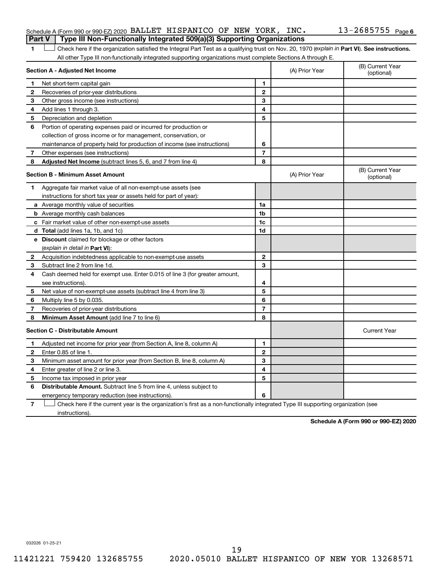#### Schedule A (Form 990 or 990-EZ) 2020 BALLET HISPANICO OF NEW YORK, INC.  $13$  –  $2685755\,$  Page **Part V Type III Non-Functionally Integrated 509(a)(3) Supporting Organizations**

1 **Letter See instructions.** Check here if the organization satisfied the Integral Part Test as a qualifying trust on Nov. 20, 1970 (*explain in* Part **VI**). See instructions. All other Type III non-functionally integrated supporting organizations must complete Sections A through E.

|              | Section A - Adjusted Net Income                                             | (A) Prior Year | (B) Current Year<br>(optional) |                                |
|--------------|-----------------------------------------------------------------------------|----------------|--------------------------------|--------------------------------|
| 1            | Net short-term capital gain                                                 | 1              |                                |                                |
| 2            | Recoveries of prior-year distributions                                      | $\mathbf{2}$   |                                |                                |
| 3            | Other gross income (see instructions)                                       | 3              |                                |                                |
| 4            | Add lines 1 through 3.                                                      | 4              |                                |                                |
| 5            | Depreciation and depletion                                                  | 5              |                                |                                |
| 6            | Portion of operating expenses paid or incurred for production or            |                |                                |                                |
|              | collection of gross income or for management, conservation, or              |                |                                |                                |
|              | maintenance of property held for production of income (see instructions)    | 6              |                                |                                |
| 7            | Other expenses (see instructions)                                           | $\overline{7}$ |                                |                                |
| 8            | Adjusted Net Income (subtract lines 5, 6, and 7 from line 4)                | 8              |                                |                                |
|              | <b>Section B - Minimum Asset Amount</b>                                     |                | (A) Prior Year                 | (B) Current Year<br>(optional) |
| 1            | Aggregate fair market value of all non-exempt-use assets (see               |                |                                |                                |
|              | instructions for short tax year or assets held for part of year):           |                |                                |                                |
|              | a Average monthly value of securities                                       | 1a             |                                |                                |
|              | <b>b</b> Average monthly cash balances                                      | 1b             |                                |                                |
|              | c Fair market value of other non-exempt-use assets                          | 1 <sub>c</sub> |                                |                                |
|              | d Total (add lines 1a, 1b, and 1c)                                          | 1d             |                                |                                |
|              | e Discount claimed for blockage or other factors                            |                |                                |                                |
|              | (explain in detail in <b>Part VI</b> ):                                     |                |                                |                                |
| 2            | Acquisition indebtedness applicable to non-exempt-use assets                | $\mathbf{2}$   |                                |                                |
| 3            | Subtract line 2 from line 1d.                                               | 3              |                                |                                |
| 4            | Cash deemed held for exempt use. Enter 0.015 of line 3 (for greater amount, |                |                                |                                |
|              | see instructions).                                                          | 4              |                                |                                |
| 5            | Net value of non-exempt-use assets (subtract line 4 from line 3)            | 5              |                                |                                |
| 6            | Multiply line 5 by 0.035.                                                   | 6              |                                |                                |
| 7            | Recoveries of prior-year distributions                                      | $\overline{7}$ |                                |                                |
| 8            | Minimum Asset Amount (add line 7 to line 6)                                 | 8              |                                |                                |
|              | <b>Section C - Distributable Amount</b>                                     |                |                                | <b>Current Year</b>            |
| 1            | Adjusted net income for prior year (from Section A, line 8, column A)       | 1              |                                |                                |
| $\mathbf{2}$ | Enter 0.85 of line 1.                                                       | $\mathbf{2}$   |                                |                                |
| 3            | Minimum asset amount for prior year (from Section B, line 8, column A)      | 3              |                                |                                |
| 4            | Enter greater of line 2 or line 3.                                          | 4              |                                |                                |
| 5            | Income tax imposed in prior year                                            | 5              |                                |                                |
| 6            | Distributable Amount. Subtract line 5 from line 4, unless subject to        |                |                                |                                |
|              | emergency temporary reduction (see instructions).                           | 6              |                                |                                |
|              |                                                                             |                |                                |                                |

**7** Check here if the current year is the organization's first as a non-functionally integrated Type III supporting organization (see † instructions).

**Schedule A (Form 990 or 990-EZ) 2020**

032026 01-25-21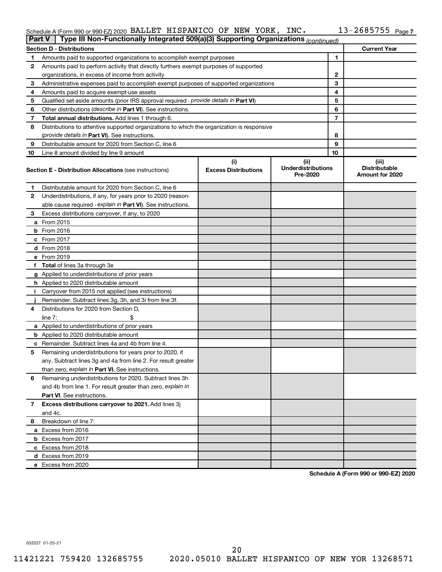#### Schedule A (Form 990 or 990-EZ) 2020 BALLET HISPANICO OF NEW YORK, INC. INC. IS - Z685755 Page BALLET HISPANICO OF NEW YORK, INC. 13-2685755

| Type III Non-Functionally Integrated 509(a)(3) Supporting Organizations (continued)<br><b>Part V</b> |                                                                                            |                                    |                                               |              |                                                  |  |
|------------------------------------------------------------------------------------------------------|--------------------------------------------------------------------------------------------|------------------------------------|-----------------------------------------------|--------------|--------------------------------------------------|--|
|                                                                                                      | <b>Section D - Distributions</b>                                                           |                                    |                                               |              | <b>Current Year</b>                              |  |
| 1                                                                                                    | Amounts paid to supported organizations to accomplish exempt purposes                      |                                    |                                               | 1            |                                                  |  |
| 2                                                                                                    | Amounts paid to perform activity that directly furthers exempt purposes of supported       |                                    |                                               |              |                                                  |  |
|                                                                                                      | organizations, in excess of income from activity                                           |                                    |                                               | $\mathbf{2}$ |                                                  |  |
| 3                                                                                                    | Administrative expenses paid to accomplish exempt purposes of supported organizations      |                                    |                                               | 3            |                                                  |  |
| 4                                                                                                    | Amounts paid to acquire exempt-use assets                                                  |                                    |                                               | 4            |                                                  |  |
| 5                                                                                                    | Qualified set-aside amounts (prior IRS approval required - provide details in Part VI)     |                                    |                                               | 5            |                                                  |  |
| 6                                                                                                    | Other distributions ( <i>describe in Part VI</i> ). See instructions.                      |                                    |                                               | 6            |                                                  |  |
| 7                                                                                                    | Total annual distributions. Add lines 1 through 6.                                         |                                    |                                               | 7            |                                                  |  |
| 8                                                                                                    | Distributions to attentive supported organizations to which the organization is responsive |                                    |                                               |              |                                                  |  |
|                                                                                                      | (provide details in Part VI). See instructions.                                            |                                    |                                               | 8            |                                                  |  |
| 9                                                                                                    | Distributable amount for 2020 from Section C, line 6                                       |                                    |                                               | 9            |                                                  |  |
| 10                                                                                                   | Line 8 amount divided by line 9 amount                                                     |                                    |                                               | 10           |                                                  |  |
|                                                                                                      | <b>Section E - Distribution Allocations (see instructions)</b>                             | (i)<br><b>Excess Distributions</b> | (ii)<br><b>Underdistributions</b><br>Pre-2020 |              | (iii)<br><b>Distributable</b><br>Amount for 2020 |  |
| 1                                                                                                    | Distributable amount for 2020 from Section C, line 6                                       |                                    |                                               |              |                                                  |  |
| 2                                                                                                    | Underdistributions, if any, for years prior to 2020 (reason-                               |                                    |                                               |              |                                                  |  |
|                                                                                                      | able cause required - explain in Part VI). See instructions.                               |                                    |                                               |              |                                                  |  |
| 3                                                                                                    | Excess distributions carryover, if any, to 2020                                            |                                    |                                               |              |                                                  |  |
|                                                                                                      | a From 2015                                                                                |                                    |                                               |              |                                                  |  |
|                                                                                                      | <b>b</b> From 2016                                                                         |                                    |                                               |              |                                                  |  |
|                                                                                                      | $c$ From 2017                                                                              |                                    |                                               |              |                                                  |  |
|                                                                                                      | d From 2018                                                                                |                                    |                                               |              |                                                  |  |
|                                                                                                      | e From 2019                                                                                |                                    |                                               |              |                                                  |  |
|                                                                                                      | f Total of lines 3a through 3e                                                             |                                    |                                               |              |                                                  |  |
|                                                                                                      | g Applied to underdistributions of prior years                                             |                                    |                                               |              |                                                  |  |
|                                                                                                      | <b>h</b> Applied to 2020 distributable amount                                              |                                    |                                               |              |                                                  |  |
| Ť.                                                                                                   | Carryover from 2015 not applied (see instructions)                                         |                                    |                                               |              |                                                  |  |
|                                                                                                      | Remainder. Subtract lines 3g, 3h, and 3i from line 3f.                                     |                                    |                                               |              |                                                  |  |
| 4                                                                                                    | Distributions for 2020 from Section D,                                                     |                                    |                                               |              |                                                  |  |
|                                                                                                      | line $7:$                                                                                  |                                    |                                               |              |                                                  |  |
|                                                                                                      | a Applied to underdistributions of prior years                                             |                                    |                                               |              |                                                  |  |
|                                                                                                      | <b>b</b> Applied to 2020 distributable amount                                              |                                    |                                               |              |                                                  |  |
|                                                                                                      | <b>c</b> Remainder. Subtract lines 4a and 4b from line 4.                                  |                                    |                                               |              |                                                  |  |
| 5                                                                                                    | Remaining underdistributions for years prior to 2020, if                                   |                                    |                                               |              |                                                  |  |
|                                                                                                      | any. Subtract lines 3g and 4a from line 2. For result greater                              |                                    |                                               |              |                                                  |  |
|                                                                                                      | than zero, explain in Part VI. See instructions.                                           |                                    |                                               |              |                                                  |  |
| 6                                                                                                    | Remaining underdistributions for 2020. Subtract lines 3h                                   |                                    |                                               |              |                                                  |  |
|                                                                                                      | and 4b from line 1. For result greater than zero, explain in                               |                                    |                                               |              |                                                  |  |
|                                                                                                      | <b>Part VI.</b> See instructions.                                                          |                                    |                                               |              |                                                  |  |
| 7                                                                                                    | Excess distributions carryover to 2021. Add lines 3j                                       |                                    |                                               |              |                                                  |  |
|                                                                                                      | and 4c.                                                                                    |                                    |                                               |              |                                                  |  |
| 8                                                                                                    | Breakdown of line 7:                                                                       |                                    |                                               |              |                                                  |  |
|                                                                                                      | a Excess from 2016                                                                         |                                    |                                               |              |                                                  |  |
|                                                                                                      | <b>b</b> Excess from 2017                                                                  |                                    |                                               |              |                                                  |  |
|                                                                                                      | c Excess from 2018                                                                         |                                    |                                               |              |                                                  |  |
|                                                                                                      | d Excess from 2019                                                                         |                                    |                                               |              |                                                  |  |
|                                                                                                      | e Excess from 2020                                                                         |                                    |                                               |              |                                                  |  |

**Schedule A (Form 990 or 990-EZ) 2020**

032027 01-25-21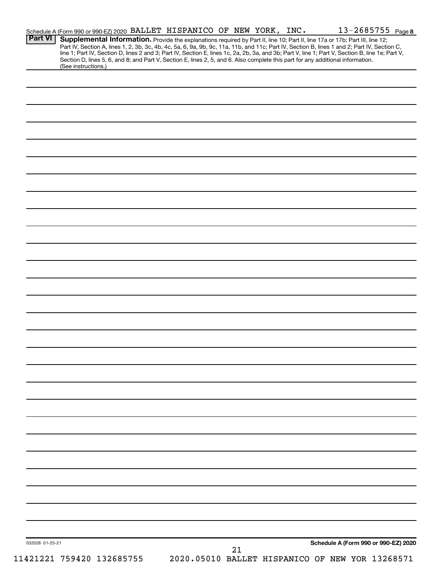|                 |                           | Schedule A (Form 990 or 990-EZ) 2020 BALLET_HISPANICO OF NEW YORK, INC. |    | 13-2685755 Page 8                                                                                                                                                                                                                                                             |  |
|-----------------|---------------------------|-------------------------------------------------------------------------|----|-------------------------------------------------------------------------------------------------------------------------------------------------------------------------------------------------------------------------------------------------------------------------------|--|
| <b>Part VI</b>  |                           |                                                                         |    | Supplemental Information. Provide the explanations required by Part II, line 10; Part II, line 17a or 17b; Part III, line 12;<br>Part IV, Section A, lines 1, 2, 3b, 3c, 4b, 4c, 5a, 6, 9a, 9b, 9c, 11a, 11b, and 11c; Part IV, Section B, lines 1 and 2; Part IV, Section C, |  |
|                 |                           |                                                                         |    | line 1; Part IV, Section D, lines 2 and 3; Part IV, Section E, lines 1c, 2a, 2b, 3a, and 3b; Part V, line 1; Part V, Section B, line 1e; Part V,                                                                                                                              |  |
|                 | (See instructions.)       |                                                                         |    | Section D, lines 5, 6, and 8; and Part V, Section E, lines 2, 5, and 6. Also complete this part for any additional information.                                                                                                                                               |  |
|                 |                           |                                                                         |    |                                                                                                                                                                                                                                                                               |  |
|                 |                           |                                                                         |    |                                                                                                                                                                                                                                                                               |  |
|                 |                           |                                                                         |    |                                                                                                                                                                                                                                                                               |  |
|                 |                           |                                                                         |    |                                                                                                                                                                                                                                                                               |  |
|                 |                           |                                                                         |    |                                                                                                                                                                                                                                                                               |  |
|                 |                           |                                                                         |    |                                                                                                                                                                                                                                                                               |  |
|                 |                           |                                                                         |    |                                                                                                                                                                                                                                                                               |  |
|                 |                           |                                                                         |    |                                                                                                                                                                                                                                                                               |  |
|                 |                           |                                                                         |    |                                                                                                                                                                                                                                                                               |  |
|                 |                           |                                                                         |    |                                                                                                                                                                                                                                                                               |  |
|                 |                           |                                                                         |    |                                                                                                                                                                                                                                                                               |  |
|                 |                           |                                                                         |    |                                                                                                                                                                                                                                                                               |  |
|                 |                           |                                                                         |    |                                                                                                                                                                                                                                                                               |  |
|                 |                           |                                                                         |    |                                                                                                                                                                                                                                                                               |  |
|                 |                           |                                                                         |    |                                                                                                                                                                                                                                                                               |  |
|                 |                           |                                                                         |    |                                                                                                                                                                                                                                                                               |  |
|                 |                           |                                                                         |    |                                                                                                                                                                                                                                                                               |  |
|                 |                           |                                                                         |    |                                                                                                                                                                                                                                                                               |  |
|                 |                           |                                                                         |    |                                                                                                                                                                                                                                                                               |  |
|                 |                           |                                                                         |    |                                                                                                                                                                                                                                                                               |  |
|                 |                           |                                                                         |    |                                                                                                                                                                                                                                                                               |  |
|                 |                           |                                                                         |    |                                                                                                                                                                                                                                                                               |  |
|                 |                           |                                                                         |    |                                                                                                                                                                                                                                                                               |  |
|                 |                           |                                                                         |    |                                                                                                                                                                                                                                                                               |  |
|                 |                           |                                                                         |    |                                                                                                                                                                                                                                                                               |  |
|                 |                           |                                                                         |    |                                                                                                                                                                                                                                                                               |  |
|                 |                           |                                                                         |    |                                                                                                                                                                                                                                                                               |  |
|                 |                           |                                                                         |    |                                                                                                                                                                                                                                                                               |  |
|                 |                           |                                                                         |    |                                                                                                                                                                                                                                                                               |  |
|                 |                           |                                                                         |    |                                                                                                                                                                                                                                                                               |  |
|                 |                           |                                                                         |    |                                                                                                                                                                                                                                                                               |  |
|                 |                           |                                                                         |    |                                                                                                                                                                                                                                                                               |  |
|                 |                           |                                                                         |    |                                                                                                                                                                                                                                                                               |  |
|                 |                           |                                                                         |    |                                                                                                                                                                                                                                                                               |  |
|                 |                           |                                                                         |    |                                                                                                                                                                                                                                                                               |  |
|                 |                           |                                                                         |    |                                                                                                                                                                                                                                                                               |  |
|                 |                           |                                                                         |    |                                                                                                                                                                                                                                                                               |  |
|                 |                           |                                                                         |    |                                                                                                                                                                                                                                                                               |  |
|                 |                           |                                                                         |    |                                                                                                                                                                                                                                                                               |  |
|                 |                           |                                                                         |    |                                                                                                                                                                                                                                                                               |  |
|                 |                           |                                                                         |    |                                                                                                                                                                                                                                                                               |  |
|                 |                           |                                                                         |    |                                                                                                                                                                                                                                                                               |  |
|                 |                           |                                                                         |    |                                                                                                                                                                                                                                                                               |  |
|                 |                           |                                                                         |    |                                                                                                                                                                                                                                                                               |  |
|                 |                           |                                                                         |    |                                                                                                                                                                                                                                                                               |  |
|                 |                           |                                                                         |    |                                                                                                                                                                                                                                                                               |  |
|                 |                           |                                                                         |    |                                                                                                                                                                                                                                                                               |  |
|                 |                           |                                                                         |    |                                                                                                                                                                                                                                                                               |  |
|                 |                           |                                                                         |    |                                                                                                                                                                                                                                                                               |  |
|                 |                           |                                                                         |    | Schedule A (Form 990 or 990-EZ) 2020                                                                                                                                                                                                                                          |  |
| 032028 01-25-21 |                           |                                                                         | 21 |                                                                                                                                                                                                                                                                               |  |
|                 | 11421221 759420 132685755 |                                                                         |    | 2020.05010 BALLET HISPANICO OF NEW YOR 13268571                                                                                                                                                                                                                               |  |
|                 |                           |                                                                         |    |                                                                                                                                                                                                                                                                               |  |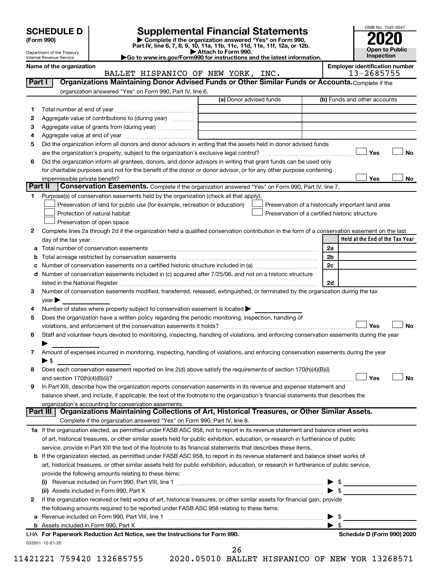| (Form 990) |  |
|------------|--|
|------------|--|

# **SCHEDULE D Supplemental Financial Statements**<br> **Form 990 2020**<br> **Part IV** line 6.7.8.9.10, 11a, 11b, 11d, 11d, 11d, 11d, 11d, 12a, 0r, 12b

**(Form 990) | Complete if the organization answered "Yes" on Form 990, Part IV, line 6, 7, 8, 9, 10, 11a, 11b, 11c, 11d, 11e, 11f, 12a, or 12b.**

**| Attach to Form 990. |Go to www.irs.gov/Form990 for instructions and the latest information.**



Department of the Treasury Internal Revenue Service

Name of the organization<br>**BALLET HISPANICO OF NEW YORK, INC. Employer identification number**<br>13-2685755 BALLET HISPANICO OF NEW YORK, INC.

| Part I  | Organizations Maintaining Donor Advised Funds or Other Similar Funds or Accounts. Complete if the                                                                 |                         |                                                    |
|---------|-------------------------------------------------------------------------------------------------------------------------------------------------------------------|-------------------------|----------------------------------------------------|
|         | organization answered "Yes" on Form 990, Part IV, line 6.                                                                                                         |                         |                                                    |
|         |                                                                                                                                                                   | (a) Donor advised funds | (b) Funds and other accounts                       |
| 1.      |                                                                                                                                                                   |                         |                                                    |
| 2       | Aggregate value of contributions to (during year)                                                                                                                 |                         |                                                    |
| З       | Aggregate value of grants from (during year)                                                                                                                      |                         |                                                    |
| 4       |                                                                                                                                                                   |                         |                                                    |
| 5       | Did the organization inform all donors and donor advisors in writing that the assets held in donor advised funds                                                  |                         |                                                    |
|         |                                                                                                                                                                   |                         | Yes<br>No                                          |
| 6       | Did the organization inform all grantees, donors, and donor advisors in writing that grant funds can be used only                                                 |                         |                                                    |
|         | for charitable purposes and not for the benefit of the donor or donor advisor, or for any other purpose conferring                                                |                         |                                                    |
|         | impermissible private benefit?                                                                                                                                    |                         | Yes<br>No                                          |
| Part II | Conservation Easements. Complete if the organization answered "Yes" on Form 990, Part IV, line 7.                                                                 |                         |                                                    |
| 1.      | Purpose(s) of conservation easements held by the organization (check all that apply).                                                                             |                         |                                                    |
|         | Preservation of land for public use (for example, recreation or education)                                                                                        |                         | Preservation of a historically important land area |
|         | Protection of natural habitat                                                                                                                                     |                         | Preservation of a certified historic structure     |
|         | Preservation of open space                                                                                                                                        |                         |                                                    |
| 2       | Complete lines 2a through 2d if the organization held a qualified conservation contribution in the form of a conservation easement on the last                    |                         |                                                    |
|         | day of the tax year.                                                                                                                                              |                         | Held at the End of the Tax Year                    |
|         |                                                                                                                                                                   |                         | 2a                                                 |
|         |                                                                                                                                                                   |                         | 2b                                                 |
|         |                                                                                                                                                                   |                         | 2 <sub>c</sub>                                     |
| d       | Number of conservation easements included in (c) acquired after 7/25/06, and not on a historic structure                                                          |                         |                                                    |
|         |                                                                                                                                                                   |                         | 2d                                                 |
| З       | Number of conservation easements modified, transferred, released, extinguished, or terminated by the organization during the tax                                  |                         |                                                    |
|         | $year \blacktriangleright$                                                                                                                                        |                         |                                                    |
| 4       | Number of states where property subject to conservation easement is located >                                                                                     |                         |                                                    |
| 5       | Does the organization have a written policy regarding the periodic monitoring, inspection, handling of                                                            |                         |                                                    |
|         | violations, and enforcement of the conservation easements it holds?                                                                                               |                         | Yes<br><b>No</b>                                   |
| 6       | Staff and volunteer hours devoted to monitoring, inspecting, handling of violations, and enforcing conservation easements during the year                         |                         |                                                    |
|         |                                                                                                                                                                   |                         |                                                    |
| 7       | Amount of expenses incurred in monitoring, inspecting, handling of violations, and enforcing conservation easements during the year                               |                         |                                                    |
|         | $\blacktriangleright$ \$                                                                                                                                          |                         |                                                    |
| 8       | Does each conservation easement reported on line 2(d) above satisfy the requirements of section 170(h)(4)(B)(i)                                                   |                         |                                                    |
|         |                                                                                                                                                                   |                         | Yes<br>No                                          |
| 9       | In Part XIII, describe how the organization reports conservation easements in its revenue and expense statement and                                               |                         |                                                    |
|         | balance sheet, and include, if applicable, the text of the footnote to the organization's financial statements that describes the                                 |                         |                                                    |
|         | organization's accounting for conservation easements.<br>Organizations Maintaining Collections of Art, Historical Treasures, or Other Similar Assets.<br>Part III |                         |                                                    |
|         | Complete if the organization answered "Yes" on Form 990, Part IV, line 8.                                                                                         |                         |                                                    |
|         | 1a If the organization elected, as permitted under FASB ASC 958, not to report in its revenue statement and balance sheet works                                   |                         |                                                    |
|         | of art, historical treasures, or other similar assets held for public exhibition, education, or research in furtherance of public                                 |                         |                                                    |
|         | service, provide in Part XIII the text of the footnote to its financial statements that describes these items.                                                    |                         |                                                    |
|         | <b>b</b> If the organization elected, as permitted under FASB ASC 958, to report in its revenue statement and balance sheet works of                              |                         |                                                    |
|         | art, historical treasures, or other similar assets held for public exhibition, education, or research in furtherance of public service,                           |                         |                                                    |
|         | provide the following amounts relating to these items:                                                                                                            |                         |                                                    |
|         |                                                                                                                                                                   |                         | \$                                                 |
|         | (ii) Assets included in Form 990, Part X                                                                                                                          |                         | $\blacktriangleright$ s                            |
| 2       | If the organization received or held works of art, historical treasures, or other similar assets for financial gain, provide                                      |                         |                                                    |
|         | the following amounts required to be reported under FASB ASC 958 relating to these items:                                                                         |                         |                                                    |
|         |                                                                                                                                                                   |                         | \$                                                 |
|         |                                                                                                                                                                   |                         | $\blacktriangleright$ s                            |
|         | LHA For Paperwork Reduction Act Notice, see the Instructions for Form 990.                                                                                        |                         | Schedule D (Form 990) 2020                         |
|         | 032051 12-01-20                                                                                                                                                   |                         |                                                    |
|         |                                                                                                                                                                   | 26                      |                                                    |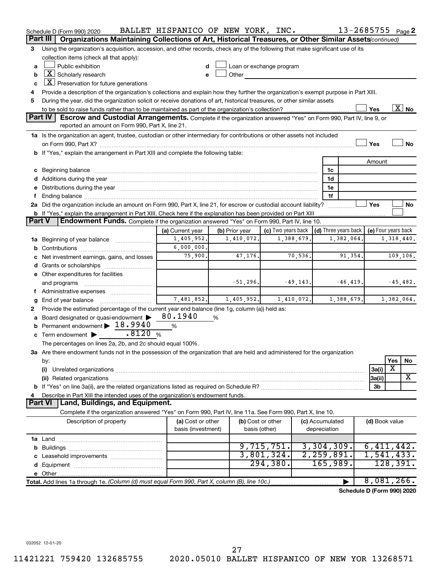|               | Schedule D (Form 990) 2020                                                                                                                                                                                                     | BALLET HISPANICO OF NEW YORK, INC. |                   |                                                         |              |                 | 13-2685755 Page 2          |                     |          |                       |
|---------------|--------------------------------------------------------------------------------------------------------------------------------------------------------------------------------------------------------------------------------|------------------------------------|-------------------|---------------------------------------------------------|--------------|-----------------|----------------------------|---------------------|----------|-----------------------|
|               | Organizations Maintaining Collections of Art, Historical Treasures, or Other Similar Assets (continued)<br>Part III                                                                                                            |                                    |                   |                                                         |              |                 |                            |                     |          |                       |
| 3             | Using the organization's acquisition, accession, and other records, check any of the following that make significant use of its                                                                                                |                                    |                   |                                                         |              |                 |                            |                     |          |                       |
|               | collection items (check all that apply):                                                                                                                                                                                       |                                    |                   |                                                         |              |                 |                            |                     |          |                       |
| a             | Public exhibition                                                                                                                                                                                                              |                                    |                   | Loan or exchange program                                |              |                 |                            |                     |          |                       |
| b             | $ \underline{X} $ Scholarly research                                                                                                                                                                                           |                                    | Other             |                                                         |              |                 |                            |                     |          |                       |
| c             | $ \underline{X} $ Preservation for future generations                                                                                                                                                                          |                                    |                   |                                                         |              |                 |                            |                     |          |                       |
| 4             | Provide a description of the organization's collections and explain how they further the organization's exempt purpose in Part XIII.                                                                                           |                                    |                   |                                                         |              |                 |                            |                     |          |                       |
| 5             | During the year, did the organization solicit or receive donations of art, historical treasures, or other similar assets                                                                                                       |                                    |                   |                                                         |              |                 |                            |                     |          |                       |
|               |                                                                                                                                                                                                                                |                                    |                   |                                                         |              |                 |                            | Yes                 |          | $\boxed{\text{X}}$ No |
|               | Part IV<br>Escrow and Custodial Arrangements. Complete if the organization answered "Yes" on Form 990, Part IV, line 9, or<br>reported an amount on Form 990, Part X, line 21.                                                 |                                    |                   |                                                         |              |                 |                            |                     |          |                       |
|               |                                                                                                                                                                                                                                |                                    |                   |                                                         |              |                 |                            |                     |          |                       |
|               | 1a Is the organization an agent, trustee, custodian or other intermediary for contributions or other assets not included                                                                                                       |                                    |                   |                                                         |              |                 |                            | Yes                 |          | No                    |
|               | on Form 990, Part X? [[[[[[[[[[[[[[[[[[[]]]]]]]]]]]] on Form 990, Part X?<br>b If "Yes," explain the arrangement in Part XIII and complete the following table:                                                                |                                    |                   |                                                         |              |                 |                            |                     |          |                       |
|               |                                                                                                                                                                                                                                |                                    |                   |                                                         |              |                 |                            | Amount              |          |                       |
|               | c Beginning balance measurements and the contract of the contract of the contract of the contract of the contract of the contract of the contract of the contract of the contract of the contract of the contract of the contr |                                    |                   |                                                         |              | 1c              |                            |                     |          |                       |
|               |                                                                                                                                                                                                                                |                                    |                   |                                                         |              | 1d              |                            |                     |          |                       |
|               | e Distributions during the year manufactured and continuum and contact the year manufactured and contact the year manufactured and contact the year manufactured and contact the year manufactured and contact the year manufa |                                    |                   |                                                         |              | 1e              |                            |                     |          |                       |
| f.            |                                                                                                                                                                                                                                |                                    |                   |                                                         |              | 1f              |                            |                     |          |                       |
|               | 2a Did the organization include an amount on Form 990, Part X, line 21, for escrow or custodial account liability?                                                                                                             |                                    |                   |                                                         |              |                 |                            | Yes                 |          | No                    |
|               | <b>b</b> If "Yes," explain the arrangement in Part XIII. Check here if the explanation has been provided on Part XIII                                                                                                          |                                    |                   |                                                         |              |                 |                            |                     |          |                       |
| <b>Part V</b> | Endowment Funds. Complete if the organization answered "Yes" on Form 990, Part IV, line 10.                                                                                                                                    |                                    |                   |                                                         |              |                 |                            |                     |          |                       |
|               |                                                                                                                                                                                                                                | (a) Current year                   | (b) Prior year    | (c) Two years back $\vert$ (d) Three years back $\vert$ |              |                 |                            | (e) Four years back |          |                       |
|               | 1a Beginning of year balance                                                                                                                                                                                                   | 1,405,952.                         | 1,410,072.        | 1,388,679.                                              |              |                 | 1,382,064.                 |                     |          | 1,318,440.            |
|               |                                                                                                                                                                                                                                | 6,000,000.                         |                   |                                                         |              |                 |                            |                     |          |                       |
|               | c Net investment earnings, gains, and losses                                                                                                                                                                                   | 75,900.                            | 47,176.           | 70, 536.                                                |              |                 | 91,354.                    |                     |          | 109,106.              |
|               | d Grants or scholarships                                                                                                                                                                                                       |                                    |                   |                                                         |              |                 |                            |                     |          |                       |
|               | e Other expenditures for facilities                                                                                                                                                                                            |                                    |                   |                                                         |              |                 |                            |                     |          |                       |
|               | and programs                                                                                                                                                                                                                   |                                    | $-51, 296.$       | $-49, 143.$                                             |              |                 | $-46, 419.$                |                     |          | $-45,482.$            |
|               | f Administrative expenses                                                                                                                                                                                                      |                                    |                   |                                                         |              |                 |                            |                     |          |                       |
| g             |                                                                                                                                                                                                                                | 7,481,852.                         | 1,405,952.        | 1,410,072.                                              |              |                 | 1,388,679.                 |                     |          | 1,382,064.            |
| 2             | Provide the estimated percentage of the current year end balance (line 1g, column (a)) held as:                                                                                                                                |                                    |                   |                                                         |              |                 |                            |                     |          |                       |
|               | a Board designated or quasi-endowment >                                                                                                                                                                                        | 80.1940                            | %                 |                                                         |              |                 |                            |                     |          |                       |
|               | <b>b</b> Permanent endowment $\geq 18.9940$                                                                                                                                                                                    | %                                  |                   |                                                         |              |                 |                            |                     |          |                       |
|               | .8120%<br>c Term endowment $\blacktriangleright$                                                                                                                                                                               |                                    |                   |                                                         |              |                 |                            |                     |          |                       |
|               | The percentages on lines 2a, 2b, and 2c should equal 100%.                                                                                                                                                                     |                                    |                   |                                                         |              |                 |                            |                     |          |                       |
|               | 3a Are there endowment funds not in the possession of the organization that are held and administered for the organization                                                                                                     |                                    |                   |                                                         |              |                 |                            |                     |          |                       |
|               | by:                                                                                                                                                                                                                            |                                    |                   |                                                         |              |                 |                            |                     | Yes      | No                    |
|               | (i)                                                                                                                                                                                                                            |                                    |                   |                                                         |              |                 |                            | 3a(i)               | X        |                       |
|               |                                                                                                                                                                                                                                |                                    |                   |                                                         |              |                 |                            | 3a(ii)              |          | X                     |
|               |                                                                                                                                                                                                                                |                                    |                   |                                                         |              |                 |                            | 3b                  |          |                       |
| 4             | Describe in Part XIII the intended uses of the organization's endowment funds.                                                                                                                                                 |                                    |                   |                                                         |              |                 |                            |                     |          |                       |
|               | Land, Buildings, and Equipment.<br>Part VI                                                                                                                                                                                     |                                    |                   |                                                         |              |                 |                            |                     |          |                       |
|               | Complete if the organization answered "Yes" on Form 990, Part IV, line 11a. See Form 990, Part X, line 10.                                                                                                                     |                                    |                   |                                                         |              |                 |                            |                     |          |                       |
|               | Description of property                                                                                                                                                                                                        | (a) Cost or other                  | (b) Cost or other |                                                         |              | (c) Accumulated |                            | (d) Book value      |          |                       |
|               |                                                                                                                                                                                                                                | basis (investment)                 | basis (other)     |                                                         | depreciation |                 |                            |                     |          |                       |
|               |                                                                                                                                                                                                                                |                                    |                   |                                                         |              |                 |                            |                     |          |                       |
|               |                                                                                                                                                                                                                                |                                    |                   | 9,715,751.                                              |              | 3,304,309.      |                            | 6,411,442.          |          |                       |
|               |                                                                                                                                                                                                                                |                                    |                   | 3,801,324.                                              |              | 2, 259, 891.    |                            | 1,541,433.          |          |                       |
|               |                                                                                                                                                                                                                                |                                    |                   | 294,380.                                                |              | 165,989.        |                            |                     | 128,391. |                       |
|               |                                                                                                                                                                                                                                |                                    |                   |                                                         |              |                 |                            |                     |          |                       |
|               | Total. Add lines 1a through 1e. (Column (d) must equal Form 990, Part X, column (B), line 10c.)                                                                                                                                |                                    |                   |                                                         |              |                 |                            | 8,081,266.          |          |                       |
|               |                                                                                                                                                                                                                                |                                    |                   |                                                         |              |                 | Schedule D (Form 990) 2020 |                     |          |                       |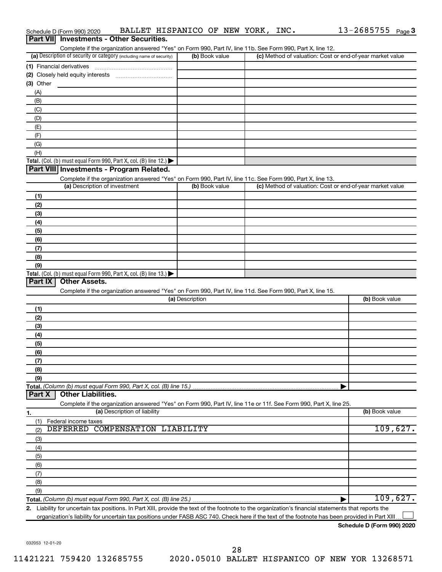| Complete if the organization answered "Yes" on Form 990, Part IV, line 11b. See Form 990, Part X, line 12.<br>(a) Description of security or category (including name of security)<br>(b) Book value<br>(c) Method of valuation: Cost or end-of-year market value<br>(1) Financial derivatives<br>$(3)$ Other<br>(A)<br>(B)<br>(C)<br>(D)<br>(E)<br>(F)<br>(G)<br>(H)<br>Part VIII Investments - Program Related.<br>Complete if the organization answered "Yes" on Form 990, Part IV, line 11c. See Form 990, Part X, line 13.<br>(a) Description of investment<br>(b) Book value<br>(c) Method of valuation: Cost or end-of-year market value<br>(1)<br>(2)<br>(3)<br>(4)<br>(5)<br>(6)<br>(7)<br>(8)<br>(9)<br>Total. (Col. (b) must equal Form 990, Part X, col. (B) line 13.) $\blacktriangleright$<br>Part IX<br><b>Other Assets.</b><br>Complete if the organization answered "Yes" on Form 990, Part IV, line 11d. See Form 990, Part X, line 15.<br>(b) Book value<br>(a) Description<br>(1)<br>(2)<br>(3)<br>(4)<br>(5)<br>(6)<br>(7)<br>(8)<br>(9)<br>Total. (Column (b) must equal Form 990, Part X, col. (B) line 15.)<br><b>Other Liabilities.</b><br>Part X<br>Complete if the organization answered "Yes" on Form 990, Part IV, line 11e or 11f. See Form 990, Part X, line 25.<br>(a) Description of liability<br>(b) Book value<br>(1)<br>Federal income taxes<br>DEFERRED COMPENSATION LIABILITY<br>109,627.<br>(2)<br>(3)<br>(4)<br>(5)<br>(6)<br>(7)<br>(8)<br>(9)<br>2. Liability for uncertain tax positions. In Part XIII, provide the text of the footnote to the organization's financial statements that reports the | Part VII Investments - Other Securities.                                               |  |          |
|-------------------------------------------------------------------------------------------------------------------------------------------------------------------------------------------------------------------------------------------------------------------------------------------------------------------------------------------------------------------------------------------------------------------------------------------------------------------------------------------------------------------------------------------------------------------------------------------------------------------------------------------------------------------------------------------------------------------------------------------------------------------------------------------------------------------------------------------------------------------------------------------------------------------------------------------------------------------------------------------------------------------------------------------------------------------------------------------------------------------------------------------------------------------------------------------------------------------------------------------------------------------------------------------------------------------------------------------------------------------------------------------------------------------------------------------------------------------------------------------------------------------------------------------------------------------------------------------------------------------------------------------------|----------------------------------------------------------------------------------------|--|----------|
|                                                                                                                                                                                                                                                                                                                                                                                                                                                                                                                                                                                                                                                                                                                                                                                                                                                                                                                                                                                                                                                                                                                                                                                                                                                                                                                                                                                                                                                                                                                                                                                                                                                 |                                                                                        |  |          |
|                                                                                                                                                                                                                                                                                                                                                                                                                                                                                                                                                                                                                                                                                                                                                                                                                                                                                                                                                                                                                                                                                                                                                                                                                                                                                                                                                                                                                                                                                                                                                                                                                                                 |                                                                                        |  |          |
|                                                                                                                                                                                                                                                                                                                                                                                                                                                                                                                                                                                                                                                                                                                                                                                                                                                                                                                                                                                                                                                                                                                                                                                                                                                                                                                                                                                                                                                                                                                                                                                                                                                 |                                                                                        |  |          |
|                                                                                                                                                                                                                                                                                                                                                                                                                                                                                                                                                                                                                                                                                                                                                                                                                                                                                                                                                                                                                                                                                                                                                                                                                                                                                                                                                                                                                                                                                                                                                                                                                                                 |                                                                                        |  |          |
|                                                                                                                                                                                                                                                                                                                                                                                                                                                                                                                                                                                                                                                                                                                                                                                                                                                                                                                                                                                                                                                                                                                                                                                                                                                                                                                                                                                                                                                                                                                                                                                                                                                 |                                                                                        |  |          |
|                                                                                                                                                                                                                                                                                                                                                                                                                                                                                                                                                                                                                                                                                                                                                                                                                                                                                                                                                                                                                                                                                                                                                                                                                                                                                                                                                                                                                                                                                                                                                                                                                                                 |                                                                                        |  |          |
|                                                                                                                                                                                                                                                                                                                                                                                                                                                                                                                                                                                                                                                                                                                                                                                                                                                                                                                                                                                                                                                                                                                                                                                                                                                                                                                                                                                                                                                                                                                                                                                                                                                 |                                                                                        |  |          |
|                                                                                                                                                                                                                                                                                                                                                                                                                                                                                                                                                                                                                                                                                                                                                                                                                                                                                                                                                                                                                                                                                                                                                                                                                                                                                                                                                                                                                                                                                                                                                                                                                                                 |                                                                                        |  |          |
|                                                                                                                                                                                                                                                                                                                                                                                                                                                                                                                                                                                                                                                                                                                                                                                                                                                                                                                                                                                                                                                                                                                                                                                                                                                                                                                                                                                                                                                                                                                                                                                                                                                 |                                                                                        |  |          |
|                                                                                                                                                                                                                                                                                                                                                                                                                                                                                                                                                                                                                                                                                                                                                                                                                                                                                                                                                                                                                                                                                                                                                                                                                                                                                                                                                                                                                                                                                                                                                                                                                                                 |                                                                                        |  |          |
|                                                                                                                                                                                                                                                                                                                                                                                                                                                                                                                                                                                                                                                                                                                                                                                                                                                                                                                                                                                                                                                                                                                                                                                                                                                                                                                                                                                                                                                                                                                                                                                                                                                 |                                                                                        |  |          |
|                                                                                                                                                                                                                                                                                                                                                                                                                                                                                                                                                                                                                                                                                                                                                                                                                                                                                                                                                                                                                                                                                                                                                                                                                                                                                                                                                                                                                                                                                                                                                                                                                                                 |                                                                                        |  |          |
|                                                                                                                                                                                                                                                                                                                                                                                                                                                                                                                                                                                                                                                                                                                                                                                                                                                                                                                                                                                                                                                                                                                                                                                                                                                                                                                                                                                                                                                                                                                                                                                                                                                 | Total. (Col. (b) must equal Form 990, Part X, col. (B) line 12.) $\blacktriangleright$ |  |          |
|                                                                                                                                                                                                                                                                                                                                                                                                                                                                                                                                                                                                                                                                                                                                                                                                                                                                                                                                                                                                                                                                                                                                                                                                                                                                                                                                                                                                                                                                                                                                                                                                                                                 |                                                                                        |  |          |
|                                                                                                                                                                                                                                                                                                                                                                                                                                                                                                                                                                                                                                                                                                                                                                                                                                                                                                                                                                                                                                                                                                                                                                                                                                                                                                                                                                                                                                                                                                                                                                                                                                                 |                                                                                        |  |          |
|                                                                                                                                                                                                                                                                                                                                                                                                                                                                                                                                                                                                                                                                                                                                                                                                                                                                                                                                                                                                                                                                                                                                                                                                                                                                                                                                                                                                                                                                                                                                                                                                                                                 |                                                                                        |  |          |
|                                                                                                                                                                                                                                                                                                                                                                                                                                                                                                                                                                                                                                                                                                                                                                                                                                                                                                                                                                                                                                                                                                                                                                                                                                                                                                                                                                                                                                                                                                                                                                                                                                                 |                                                                                        |  |          |
|                                                                                                                                                                                                                                                                                                                                                                                                                                                                                                                                                                                                                                                                                                                                                                                                                                                                                                                                                                                                                                                                                                                                                                                                                                                                                                                                                                                                                                                                                                                                                                                                                                                 |                                                                                        |  |          |
|                                                                                                                                                                                                                                                                                                                                                                                                                                                                                                                                                                                                                                                                                                                                                                                                                                                                                                                                                                                                                                                                                                                                                                                                                                                                                                                                                                                                                                                                                                                                                                                                                                                 |                                                                                        |  |          |
|                                                                                                                                                                                                                                                                                                                                                                                                                                                                                                                                                                                                                                                                                                                                                                                                                                                                                                                                                                                                                                                                                                                                                                                                                                                                                                                                                                                                                                                                                                                                                                                                                                                 |                                                                                        |  |          |
|                                                                                                                                                                                                                                                                                                                                                                                                                                                                                                                                                                                                                                                                                                                                                                                                                                                                                                                                                                                                                                                                                                                                                                                                                                                                                                                                                                                                                                                                                                                                                                                                                                                 |                                                                                        |  |          |
|                                                                                                                                                                                                                                                                                                                                                                                                                                                                                                                                                                                                                                                                                                                                                                                                                                                                                                                                                                                                                                                                                                                                                                                                                                                                                                                                                                                                                                                                                                                                                                                                                                                 |                                                                                        |  |          |
|                                                                                                                                                                                                                                                                                                                                                                                                                                                                                                                                                                                                                                                                                                                                                                                                                                                                                                                                                                                                                                                                                                                                                                                                                                                                                                                                                                                                                                                                                                                                                                                                                                                 |                                                                                        |  |          |
|                                                                                                                                                                                                                                                                                                                                                                                                                                                                                                                                                                                                                                                                                                                                                                                                                                                                                                                                                                                                                                                                                                                                                                                                                                                                                                                                                                                                                                                                                                                                                                                                                                                 |                                                                                        |  |          |
|                                                                                                                                                                                                                                                                                                                                                                                                                                                                                                                                                                                                                                                                                                                                                                                                                                                                                                                                                                                                                                                                                                                                                                                                                                                                                                                                                                                                                                                                                                                                                                                                                                                 |                                                                                        |  |          |
|                                                                                                                                                                                                                                                                                                                                                                                                                                                                                                                                                                                                                                                                                                                                                                                                                                                                                                                                                                                                                                                                                                                                                                                                                                                                                                                                                                                                                                                                                                                                                                                                                                                 |                                                                                        |  |          |
|                                                                                                                                                                                                                                                                                                                                                                                                                                                                                                                                                                                                                                                                                                                                                                                                                                                                                                                                                                                                                                                                                                                                                                                                                                                                                                                                                                                                                                                                                                                                                                                                                                                 |                                                                                        |  |          |
|                                                                                                                                                                                                                                                                                                                                                                                                                                                                                                                                                                                                                                                                                                                                                                                                                                                                                                                                                                                                                                                                                                                                                                                                                                                                                                                                                                                                                                                                                                                                                                                                                                                 |                                                                                        |  |          |
|                                                                                                                                                                                                                                                                                                                                                                                                                                                                                                                                                                                                                                                                                                                                                                                                                                                                                                                                                                                                                                                                                                                                                                                                                                                                                                                                                                                                                                                                                                                                                                                                                                                 |                                                                                        |  |          |
|                                                                                                                                                                                                                                                                                                                                                                                                                                                                                                                                                                                                                                                                                                                                                                                                                                                                                                                                                                                                                                                                                                                                                                                                                                                                                                                                                                                                                                                                                                                                                                                                                                                 |                                                                                        |  |          |
|                                                                                                                                                                                                                                                                                                                                                                                                                                                                                                                                                                                                                                                                                                                                                                                                                                                                                                                                                                                                                                                                                                                                                                                                                                                                                                                                                                                                                                                                                                                                                                                                                                                 |                                                                                        |  |          |
|                                                                                                                                                                                                                                                                                                                                                                                                                                                                                                                                                                                                                                                                                                                                                                                                                                                                                                                                                                                                                                                                                                                                                                                                                                                                                                                                                                                                                                                                                                                                                                                                                                                 |                                                                                        |  |          |
|                                                                                                                                                                                                                                                                                                                                                                                                                                                                                                                                                                                                                                                                                                                                                                                                                                                                                                                                                                                                                                                                                                                                                                                                                                                                                                                                                                                                                                                                                                                                                                                                                                                 |                                                                                        |  |          |
|                                                                                                                                                                                                                                                                                                                                                                                                                                                                                                                                                                                                                                                                                                                                                                                                                                                                                                                                                                                                                                                                                                                                                                                                                                                                                                                                                                                                                                                                                                                                                                                                                                                 |                                                                                        |  |          |
|                                                                                                                                                                                                                                                                                                                                                                                                                                                                                                                                                                                                                                                                                                                                                                                                                                                                                                                                                                                                                                                                                                                                                                                                                                                                                                                                                                                                                                                                                                                                                                                                                                                 |                                                                                        |  |          |
|                                                                                                                                                                                                                                                                                                                                                                                                                                                                                                                                                                                                                                                                                                                                                                                                                                                                                                                                                                                                                                                                                                                                                                                                                                                                                                                                                                                                                                                                                                                                                                                                                                                 |                                                                                        |  |          |
|                                                                                                                                                                                                                                                                                                                                                                                                                                                                                                                                                                                                                                                                                                                                                                                                                                                                                                                                                                                                                                                                                                                                                                                                                                                                                                                                                                                                                                                                                                                                                                                                                                                 |                                                                                        |  |          |
|                                                                                                                                                                                                                                                                                                                                                                                                                                                                                                                                                                                                                                                                                                                                                                                                                                                                                                                                                                                                                                                                                                                                                                                                                                                                                                                                                                                                                                                                                                                                                                                                                                                 |                                                                                        |  |          |
|                                                                                                                                                                                                                                                                                                                                                                                                                                                                                                                                                                                                                                                                                                                                                                                                                                                                                                                                                                                                                                                                                                                                                                                                                                                                                                                                                                                                                                                                                                                                                                                                                                                 |                                                                                        |  |          |
|                                                                                                                                                                                                                                                                                                                                                                                                                                                                                                                                                                                                                                                                                                                                                                                                                                                                                                                                                                                                                                                                                                                                                                                                                                                                                                                                                                                                                                                                                                                                                                                                                                                 |                                                                                        |  |          |
|                                                                                                                                                                                                                                                                                                                                                                                                                                                                                                                                                                                                                                                                                                                                                                                                                                                                                                                                                                                                                                                                                                                                                                                                                                                                                                                                                                                                                                                                                                                                                                                                                                                 |                                                                                        |  |          |
|                                                                                                                                                                                                                                                                                                                                                                                                                                                                                                                                                                                                                                                                                                                                                                                                                                                                                                                                                                                                                                                                                                                                                                                                                                                                                                                                                                                                                                                                                                                                                                                                                                                 | 1.                                                                                     |  |          |
|                                                                                                                                                                                                                                                                                                                                                                                                                                                                                                                                                                                                                                                                                                                                                                                                                                                                                                                                                                                                                                                                                                                                                                                                                                                                                                                                                                                                                                                                                                                                                                                                                                                 |                                                                                        |  |          |
|                                                                                                                                                                                                                                                                                                                                                                                                                                                                                                                                                                                                                                                                                                                                                                                                                                                                                                                                                                                                                                                                                                                                                                                                                                                                                                                                                                                                                                                                                                                                                                                                                                                 |                                                                                        |  |          |
|                                                                                                                                                                                                                                                                                                                                                                                                                                                                                                                                                                                                                                                                                                                                                                                                                                                                                                                                                                                                                                                                                                                                                                                                                                                                                                                                                                                                                                                                                                                                                                                                                                                 |                                                                                        |  |          |
|                                                                                                                                                                                                                                                                                                                                                                                                                                                                                                                                                                                                                                                                                                                                                                                                                                                                                                                                                                                                                                                                                                                                                                                                                                                                                                                                                                                                                                                                                                                                                                                                                                                 |                                                                                        |  |          |
|                                                                                                                                                                                                                                                                                                                                                                                                                                                                                                                                                                                                                                                                                                                                                                                                                                                                                                                                                                                                                                                                                                                                                                                                                                                                                                                                                                                                                                                                                                                                                                                                                                                 |                                                                                        |  |          |
|                                                                                                                                                                                                                                                                                                                                                                                                                                                                                                                                                                                                                                                                                                                                                                                                                                                                                                                                                                                                                                                                                                                                                                                                                                                                                                                                                                                                                                                                                                                                                                                                                                                 |                                                                                        |  |          |
|                                                                                                                                                                                                                                                                                                                                                                                                                                                                                                                                                                                                                                                                                                                                                                                                                                                                                                                                                                                                                                                                                                                                                                                                                                                                                                                                                                                                                                                                                                                                                                                                                                                 |                                                                                        |  |          |
|                                                                                                                                                                                                                                                                                                                                                                                                                                                                                                                                                                                                                                                                                                                                                                                                                                                                                                                                                                                                                                                                                                                                                                                                                                                                                                                                                                                                                                                                                                                                                                                                                                                 |                                                                                        |  |          |
|                                                                                                                                                                                                                                                                                                                                                                                                                                                                                                                                                                                                                                                                                                                                                                                                                                                                                                                                                                                                                                                                                                                                                                                                                                                                                                                                                                                                                                                                                                                                                                                                                                                 |                                                                                        |  |          |
|                                                                                                                                                                                                                                                                                                                                                                                                                                                                                                                                                                                                                                                                                                                                                                                                                                                                                                                                                                                                                                                                                                                                                                                                                                                                                                                                                                                                                                                                                                                                                                                                                                                 |                                                                                        |  | 109,627. |
|                                                                                                                                                                                                                                                                                                                                                                                                                                                                                                                                                                                                                                                                                                                                                                                                                                                                                                                                                                                                                                                                                                                                                                                                                                                                                                                                                                                                                                                                                                                                                                                                                                                 |                                                                                        |  |          |

**Schedule D (Form 990) 2020**

032053 12-01-20

Schedule D (Form 990) 2020 BALLET HISPANICO OF NEW YORK, INC.  $13-2685755$   $_{\sf Page}$ 13-2685755 Page 3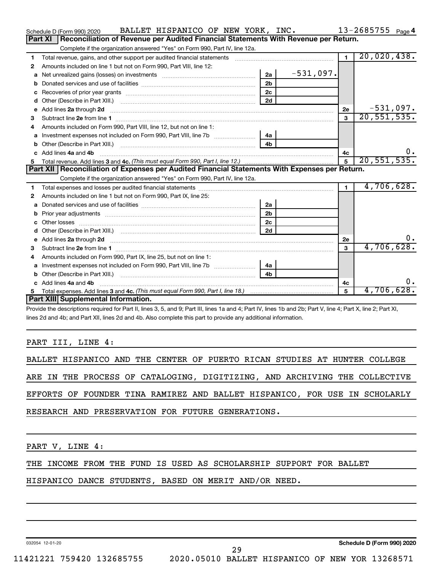|    | BALLET HISPANICO OF NEW YORK, INC.<br>Schedule D (Form 990) 2020                                                                                                                                                                   |                |             |                 | $13 - 2685755$ Page 4 |
|----|------------------------------------------------------------------------------------------------------------------------------------------------------------------------------------------------------------------------------------|----------------|-------------|-----------------|-----------------------|
|    | Reconciliation of Revenue per Audited Financial Statements With Revenue per Return.<br>Part XI                                                                                                                                     |                |             |                 |                       |
|    | Complete if the organization answered "Yes" on Form 990, Part IV, line 12a.                                                                                                                                                        |                |             |                 |                       |
| 1  | Total revenue, gains, and other support per audited financial statements                                                                                                                                                           |                |             | $\blacksquare$  | 20,020,438.           |
| 2  | Amounts included on line 1 but not on Form 990, Part VIII, line 12:                                                                                                                                                                |                |             |                 |                       |
| a  |                                                                                                                                                                                                                                    | 2a             | $-531,097.$ |                 |                       |
|    |                                                                                                                                                                                                                                    | 2 <sub>b</sub> |             |                 |                       |
|    |                                                                                                                                                                                                                                    | 2c             |             |                 |                       |
| d  | Other (Describe in Part XIII.) (2000) (2000) (2000) (2010) (2010) (2010) (2010) (2010) (2010) (2010) (2010) (20                                                                                                                    | 2d             |             |                 |                       |
| e  | Add lines 2a through 2d                                                                                                                                                                                                            |                |             | 2е              | $-531,097.$           |
| 3  |                                                                                                                                                                                                                                    |                |             | 3               | 20, 551, 535.         |
| 4  | Amounts included on Form 990, Part VIII, line 12, but not on line 1:                                                                                                                                                               |                |             |                 |                       |
|    |                                                                                                                                                                                                                                    |                |             |                 |                       |
|    |                                                                                                                                                                                                                                    | 4 <sub>b</sub> |             |                 |                       |
|    | c Add lines 4a and 4b                                                                                                                                                                                                              |                |             | 4c              |                       |
|    |                                                                                                                                                                                                                                    |                |             | $5\phantom{.0}$ | 20, 551, 535.         |
|    | Part XII   Reconciliation of Expenses per Audited Financial Statements With Expenses per Return.                                                                                                                                   |                |             |                 |                       |
|    | Complete if the organization answered "Yes" on Form 990, Part IV, line 12a.                                                                                                                                                        |                |             |                 |                       |
| 1. |                                                                                                                                                                                                                                    |                |             | $\blacksquare$  | 4,706,628.            |
| 2  | Amounts included on line 1 but not on Form 990, Part IX, line 25:                                                                                                                                                                  |                |             |                 |                       |
| a  |                                                                                                                                                                                                                                    | 2a             |             |                 |                       |
| b  |                                                                                                                                                                                                                                    | 2 <sub>b</sub> |             |                 |                       |
|    |                                                                                                                                                                                                                                    | 2c             |             |                 |                       |
| d  |                                                                                                                                                                                                                                    | 2d             |             |                 |                       |
|    | e Add lines 2a through 2d <b>contract and all an additional and all an</b> and all and an additional and an additional and an additional and an additional and an additional and an additional and an additional and an additional |                |             | 2е              | 0.                    |
|    |                                                                                                                                                                                                                                    |                |             | $\mathbf{a}$    | 4,706,628.            |
| 4  | Amounts included on Form 990, Part IX, line 25, but not on line 1:                                                                                                                                                                 |                |             |                 |                       |
| a  |                                                                                                                                                                                                                                    | 4a             |             |                 |                       |
| b  |                                                                                                                                                                                                                                    | 4 <sub>h</sub> |             |                 |                       |
|    | c Add lines 4a and 4b                                                                                                                                                                                                              |                |             |                 | 0.                    |
|    |                                                                                                                                                                                                                                    |                |             | 4с              |                       |
| 5  |                                                                                                                                                                                                                                    |                |             | 5               | 4,706,628.            |
|    | Part XIII Supplemental Information.                                                                                                                                                                                                |                |             |                 |                       |

Provide the descriptions required for Part II, lines 3, 5, and 9; Part III, lines 1a and 4; Part IV, lines 1b and 2b; Part V, line 4; Part X, line 2; Part XI, lines 2d and 4b; and Part XII, lines 2d and 4b. Also complete this part to provide any additional information.

#### PART III, LINE 4:

|  |  |  |                                                   |  |  |  | BALLET HISPANICO AND THE CENTER OF PUERTO RICAN STUDIES AT HUNTER COLLEGE  |  |
|--|--|--|---------------------------------------------------|--|--|--|----------------------------------------------------------------------------|--|
|  |  |  |                                                   |  |  |  | ARE IN THE PROCESS OF CATALOGING, DIGITIZING, AND ARCHIVING THE COLLECTIVE |  |
|  |  |  |                                                   |  |  |  | EFFORTS OF FOUNDER TINA RAMIREZ AND BALLET HISPANICO, FOR USE IN SCHOLARLY |  |
|  |  |  | RESEARCH AND PRESERVATION FOR FUTURE GENERATIONS. |  |  |  |                                                                            |  |

PART V, LINE 4:

THE INCOME FROM THE FUND IS USED AS SCHOLARSHIP SUPPORT FOR BALLET

HISPANICO DANCE STUDENTS, BASED ON MERIT AND/OR NEED.

032054 12-01-20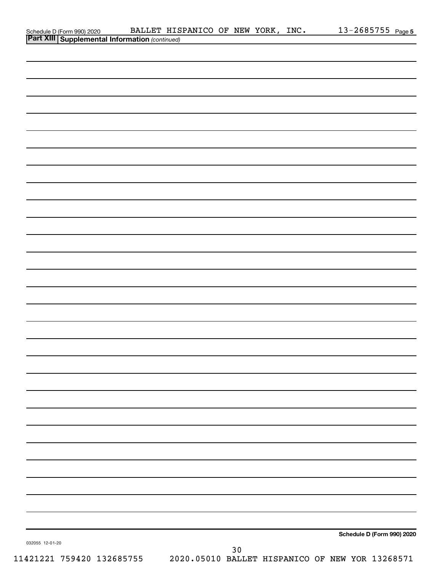|                                                                                           | BALLET HISPANICO OF NEW YORK, INC. |  | 13-2685755 Page 5          |  |
|-------------------------------------------------------------------------------------------|------------------------------------|--|----------------------------|--|
| Schedule D (Form 990) 2020 BALLET HIS<br>Part XIII   Supplemental Information (continued) |                                    |  |                            |  |
|                                                                                           |                                    |  |                            |  |
|                                                                                           |                                    |  |                            |  |
|                                                                                           |                                    |  |                            |  |
|                                                                                           |                                    |  |                            |  |
|                                                                                           |                                    |  |                            |  |
|                                                                                           |                                    |  |                            |  |
|                                                                                           |                                    |  |                            |  |
|                                                                                           |                                    |  |                            |  |
|                                                                                           |                                    |  |                            |  |
|                                                                                           |                                    |  |                            |  |
|                                                                                           |                                    |  |                            |  |
|                                                                                           |                                    |  |                            |  |
|                                                                                           |                                    |  |                            |  |
|                                                                                           |                                    |  |                            |  |
|                                                                                           |                                    |  |                            |  |
|                                                                                           |                                    |  |                            |  |
|                                                                                           |                                    |  |                            |  |
|                                                                                           |                                    |  |                            |  |
|                                                                                           |                                    |  |                            |  |
|                                                                                           |                                    |  |                            |  |
|                                                                                           |                                    |  |                            |  |
|                                                                                           |                                    |  |                            |  |
|                                                                                           |                                    |  |                            |  |
|                                                                                           |                                    |  |                            |  |
|                                                                                           |                                    |  |                            |  |
|                                                                                           |                                    |  |                            |  |
|                                                                                           |                                    |  |                            |  |
|                                                                                           |                                    |  |                            |  |
|                                                                                           |                                    |  |                            |  |
|                                                                                           |                                    |  |                            |  |
|                                                                                           |                                    |  |                            |  |
|                                                                                           |                                    |  |                            |  |
|                                                                                           |                                    |  |                            |  |
|                                                                                           |                                    |  |                            |  |
|                                                                                           |                                    |  |                            |  |
|                                                                                           |                                    |  |                            |  |
|                                                                                           |                                    |  |                            |  |
|                                                                                           |                                    |  |                            |  |
|                                                                                           |                                    |  |                            |  |
|                                                                                           |                                    |  |                            |  |
|                                                                                           |                                    |  |                            |  |
|                                                                                           |                                    |  |                            |  |
|                                                                                           |                                    |  |                            |  |
|                                                                                           |                                    |  |                            |  |
|                                                                                           |                                    |  |                            |  |
|                                                                                           |                                    |  |                            |  |
|                                                                                           |                                    |  | Schedule D (Form 990) 2020 |  |
| 032055 12-01-20                                                                           |                                    |  |                            |  |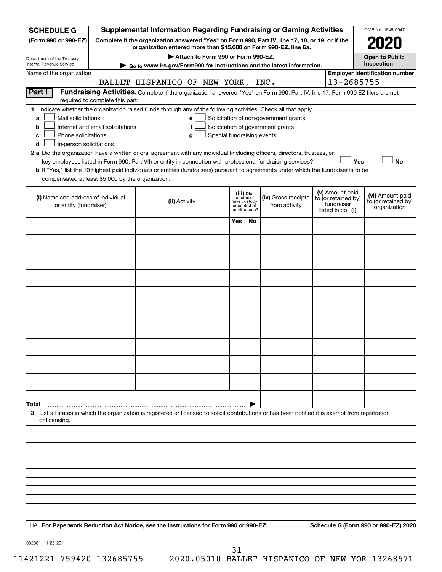| <b>SCHEDULE G</b>                                                                        |                                  | <b>Supplemental Information Regarding Fundraising or Gaming Activities</b>                                                                                                                                                                                                                 |                               |                                           |                                                                            |                                                                            | OMB No. 1545-0047                                       |
|------------------------------------------------------------------------------------------|----------------------------------|--------------------------------------------------------------------------------------------------------------------------------------------------------------------------------------------------------------------------------------------------------------------------------------------|-------------------------------|-------------------------------------------|----------------------------------------------------------------------------|----------------------------------------------------------------------------|---------------------------------------------------------|
| (Form 990 or 990-EZ)                                                                     |                                  | Complete if the organization answered "Yes" on Form 990, Part IV, line 17, 18, or 19, or if the<br>organization entered more than \$15,000 on Form 990-EZ, line 6a.                                                                                                                        |                               |                                           |                                                                            |                                                                            |                                                         |
| Department of the Treasury                                                               |                                  | Attach to Form 990 or Form 990-EZ.                                                                                                                                                                                                                                                         |                               |                                           |                                                                            |                                                                            | <b>Open to Public</b>                                   |
| Internal Revenue Service                                                                 |                                  | Go to www.irs.gov/Form990 for instructions and the latest information.                                                                                                                                                                                                                     |                               |                                           |                                                                            |                                                                            | Inspection<br><b>Employer identification number</b>     |
| Name of the organization                                                                 |                                  | BALLET HISPANICO OF NEW YORK, INC.                                                                                                                                                                                                                                                         |                               |                                           |                                                                            | 13-2685755                                                                 |                                                         |
| Part I                                                                                   | required to complete this part.  | Fundraising Activities. Complete if the organization answered "Yes" on Form 990, Part IV, line 17. Form 990-EZ filers are not                                                                                                                                                              |                               |                                           |                                                                            |                                                                            |                                                         |
| Mail solicitations<br>a<br>b<br>Phone solicitations<br>с<br>In-person solicitations<br>d | Internet and email solicitations | 1 Indicate whether the organization raised funds through any of the following activities. Check all that apply.<br>е<br>f<br>Special fundraising events<br>g<br>2 a Did the organization have a written or oral agreement with any individual (including officers, directors, trustees, or |                               |                                           | Solicitation of non-government grants<br>Solicitation of government grants |                                                                            |                                                         |
| compensated at least \$5,000 by the organization.                                        |                                  | key employees listed in Form 990, Part VII) or entity in connection with professional fundraising services?<br>b If "Yes," list the 10 highest paid individuals or entities (fundraisers) pursuant to agreements under which the fundraiser is to be                                       |                               |                                           |                                                                            | Yes                                                                        | <b>No</b>                                               |
|                                                                                          |                                  |                                                                                                                                                                                                                                                                                            |                               |                                           |                                                                            |                                                                            |                                                         |
| (i) Name and address of individual<br>or entity (fundraiser)                             |                                  | (ii) Activity                                                                                                                                                                                                                                                                              | have custody<br>or control of | (iii) Did<br>fundraiser<br>contributions? | (iv) Gross receipts<br>from activity                                       | (v) Amount paid<br>to (or retained by)<br>fundraiser<br>listed in col. (i) | (vi) Amount paid<br>to (or retained by)<br>organization |
|                                                                                          |                                  |                                                                                                                                                                                                                                                                                            | Yes                           | No                                        |                                                                            |                                                                            |                                                         |
|                                                                                          |                                  |                                                                                                                                                                                                                                                                                            |                               |                                           |                                                                            |                                                                            |                                                         |
|                                                                                          |                                  |                                                                                                                                                                                                                                                                                            |                               |                                           |                                                                            |                                                                            |                                                         |
|                                                                                          |                                  |                                                                                                                                                                                                                                                                                            |                               |                                           |                                                                            |                                                                            |                                                         |
|                                                                                          |                                  |                                                                                                                                                                                                                                                                                            |                               |                                           |                                                                            |                                                                            |                                                         |
|                                                                                          |                                  |                                                                                                                                                                                                                                                                                            |                               |                                           |                                                                            |                                                                            |                                                         |
|                                                                                          |                                  |                                                                                                                                                                                                                                                                                            |                               |                                           |                                                                            |                                                                            |                                                         |
|                                                                                          |                                  |                                                                                                                                                                                                                                                                                            |                               |                                           |                                                                            |                                                                            |                                                         |
|                                                                                          |                                  |                                                                                                                                                                                                                                                                                            |                               |                                           |                                                                            |                                                                            |                                                         |
|                                                                                          |                                  |                                                                                                                                                                                                                                                                                            |                               |                                           |                                                                            |                                                                            |                                                         |
| Total                                                                                    |                                  |                                                                                                                                                                                                                                                                                            |                               |                                           |                                                                            |                                                                            |                                                         |
| or licensing.                                                                            |                                  | 3 List all states in which the organization is registered or licensed to solicit contributions or has been notified it is exempt from registration                                                                                                                                         |                               |                                           |                                                                            |                                                                            |                                                         |
|                                                                                          |                                  |                                                                                                                                                                                                                                                                                            |                               |                                           |                                                                            |                                                                            |                                                         |
|                                                                                          |                                  |                                                                                                                                                                                                                                                                                            |                               |                                           |                                                                            |                                                                            |                                                         |
|                                                                                          |                                  |                                                                                                                                                                                                                                                                                            |                               |                                           |                                                                            |                                                                            |                                                         |
|                                                                                          |                                  |                                                                                                                                                                                                                                                                                            |                               |                                           |                                                                            |                                                                            |                                                         |
|                                                                                          |                                  |                                                                                                                                                                                                                                                                                            |                               |                                           |                                                                            |                                                                            |                                                         |
|                                                                                          |                                  |                                                                                                                                                                                                                                                                                            |                               |                                           |                                                                            |                                                                            |                                                         |
|                                                                                          |                                  |                                                                                                                                                                                                                                                                                            |                               |                                           |                                                                            |                                                                            |                                                         |

**For Paperwork Reduction Act Notice, see the Instructions for Form 990 or 990-EZ. Schedule G (Form 990 or 990-EZ) 2020** LHA

032081 11-25-20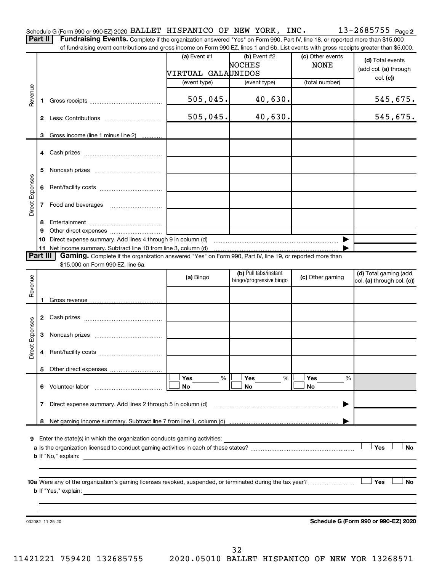Part II | Fundraising Events. Complete if the organization answered "Yes" on Form 990, Part IV, line 18, or reported more than \$15,000 of fundraising event contributions and gross income on Form 990-EZ, lines 1 and 6b. List events with gross receipts greater than \$5,000.

|                 |              |                                                                                                                                                                                                     | (a) Event $#1$<br>VIRTUAL GALAUNIDOS | $(b)$ Event #2<br>NOCHES                         | (c) Other events<br><b>NONE</b> | (d) Total events<br>(add col. (a) through |
|-----------------|--------------|-----------------------------------------------------------------------------------------------------------------------------------------------------------------------------------------------------|--------------------------------------|--------------------------------------------------|---------------------------------|-------------------------------------------|
|                 |              |                                                                                                                                                                                                     | (event type)                         | (event type)                                     | (total number)                  | col. (c))                                 |
| Revenue         | 1.           |                                                                                                                                                                                                     | 505,045.                             | 40,630.                                          |                                 | 545,675.                                  |
|                 | $\mathbf{2}$ |                                                                                                                                                                                                     | 505,045.                             | 40,630.                                          |                                 | 545,675.                                  |
|                 |              | 3 Gross income (line 1 minus line 2)                                                                                                                                                                |                                      |                                                  |                                 |                                           |
|                 |              |                                                                                                                                                                                                     |                                      |                                                  |                                 |                                           |
|                 | 5            |                                                                                                                                                                                                     |                                      |                                                  |                                 |                                           |
|                 |              |                                                                                                                                                                                                     |                                      |                                                  |                                 |                                           |
| Direct Expenses | $7^{\circ}$  | Food and beverages                                                                                                                                                                                  |                                      |                                                  |                                 |                                           |
|                 | 8<br>9<br>10 | Direct expense summary. Add lines 4 through 9 in column (d)                                                                                                                                         |                                      |                                                  |                                 |                                           |
|                 |              |                                                                                                                                                                                                     |                                      |                                                  |                                 |                                           |
| <b>Part III</b> |              | Gaming. Complete if the organization answered "Yes" on Form 990, Part IV, line 19, or reported more than<br>\$15,000 on Form 990-EZ, line 6a.                                                       |                                      |                                                  |                                 |                                           |
|                 |              |                                                                                                                                                                                                     | (a) Bingo                            | (b) Pull tabs/instant<br>bingo/progressive bingo | (c) Other gaming                | (d) Total gaming (add                     |
| Revenue         |              |                                                                                                                                                                                                     |                                      |                                                  |                                 | col. (a) through col. (c))                |
|                 |              |                                                                                                                                                                                                     |                                      |                                                  |                                 |                                           |
|                 |              |                                                                                                                                                                                                     |                                      |                                                  |                                 |                                           |
| Direct Expenses |              |                                                                                                                                                                                                     |                                      |                                                  |                                 |                                           |
|                 | 4            |                                                                                                                                                                                                     |                                      |                                                  |                                 |                                           |
|                 |              |                                                                                                                                                                                                     |                                      |                                                  |                                 |                                           |
|                 |              |                                                                                                                                                                                                     | Yes<br>%                             | Yes<br>%                                         | Yes<br>%                        |                                           |
|                 | 6.           | Volunteer labor                                                                                                                                                                                     | No                                   | No                                               | No                              |                                           |
|                 | 7            | Direct expense summary. Add lines 2 through 5 in column (d)                                                                                                                                         |                                      |                                                  |                                 |                                           |
|                 | 8            |                                                                                                                                                                                                     |                                      |                                                  |                                 |                                           |
| 9               |              | Enter the state(s) in which the organization conducts gaming activities:<br><b>b</b> If "No," explain:<br>the control of the control of the control of the control of the control of the control of |                                      |                                                  |                                 | Yes<br>No                                 |
|                 |              | <b>b</b> If "Yes," explain:<br><u> 1989 - Andrea Santa Andrea Santa Andrea Santa Andrea Santa Andrea Santa Andrea Santa Andrea Santa Andrea San</u>                                                 |                                      |                                                  |                                 | Yes<br>No                                 |
|                 |              | 032082 11-25-20                                                                                                                                                                                     |                                      |                                                  |                                 | Schedule G (Form 990 or 990-EZ) 2020      |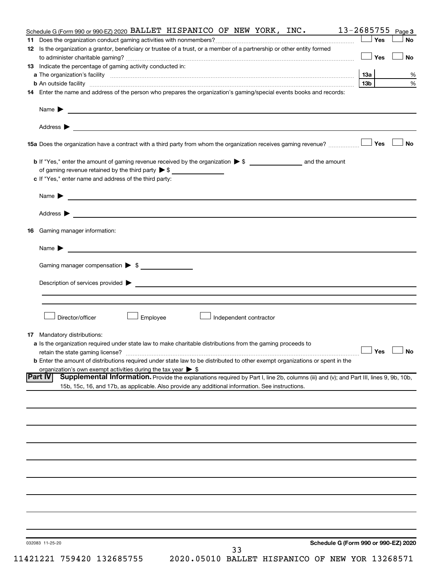| Schedule G (Form 990 or 990-EZ) 2020 BALLET HISPANICO OF NEW YORK, INC.                                                                                                                                             | $13 - 2685755$ Page 3 |           |
|---------------------------------------------------------------------------------------------------------------------------------------------------------------------------------------------------------------------|-----------------------|-----------|
|                                                                                                                                                                                                                     | Yes                   | No        |
| 12 Is the organization a grantor, beneficiary or trustee of a trust, or a member of a partnership or other entity formed                                                                                            |                       |           |
|                                                                                                                                                                                                                     | Yes                   | <b>No</b> |
| <b>13</b> Indicate the percentage of gaming activity conducted in:                                                                                                                                                  |                       |           |
|                                                                                                                                                                                                                     | 13 <sub>b</sub>       | %<br>$\%$ |
| 14 Enter the name and address of the person who prepares the organization's gaming/special events books and records:                                                                                                |                       |           |
|                                                                                                                                                                                                                     |                       |           |
|                                                                                                                                                                                                                     |                       |           |
|                                                                                                                                                                                                                     |                       |           |
|                                                                                                                                                                                                                     |                       |           |
|                                                                                                                                                                                                                     | Yes                   | No        |
|                                                                                                                                                                                                                     |                       |           |
|                                                                                                                                                                                                                     |                       |           |
| c If "Yes," enter name and address of the third party:                                                                                                                                                              |                       |           |
|                                                                                                                                                                                                                     |                       |           |
|                                                                                                                                                                                                                     |                       |           |
|                                                                                                                                                                                                                     |                       |           |
| <b>16</b> Gaming manager information:                                                                                                                                                                               |                       |           |
|                                                                                                                                                                                                                     |                       |           |
| Gaming manager compensation > \$                                                                                                                                                                                    |                       |           |
|                                                                                                                                                                                                                     |                       |           |
|                                                                                                                                                                                                                     |                       |           |
|                                                                                                                                                                                                                     |                       |           |
|                                                                                                                                                                                                                     |                       |           |
| Director/officer<br>∫ Employee<br>Independent contractor                                                                                                                                                            |                       |           |
|                                                                                                                                                                                                                     |                       |           |
| <b>17</b> Mandatory distributions:                                                                                                                                                                                  |                       |           |
| a Is the organization required under state law to make charitable distributions from the gaming proceeds to                                                                                                         |                       |           |
|                                                                                                                                                                                                                     | $\Box$ Yes $\Box$ No  |           |
| <b>b</b> Enter the amount of distributions required under state law to be distributed to other exempt organizations or spent in the<br>organization's own exempt activities during the tax year $\triangleright$ \$ |                       |           |
| Supplemental Information. Provide the explanations required by Part I, line 2b, columns (iii) and (v); and Part III, lines 9, 9b, 10b,<br> Part IV                                                                  |                       |           |
| 15b, 15c, 16, and 17b, as applicable. Also provide any additional information. See instructions.                                                                                                                    |                       |           |
|                                                                                                                                                                                                                     |                       |           |
|                                                                                                                                                                                                                     |                       |           |
|                                                                                                                                                                                                                     |                       |           |
|                                                                                                                                                                                                                     |                       |           |
|                                                                                                                                                                                                                     |                       |           |
|                                                                                                                                                                                                                     |                       |           |
|                                                                                                                                                                                                                     |                       |           |
|                                                                                                                                                                                                                     |                       |           |
|                                                                                                                                                                                                                     |                       |           |
|                                                                                                                                                                                                                     |                       |           |
|                                                                                                                                                                                                                     |                       |           |
|                                                                                                                                                                                                                     |                       |           |
|                                                                                                                                                                                                                     |                       |           |
|                                                                                                                                                                                                                     |                       |           |
|                                                                                                                                                                                                                     |                       |           |
| Schedule G (Form 990 or 990-EZ) 2020<br>032083 11-25-20<br>33                                                                                                                                                       |                       |           |
|                                                                                                                                                                                                                     |                       |           |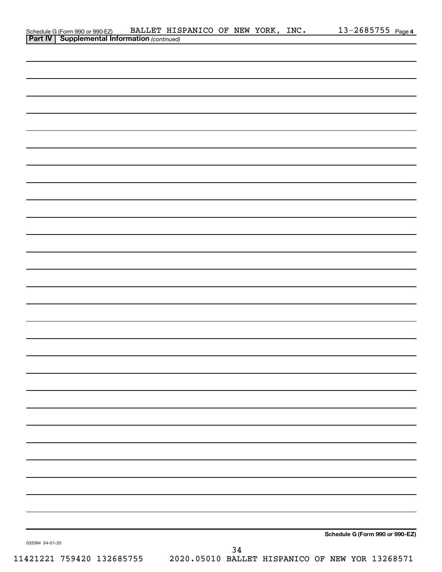|                 | Schedule G (Form 990 or 990-EZ) BALLET HIS<br><b>Part IV   Supplemental Information</b> (continued) | BALLET HISPANICO OF NEW YORK, INC. |    |  | 13-2685755 Page 4               |
|-----------------|-----------------------------------------------------------------------------------------------------|------------------------------------|----|--|---------------------------------|
|                 |                                                                                                     |                                    |    |  |                                 |
|                 |                                                                                                     |                                    |    |  |                                 |
|                 |                                                                                                     |                                    |    |  |                                 |
|                 |                                                                                                     |                                    |    |  |                                 |
|                 |                                                                                                     |                                    |    |  |                                 |
|                 |                                                                                                     |                                    |    |  |                                 |
|                 |                                                                                                     |                                    |    |  |                                 |
|                 |                                                                                                     |                                    |    |  |                                 |
|                 |                                                                                                     |                                    |    |  |                                 |
|                 |                                                                                                     |                                    |    |  |                                 |
|                 |                                                                                                     |                                    |    |  |                                 |
|                 |                                                                                                     |                                    |    |  |                                 |
|                 |                                                                                                     |                                    |    |  |                                 |
|                 |                                                                                                     |                                    |    |  |                                 |
|                 |                                                                                                     |                                    |    |  |                                 |
|                 |                                                                                                     |                                    |    |  |                                 |
|                 |                                                                                                     |                                    |    |  |                                 |
|                 |                                                                                                     |                                    |    |  |                                 |
|                 |                                                                                                     |                                    |    |  |                                 |
|                 |                                                                                                     |                                    |    |  |                                 |
|                 |                                                                                                     |                                    |    |  |                                 |
|                 |                                                                                                     |                                    |    |  |                                 |
|                 |                                                                                                     |                                    |    |  |                                 |
|                 |                                                                                                     |                                    |    |  |                                 |
|                 |                                                                                                     |                                    |    |  |                                 |
|                 |                                                                                                     |                                    |    |  |                                 |
|                 |                                                                                                     |                                    |    |  |                                 |
|                 |                                                                                                     |                                    |    |  |                                 |
|                 |                                                                                                     |                                    |    |  |                                 |
|                 |                                                                                                     |                                    |    |  |                                 |
|                 |                                                                                                     |                                    |    |  |                                 |
|                 |                                                                                                     |                                    |    |  |                                 |
|                 |                                                                                                     |                                    |    |  |                                 |
|                 |                                                                                                     |                                    |    |  |                                 |
|                 |                                                                                                     |                                    |    |  |                                 |
|                 |                                                                                                     |                                    |    |  |                                 |
|                 |                                                                                                     |                                    |    |  |                                 |
|                 |                                                                                                     |                                    |    |  |                                 |
|                 |                                                                                                     |                                    |    |  |                                 |
|                 |                                                                                                     |                                    |    |  |                                 |
|                 |                                                                                                     |                                    |    |  |                                 |
|                 |                                                                                                     |                                    |    |  |                                 |
|                 |                                                                                                     |                                    |    |  |                                 |
|                 |                                                                                                     |                                    |    |  | Schedule G (Form 990 or 990-EZ) |
| 032084 04-01-20 |                                                                                                     |                                    | 34 |  |                                 |
|                 |                                                                                                     |                                    |    |  |                                 |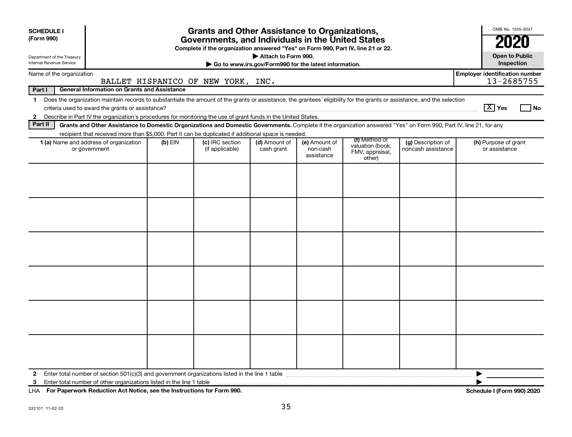| <b>SCHEDULE I</b><br>(Form 990)                        |                                                                                                                                                                                                                                                                                             |           | <b>Grants and Other Assistance to Organizations,</b><br>Governments, and Individuals in the United States<br>Complete if the organization answered "Yes" on Form 990, Part IV, line 21 or 22. |                                                                              |                                         |                                                                |                                          | OMB No. 1545-0047                                   |
|--------------------------------------------------------|---------------------------------------------------------------------------------------------------------------------------------------------------------------------------------------------------------------------------------------------------------------------------------------------|-----------|-----------------------------------------------------------------------------------------------------------------------------------------------------------------------------------------------|------------------------------------------------------------------------------|-----------------------------------------|----------------------------------------------------------------|------------------------------------------|-----------------------------------------------------|
| Department of the Treasury<br>Internal Revenue Service |                                                                                                                                                                                                                                                                                             |           |                                                                                                                                                                                               | Attach to Form 990.<br>Go to www.irs.gov/Form990 for the latest information. |                                         |                                                                |                                          | <b>Open to Public</b><br>Inspection                 |
| Name of the organization                               |                                                                                                                                                                                                                                                                                             |           | BALLET HISPANICO OF NEW YORK, INC.                                                                                                                                                            |                                                                              |                                         |                                                                |                                          | <b>Employer identification number</b><br>13-2685755 |
| Part I                                                 | <b>General Information on Grants and Assistance</b>                                                                                                                                                                                                                                         |           |                                                                                                                                                                                               |                                                                              |                                         |                                                                |                                          |                                                     |
| $\mathbf{1}$                                           | Does the organization maintain records to substantiate the amount of the grants or assistance, the grantees' eligibility for the grants or assistance, and the selection<br>2 Describe in Part IV the organization's procedures for monitoring the use of grant funds in the United States. |           |                                                                                                                                                                                               |                                                                              |                                         |                                                                |                                          | $\boxed{\text{X}}$ Yes<br>l No                      |
| Part II                                                | Grants and Other Assistance to Domestic Organizations and Domestic Governments. Complete if the organization answered "Yes" on Form 990, Part IV, line 21, for any                                                                                                                          |           |                                                                                                                                                                                               |                                                                              |                                         |                                                                |                                          |                                                     |
|                                                        | recipient that received more than \$5,000. Part II can be duplicated if additional space is needed.<br>1 (a) Name and address of organization<br>or government                                                                                                                              | $(b)$ EIN | (c) IRC section<br>(if applicable)                                                                                                                                                            | (d) Amount of<br>cash grant                                                  | (e) Amount of<br>non-cash<br>assistance | (f) Method of<br>valuation (book,<br>FMV, appraisal,<br>other) | (g) Description of<br>noncash assistance | (h) Purpose of grant<br>or assistance               |
|                                                        |                                                                                                                                                                                                                                                                                             |           |                                                                                                                                                                                               |                                                                              |                                         |                                                                |                                          |                                                     |
| $\mathbf{2}$<br>3                                      |                                                                                                                                                                                                                                                                                             |           |                                                                                                                                                                                               |                                                                              |                                         |                                                                |                                          |                                                     |

**For Paperwork Reduction Act Notice, see the Instructions for Form 990. Schedule I (Form 990) 2020** LHA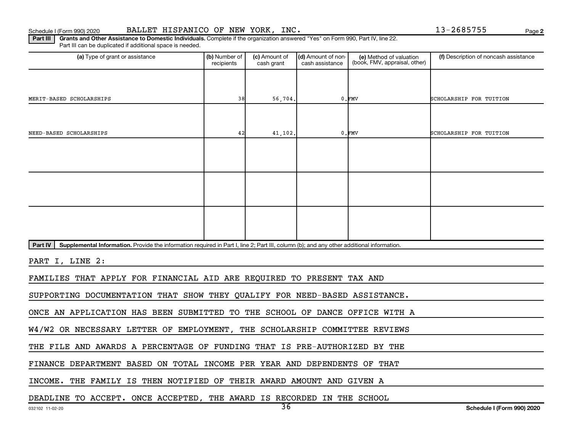**2**

Part III | Grants and Other Assistance to Domestic Individuals. Complete if the organization answered "Yes" on Form 990, Part IV, line 22. Part III can be duplicated if additional space is needed.

| (a) Type of grant or assistance                                                                                                                             | (b) Number of<br>recipients | (c) Amount of<br>cash grant | (d) Amount of non-<br>cash assistance | (e) Method of valuation<br>(book, FMV, appraisal, other) | (f) Description of noncash assistance |
|-------------------------------------------------------------------------------------------------------------------------------------------------------------|-----------------------------|-----------------------------|---------------------------------------|----------------------------------------------------------|---------------------------------------|
|                                                                                                                                                             |                             |                             |                                       |                                                          |                                       |
| MERIT-BASED SCHOLARSHIPS                                                                                                                                    | 38                          | 56,704.                     |                                       | $0.$ $FMV$                                               | SCHOLARSHIP FOR TUITION               |
|                                                                                                                                                             |                             |                             |                                       |                                                          |                                       |
| NEED-BASED SCHOLARSHIPS                                                                                                                                     | 42                          | 41,102.                     |                                       | $0.$ FMV                                                 | SCHOLARSHIP FOR TUITION               |
|                                                                                                                                                             |                             |                             |                                       |                                                          |                                       |
|                                                                                                                                                             |                             |                             |                                       |                                                          |                                       |
|                                                                                                                                                             |                             |                             |                                       |                                                          |                                       |
|                                                                                                                                                             |                             |                             |                                       |                                                          |                                       |
|                                                                                                                                                             |                             |                             |                                       |                                                          |                                       |
|                                                                                                                                                             |                             |                             |                                       |                                                          |                                       |
| Supplemental Information. Provide the information required in Part I, line 2; Part III, column (b); and any other additional information.<br><b>Part IV</b> |                             |                             |                                       |                                                          |                                       |
| PART I, LINE 2:                                                                                                                                             |                             |                             |                                       |                                                          |                                       |
| FAMILIES THAT APPLY FOR FINANCIAL AID ARE REQUIRED TO PRESENT TAX AND                                                                                       |                             |                             |                                       |                                                          |                                       |
| SUPPORTING DOCUMENTATION THAT SHOW THEY QUALIFY FOR NEED-BASED ASSISTANCE.                                                                                  |                             |                             |                                       |                                                          |                                       |
| ONCE AN APPLICATION HAS BEEN SUBMITTED TO THE SCHOOL OF DANCE OFFICE WITH A                                                                                 |                             |                             |                                       |                                                          |                                       |
| W4/W2 OR NECESSARY LETTER OF EMPLOYMENT, THE SCHOLARSHIP COMMITTEE REVIEWS                                                                                  |                             |                             |                                       |                                                          |                                       |
| THE FILE AND AWARDS A PERCENTAGE OF FUNDING THAT IS PRE-AUTHORIZED BY THE                                                                                   |                             |                             |                                       |                                                          |                                       |
| FINANCE DEPARTMENT BASED ON TOTAL INCOME PER YEAR AND DEPENDENTS OF THAT                                                                                    |                             |                             |                                       |                                                          |                                       |
| INCOME. THE FAMILY IS THEN NOTIFIED OF THEIR AWARD AMOUNT AND GIVEN A                                                                                       |                             |                             |                                       |                                                          |                                       |

DEADLINE TO ACCEPT. ONCE ACCEPTED, THE AWARD IS RECORDED IN THE SCHOOL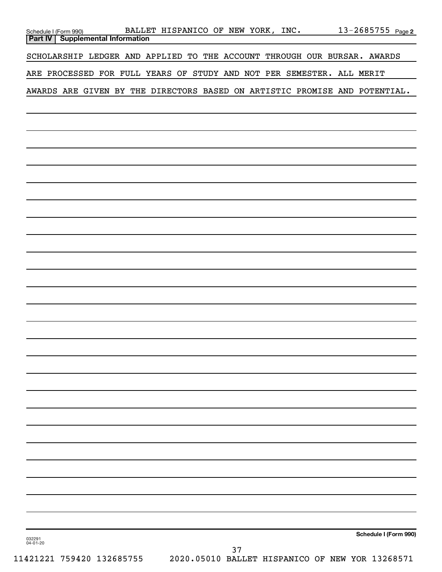| 13-2685755 Page 2<br>Schedule I (Form 990) BALLET HISPANICO OF NEW YORK, INC.<br><b>Part IV   Supplemental Information</b> |  |
|----------------------------------------------------------------------------------------------------------------------------|--|
| SCHOLARSHIP LEDGER AND APPLIED TO THE ACCOUNT THROUGH OUR BURSAR. AWARDS                                                   |  |
| ARE PROCESSED FOR FULL YEARS OF STUDY AND NOT PER SEMESTER. ALL MERIT                                                      |  |
| AWARDS ARE GIVEN BY THE DIRECTORS BASED ON ARTISTIC PROMISE AND POTENTIAL.                                                 |  |
|                                                                                                                            |  |
|                                                                                                                            |  |
|                                                                                                                            |  |
|                                                                                                                            |  |
|                                                                                                                            |  |
|                                                                                                                            |  |
|                                                                                                                            |  |
|                                                                                                                            |  |
|                                                                                                                            |  |
|                                                                                                                            |  |
|                                                                                                                            |  |
|                                                                                                                            |  |
|                                                                                                                            |  |
|                                                                                                                            |  |
|                                                                                                                            |  |
|                                                                                                                            |  |
|                                                                                                                            |  |
|                                                                                                                            |  |
|                                                                                                                            |  |
|                                                                                                                            |  |
|                                                                                                                            |  |
|                                                                                                                            |  |
|                                                                                                                            |  |
|                                                                                                                            |  |
| Schedule I (Form 990)<br>032291<br>04-01-20<br>37                                                                          |  |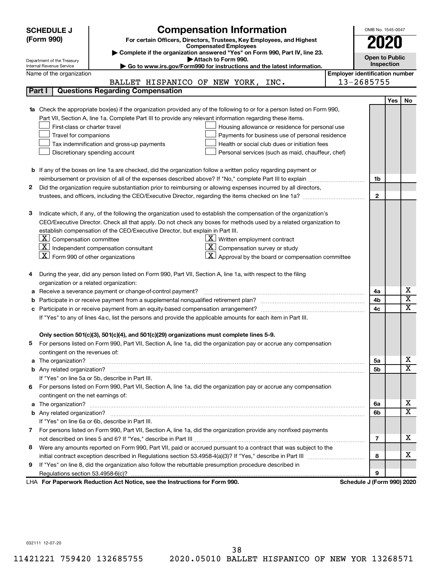|   | <b>SCHEDULE J</b>                                                              | <b>Compensation Information</b>                                                                                                                                                                                                     |                                       | OMB No. 1545-0047     |            |                         |
|---|--------------------------------------------------------------------------------|-------------------------------------------------------------------------------------------------------------------------------------------------------------------------------------------------------------------------------------|---------------------------------------|-----------------------|------------|-------------------------|
|   | (Form 990)                                                                     | For certain Officers, Directors, Trustees, Key Employees, and Highest                                                                                                                                                               |                                       |                       |            |                         |
|   |                                                                                | <b>Compensated Employees</b>                                                                                                                                                                                                        |                                       |                       |            |                         |
|   |                                                                                | Complete if the organization answered "Yes" on Form 990, Part IV, line 23.                                                                                                                                                          |                                       | <b>Open to Public</b> |            |                         |
|   | Department of the Treasury<br>Internal Revenue Service                         | Attach to Form 990.<br>Go to www.irs.gov/Form990 for instructions and the latest information.                                                                                                                                       |                                       | Inspection            |            |                         |
|   | Name of the organization                                                       |                                                                                                                                                                                                                                     | <b>Employer identification number</b> |                       |            |                         |
|   |                                                                                | BALLET HISPANICO OF NEW YORK, INC.                                                                                                                                                                                                  | 13-2685755                            |                       |            |                         |
|   | <b>Questions Regarding Compensation</b><br>Part I                              |                                                                                                                                                                                                                                     |                                       |                       |            |                         |
|   |                                                                                |                                                                                                                                                                                                                                     |                                       |                       | <b>Yes</b> | No                      |
|   |                                                                                | 1a Check the appropriate box(es) if the organization provided any of the following to or for a person listed on Form 990,                                                                                                           |                                       |                       |            |                         |
|   |                                                                                | Part VII, Section A, line 1a. Complete Part III to provide any relevant information regarding these items.                                                                                                                          |                                       |                       |            |                         |
|   | First-class or charter travel                                                  | Housing allowance or residence for personal use                                                                                                                                                                                     |                                       |                       |            |                         |
|   | Travel for companions                                                          | Payments for business use of personal residence                                                                                                                                                                                     |                                       |                       |            |                         |
|   | Tax indemnification and gross-up payments                                      | Health or social club dues or initiation fees                                                                                                                                                                                       |                                       |                       |            |                         |
|   | Discretionary spending account                                                 | Personal services (such as maid, chauffeur, chef)                                                                                                                                                                                   |                                       |                       |            |                         |
|   |                                                                                |                                                                                                                                                                                                                                     |                                       |                       |            |                         |
|   |                                                                                | <b>b</b> If any of the boxes on line 1a are checked, did the organization follow a written policy regarding payment or                                                                                                              |                                       |                       |            |                         |
|   |                                                                                | reimbursement or provision of all of the expenses described above? If "No," complete Part III to explain                                                                                                                            |                                       | 1b                    |            |                         |
| 2 |                                                                                | Did the organization require substantiation prior to reimbursing or allowing expenses incurred by all directors,                                                                                                                    |                                       |                       |            |                         |
|   |                                                                                | trustees, and officers, including the CEO/Executive Director, regarding the items checked on line 1a?                                                                                                                               |                                       | $\mathbf{2}$          |            |                         |
|   |                                                                                |                                                                                                                                                                                                                                     |                                       |                       |            |                         |
| з |                                                                                | Indicate which, if any, of the following the organization used to establish the compensation of the organization's                                                                                                                  |                                       |                       |            |                         |
|   |                                                                                | CEO/Executive Director. Check all that apply. Do not check any boxes for methods used by a related organization to                                                                                                                  |                                       |                       |            |                         |
|   | establish compensation of the CEO/Executive Director, but explain in Part III. |                                                                                                                                                                                                                                     |                                       |                       |            |                         |
|   | $ \mathbf{X} $ Compensation committee                                          | $X$ Written employment contract                                                                                                                                                                                                     |                                       |                       |            |                         |
|   | $\boxed{\textbf{X}}$ Independent compensation consultant                       | Compensation survey or study                                                                                                                                                                                                        |                                       |                       |            |                         |
|   | $\lfloor x \rfloor$ Form 990 of other organizations                            | Approval by the board or compensation committee                                                                                                                                                                                     |                                       |                       |            |                         |
|   |                                                                                |                                                                                                                                                                                                                                     |                                       |                       |            |                         |
|   |                                                                                | During the year, did any person listed on Form 990, Part VII, Section A, line 1a, with respect to the filing                                                                                                                        |                                       |                       |            |                         |
|   | organization or a related organization:                                        |                                                                                                                                                                                                                                     |                                       |                       |            |                         |
| а | Receive a severance payment or change-of-control payment?                      |                                                                                                                                                                                                                                     |                                       | 4a                    |            | х                       |
| b |                                                                                |                                                                                                                                                                                                                                     |                                       | 4b                    |            | $\overline{\texttt{x}}$ |
| c |                                                                                |                                                                                                                                                                                                                                     |                                       | 4c                    |            | $\overline{\text{x}}$   |
|   |                                                                                | If "Yes" to any of lines 4a-c, list the persons and provide the applicable amounts for each item in Part III.                                                                                                                       |                                       |                       |            |                         |
|   |                                                                                |                                                                                                                                                                                                                                     |                                       |                       |            |                         |
|   |                                                                                | Only section 501(c)(3), 501(c)(4), and 501(c)(29) organizations must complete lines 5-9.                                                                                                                                            |                                       |                       |            |                         |
|   |                                                                                | For persons listed on Form 990, Part VII, Section A, line 1a, did the organization pay or accrue any compensation                                                                                                                   |                                       |                       |            |                         |
|   | contingent on the revenues of:                                                 |                                                                                                                                                                                                                                     |                                       |                       |            | x.                      |
|   |                                                                                | a The organization? <b>contracts</b> and contracts are contracted and contract and contract and contract and contract and contract and contract and contract and contract and contract and contract and contract and contract and c |                                       | 5a                    |            | $\overline{\mathbf{X}}$ |
|   |                                                                                |                                                                                                                                                                                                                                     |                                       | 5b                    |            |                         |
|   | If "Yes" on line 5a or 5b, describe in Part III.                               |                                                                                                                                                                                                                                     |                                       |                       |            |                         |
| 6 | contingent on the net earnings of:                                             | For persons listed on Form 990, Part VII, Section A, line 1a, did the organization pay or accrue any compensation                                                                                                                   |                                       |                       |            |                         |
|   |                                                                                |                                                                                                                                                                                                                                     |                                       | 6а                    |            | x.                      |
|   |                                                                                |                                                                                                                                                                                                                                     |                                       | 6b                    |            | $\overline{\mathbf{X}}$ |
|   | If "Yes" on line 6a or 6b, describe in Part III.                               |                                                                                                                                                                                                                                     |                                       |                       |            |                         |
|   |                                                                                | 7 For persons listed on Form 990, Part VII, Section A, line 1a, did the organization provide any nonfixed payments                                                                                                                  |                                       |                       |            |                         |
|   |                                                                                |                                                                                                                                                                                                                                     |                                       | 7                     |            | x.                      |
| 8 |                                                                                | Were any amounts reported on Form 990, Part VII, paid or accrued pursuant to a contract that was subject to the                                                                                                                     |                                       |                       |            |                         |
|   |                                                                                |                                                                                                                                                                                                                                     |                                       | 8                     |            | x.                      |
| 9 |                                                                                | If "Yes" on line 8, did the organization also follow the rebuttable presumption procedure described in                                                                                                                              |                                       |                       |            |                         |
|   |                                                                                |                                                                                                                                                                                                                                     |                                       | 9                     |            |                         |
|   | LHA For Paperwork Reduction Act Notice, see the Instructions for Form 990.     |                                                                                                                                                                                                                                     | Schedule J (Form 990) 2020            |                       |            |                         |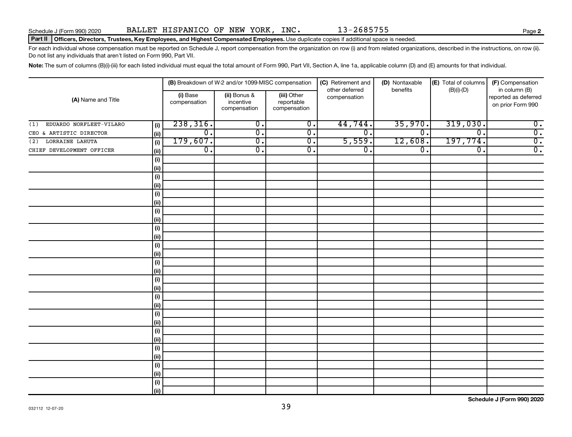#### Part II | Officers, Directors, Trustees, Key Employees, and Highest Compensated Employees. Use duplicate copies if additional space is needed.

For each individual whose compensation must be reported on Schedule J, report compensation from the organization on row (i) and from related organizations, described in the instructions, on row (ii). Do not list any individuals that aren't listed on Form 990, Part VII.

Note: The sum of columns (B)(i)-(iii) for each listed individual must equal the total amount of Form 990, Part VII, Section A, line 1a, applicable column (D) and (E) amounts for that individual.

|                                |            |                          | (B) Breakdown of W-2 and/or 1099-MISC compensation |                                           | (C) Retirement and             | (D) Nontaxable              | (E) Total of columns        | (F) Compensation                                           |
|--------------------------------|------------|--------------------------|----------------------------------------------------|-------------------------------------------|--------------------------------|-----------------------------|-----------------------------|------------------------------------------------------------|
| (A) Name and Title             |            | (i) Base<br>compensation | (ii) Bonus &<br>incentive<br>compensation          | (iii) Other<br>reportable<br>compensation | other deferred<br>compensation | benefits                    | $(B)(i)$ - $(D)$            | in column (B)<br>reported as deferred<br>on prior Form 990 |
| EDUARDO NORFLEET-VILARO<br>(1) | (i)        | 238,316.                 | $\overline{0}$ .                                   | $\overline{\mathbf{0}}$ .                 | 44,744.                        | 35,970.                     | 319,030.                    | $\overline{0}$ .                                           |
| CEO & ARTISTIC DIRECTOR        | (ii)       | $\overline{0}$ .         | $\overline{0}$ .                                   | $\overline{0}$ .                          | $\overline{\mathfrak{o}}$ .    | $\overline{\mathfrak{o}}$ . | $\overline{0}$ .            | $\overline{0}$ .                                           |
| LORRAINE LAHUTA<br>(2)         | (i)        | 179,607.                 | $\overline{0}$ .                                   | $\overline{0}$ .                          | 5,559.                         | 12,608.                     | 197,774.                    | $\overline{0}$ .                                           |
| CHIEF DEVELOPMENT OFFICER      | (ii)       | $\overline{0}$ .         | $\overline{0}$ .                                   | $\overline{0}$ .                          | $\overline{0}$ .               | $\overline{0}$ .            | $\overline{\mathfrak{o}}$ . | $\overline{0}$ .                                           |
|                                | (i)        |                          |                                                    |                                           |                                |                             |                             |                                                            |
|                                | (ii)       |                          |                                                    |                                           |                                |                             |                             |                                                            |
|                                | (i)        |                          |                                                    |                                           |                                |                             |                             |                                                            |
|                                | (ii)       |                          |                                                    |                                           |                                |                             |                             |                                                            |
|                                | (i)        |                          |                                                    |                                           |                                |                             |                             |                                                            |
|                                | (ii)       |                          |                                                    |                                           |                                |                             |                             |                                                            |
|                                | (i)        |                          |                                                    |                                           |                                |                             |                             |                                                            |
|                                | (ii)       |                          |                                                    |                                           |                                |                             |                             |                                                            |
|                                | (i)        |                          |                                                    |                                           |                                |                             |                             |                                                            |
|                                | (ii)       |                          |                                                    |                                           |                                |                             |                             |                                                            |
|                                | (i)        |                          |                                                    |                                           |                                |                             |                             |                                                            |
|                                | (ii)       |                          |                                                    |                                           |                                |                             |                             |                                                            |
|                                | $(\sf{i})$ |                          |                                                    |                                           |                                |                             |                             |                                                            |
|                                | (ii)       |                          |                                                    |                                           |                                |                             |                             |                                                            |
|                                | (i)        |                          |                                                    |                                           |                                |                             |                             |                                                            |
|                                | (ii)       |                          |                                                    |                                           |                                |                             |                             |                                                            |
|                                | (i)        |                          |                                                    |                                           |                                |                             |                             |                                                            |
|                                | (ii)       |                          |                                                    |                                           |                                |                             |                             |                                                            |
|                                | (i)        |                          |                                                    |                                           |                                |                             |                             |                                                            |
|                                | (ii)       |                          |                                                    |                                           |                                |                             |                             |                                                            |
|                                | (i)        |                          |                                                    |                                           |                                |                             |                             |                                                            |
|                                | (ii)       |                          |                                                    |                                           |                                |                             |                             |                                                            |
|                                | (i)        |                          |                                                    |                                           |                                |                             |                             |                                                            |
|                                | (ii)       |                          |                                                    |                                           |                                |                             |                             |                                                            |
|                                | (i)        |                          |                                                    |                                           |                                |                             |                             |                                                            |
|                                | (ii)       |                          |                                                    |                                           |                                |                             |                             |                                                            |
|                                | (i)        |                          |                                                    |                                           |                                |                             |                             |                                                            |
|                                | (ii)       |                          |                                                    |                                           |                                |                             |                             |                                                            |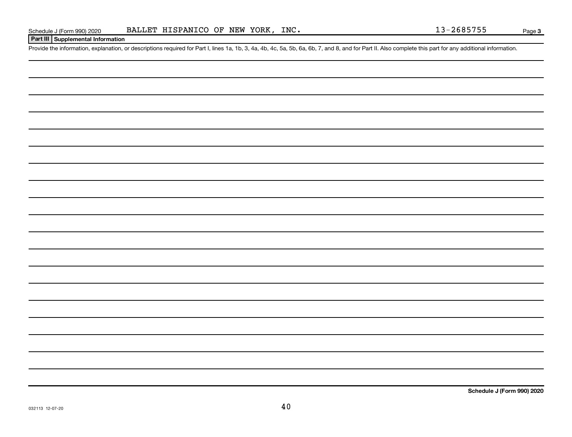### **Part III Supplemental Information**

Provide the information, explanation, or descriptions required for Part I, lines 1a, 1b, 3, 4a, 4b, 4c, 5a, 5b, 6a, 6b, 7, and 8, and for Part II. Also complete this part for any additional information.

**Schedule J (Form 990) 2020**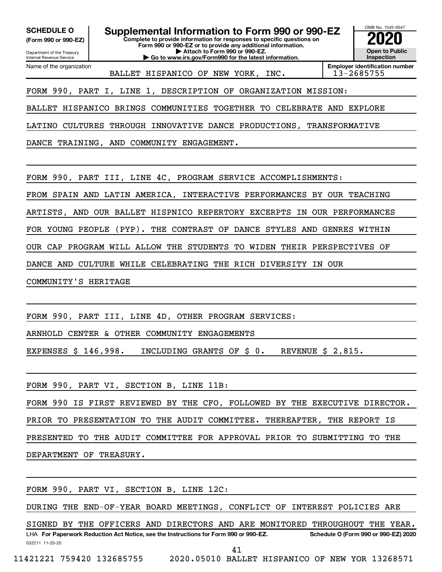**(Form 990 or 990-EZ)**

Department of the Treasury Internal Revenue Service

Name of the organization

**SCHEDULE O Supplemental Information to Form 990 or 990-EZ 2020**<br>(Form 990 or 990-EZ) **2020** 

**Complete to provide information for responses to specific questions on Form 990 or 990-EZ or to provide any additional information. | Attach to Form 990 or 990-EZ.**

**| Go to www.irs.gov/Form990 for the latest information.**



BALLET HISPANICO OF NEW YORK, INC. 13-2685755

**Employer identification number**

FORM 990, PART I, LINE 1, DESCRIPTION OF ORGANIZATION MISSION:

BALLET HISPANICO BRINGS COMMUNITIES TOGETHER TO CELEBRATE AND EXPLORE

LATINO CULTURES THROUGH INNOVATIVE DANCE PRODUCTIONS, TRANSFORMATIVE

DANCE TRAINING, AND COMMUNITY ENGAGEMENT.

FORM 990, PART III, LINE 4C, PROGRAM SERVICE ACCOMPLISHMENTS:

FROM SPAIN AND LATIN AMERICA, INTERACTIVE PERFORMANCES BY OUR TEACHING

ARTISTS, AND OUR BALLET HISPNICO REPERTORY EXCERPTS IN OUR PERFORMANCES

FOR YOUNG PEOPLE (PYP). THE CONTRAST OF DANCE STYLES AND GENRES WITHIN

OUR CAP PROGRAM WILL ALLOW THE STUDENTS TO WIDEN THEIR PERSPECTIVES OF

DANCE AND CULTURE WHILE CELEBRATING THE RICH DIVERSITY IN OUR

COMMUNITY'S HERITAGE

FORM 990, PART III, LINE 4D, OTHER PROGRAM SERVICES:

ARNHOLD CENTER & OTHER COMMUNITY ENGAGEMENTS

EXPENSES \$ 146,998. INCLUDING GRANTS OF \$ 0. REVENUE \$ 2,815.

FORM 990, PART VI, SECTION B, LINE 11B:

FORM 990 IS FIRST REVIEWED BY THE CFO, FOLLOWED BY THE EXECUTIVE DIRECTOR. PRIOR TO PRESENTATION TO THE AUDIT COMMITTEE. THEREAFTER, THE REPORT IS PRESENTED TO THE AUDIT COMMITTEE FOR APPROVAL PRIOR TO SUBMITTING TO THE DEPARTMENT OF TREASURY.

FORM 990, PART VI, SECTION B, LINE 12C:

DURING THE END-OF-YEAR BOARD MEETINGS, CONFLICT OF INTEREST POLICIES ARE

032211 11-20-20 **For Paperwork Reduction Act Notice, see the Instructions for Form 990 or 990-EZ. Schedule O (Form 990 or 990-EZ) 2020** LHA SIGNED BY THE OFFICERS AND DIRECTORS AND ARE MONITORED THROUGHOUT THE YEAR.

11421221 759420 132685755 2020.05010 BALLET HISPANICO OF NEW YOR 13268571

41